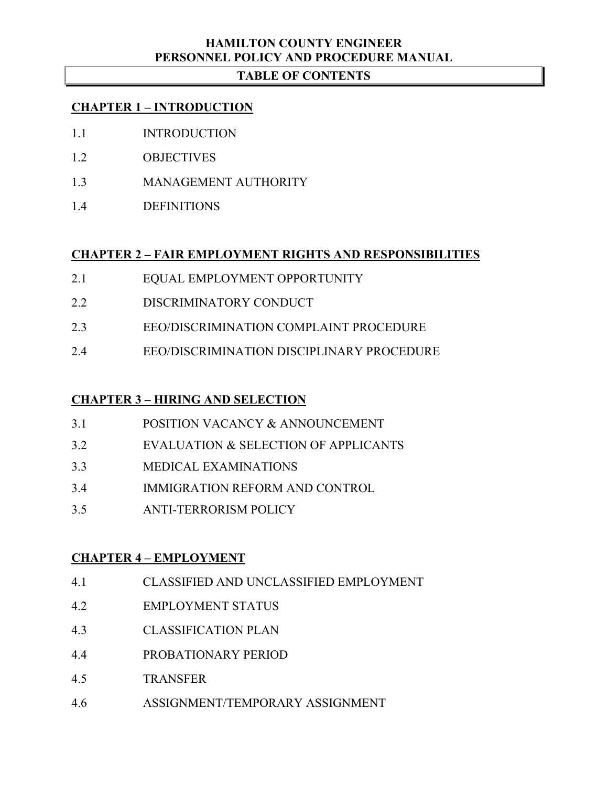# **HAMILTON COUNTY ENGINEER PERSONNEL POLICY AND PROCEDURE MANUAL**

# **TABLE OF CONTENTS**

## **CHAPTER 1 – INTRODUCTION**

- 1.1 INTRODUCTION
- 1.2 OBJECTIVES
- 1.3 MANAGEMENT AUTHORITY
- 1.4 DEFINITIONS

# **CHAPTER 2 – FAIR EMPLOYMENT RIGHTS AND RESPONSIBILITIES**

- 2.1 EQUAL EMPLOYMENT OPPORTUNITY
- 2.2 DISCRIMINATORY CONDUCT
- 2.3 EEO/DISCRIMINATION COMPLAINT PROCEDURE
- 2.4 EEO/DISCRIMINATION DISCIPLINARY PROCEDURE

# **CHAPTER 3 – HIRING AND SELECTION**

- 3.1 POSITION VACANCY & ANNOUNCEMENT
- 3.2 EVALUATION & SELECTION OF APPLICANTS
- 3.3 MEDICAL EXAMINATIONS
- 3.4 IMMIGRATION REFORM AND CONTROL
- 3.5 ANTI-TERRORISM POLICY

# **CHAPTER 4 – EMPLOYMENT**

- 4.1 CLASSIFIED AND UNCLASSIFIED EMPLOYMENT
- 4.2 EMPLOYMENT STATUS
- 4.3 CLASSIFICATION PLAN
- 4.4 PROBATIONARY PERIOD
- 4.5 TRANSFER
- 4.6 ASSIGNMENT/TEMPORARY ASSIGNMENT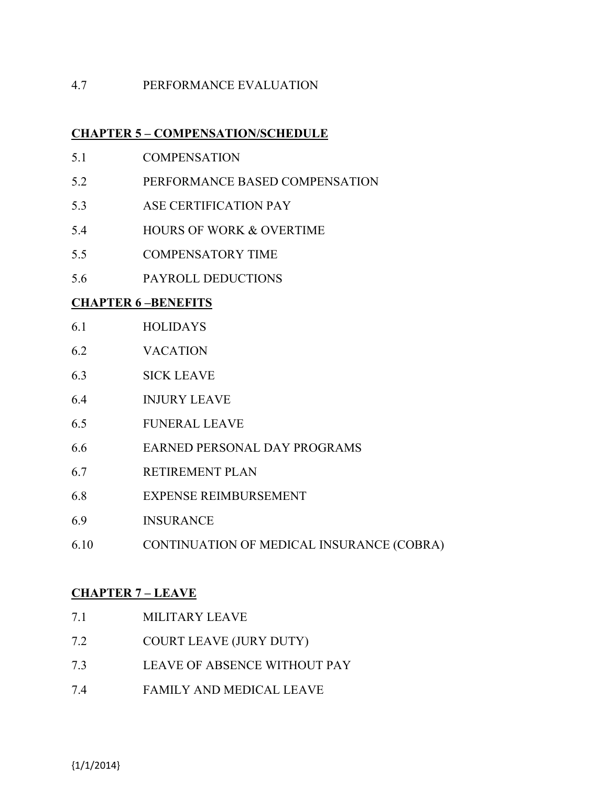## 4.7 PERFORMANCE EVALUATION

## **CHAPTER 5 – COMPENSATION/SCHEDULE**

- 5.1 COMPENSATION
- 5.2 PERFORMANCE BASED COMPENSATION
- 5.3 ASE CERTIFICATION PAY
- 5.4 HOURS OF WORK & OVERTIME
- 5.5 COMPENSATORY TIME
- 5.6 PAYROLL DEDUCTIONS

## **CHAPTER 6 –BENEFITS**

- 6.1 HOLIDAYS
- 6.2 VACATION
- 6.3 SICK LEAVE
- 6.4 INJURY LEAVE
- 6.5 FUNERAL LEAVE
- 6.6 EARNED PERSONAL DAY PROGRAMS
- 6.7 RETIREMENT PLAN
- 6.8 EXPENSE REIMBURSEMENT
- 6.9 INSURANCE
- 6.10 CONTINUATION OF MEDICAL INSURANCE (COBRA)

# **CHAPTER 7 – LEAVE**

| 7.1 | MILITARY LEAVE                      |
|-----|-------------------------------------|
| 7.2 | <b>COURT LEAVE (JURY DUTY)</b>      |
| 7.3 | <b>LEAVE OF ABSENCE WITHOUT PAY</b> |
| 7.4 | FAMILY AND MEDICAL LEAVE            |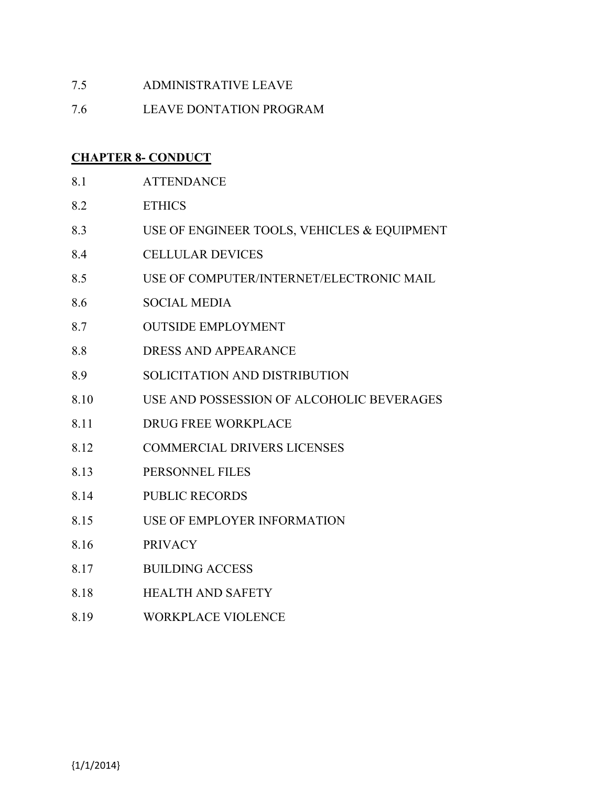- 7.5 ADMINISTRATIVE LEAVE
- 7.6 LEAVE DONTATION PROGRAM

## **CHAPTER 8- CONDUCT**

- 8.1 ATTENDANCE
- 8.2 ETHICS
- 8.3 USE OF ENGINEER TOOLS, VEHICLES & EQUIPMENT
- 8.4 CELLULAR DEVICES
- 8.5 USE OF COMPUTER/INTERNET/ELECTRONIC MAIL
- 8.6 SOCIAL MEDIA
- 8.7 OUTSIDE EMPLOYMENT
- 8.8 DRESS AND APPEARANCE
- 8.9 SOLICITATION AND DISTRIBUTION
- 8.10 USE AND POSSESSION OF ALCOHOLIC BEVERAGES
- 8.11 DRUG FREE WORKPLACE
- 8.12 COMMERCIAL DRIVERS LICENSES
- 8.13 PERSONNEL FILES
- 8.14 PUBLIC RECORDS
- 8.15 USE OF EMPLOYER INFORMATION
- 8.16 PRIVACY
- 8.17 BUILDING ACCESS
- 8.18 HEALTH AND SAFETY
- 8.19 WORKPLACE VIOLENCE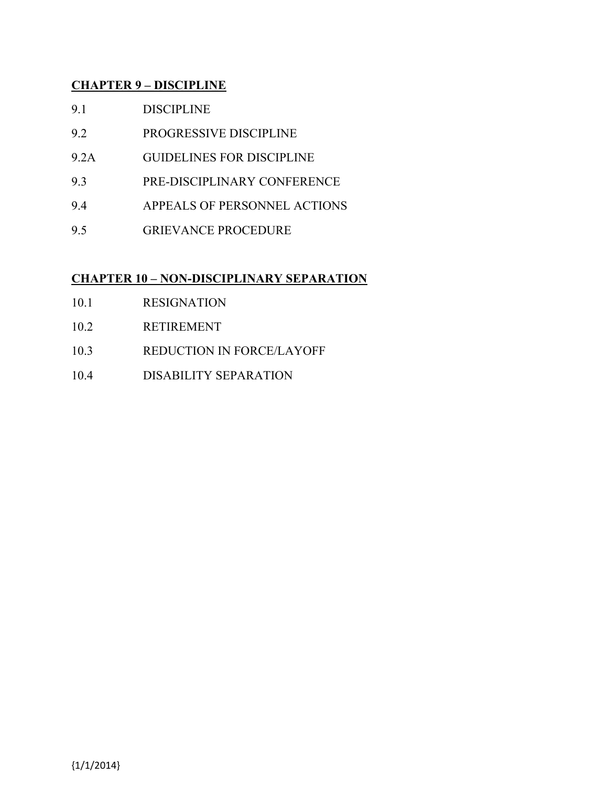# **CHAPTER 9 – DISCIPLINE**

- 9.1 DISCIPLINE
- 9.2 PROGRESSIVE DISCIPLINE
- 9.2A GUIDELINES FOR DISCIPLINE
- 9.3 PRE-DISCIPLINARY CONFERENCE
- 9.4 APPEALS OF PERSONNEL ACTIONS
- 9.5 GRIEVANCE PROCEDURE

# **CHAPTER 10 – NON-DISCIPLINARY SEPARATION**

- 10.1 RESIGNATION
- 10.2 RETIREMENT
- 10.3 REDUCTION IN FORCE/LAYOFF
- 10.4 DISABILITY SEPARATION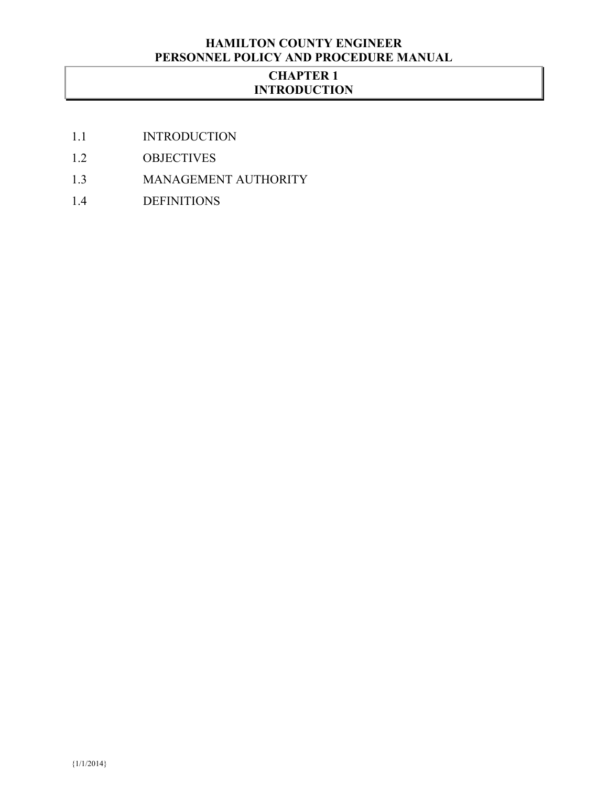# **HAMILTON COUNTY ENGINEER PERSONNEL POLICY AND PROCEDURE MANUAL**

# **CHAPTER 1 INTRODUCTION**

- 1.1 INTRODUCTION
- 1.2 OBJECTIVES
- 1.3 MANAGEMENT AUTHORITY
- 1.4 DEFINITIONS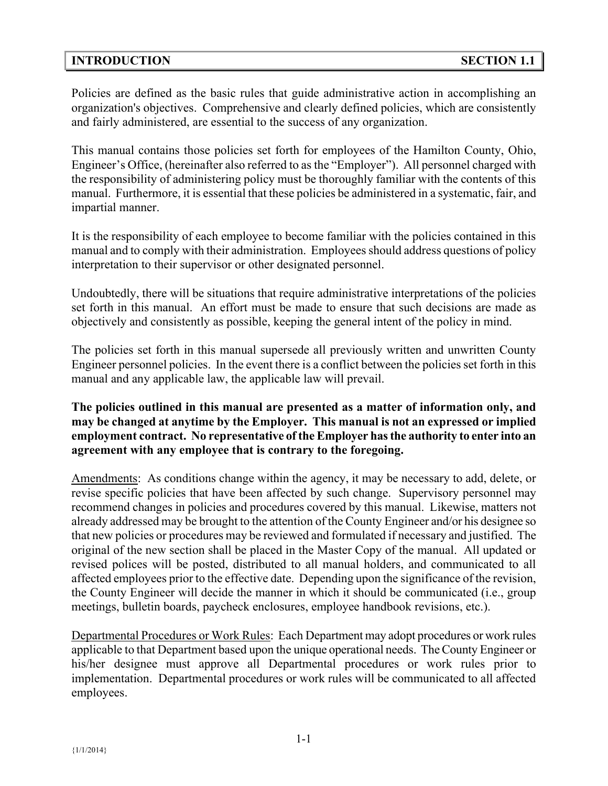## **INTRODUCTION SECTION 1.1**

Policies are defined as the basic rules that guide administrative action in accomplishing an organization's objectives. Comprehensive and clearly defined policies, which are consistently and fairly administered, are essential to the success of any organization.

This manual contains those policies set forth for employees of the Hamilton County, Ohio, Engineer's Office, (hereinafter also referred to as the "Employer"). All personnel charged with the responsibility of administering policy must be thoroughly familiar with the contents of this manual. Furthermore, it is essential that these policies be administered in a systematic, fair, and impartial manner.

It is the responsibility of each employee to become familiar with the policies contained in this manual and to comply with their administration. Employees should address questions of policy interpretation to their supervisor or other designated personnel.

Undoubtedly, there will be situations that require administrative interpretations of the policies set forth in this manual. An effort must be made to ensure that such decisions are made as objectively and consistently as possible, keeping the general intent of the policy in mind.

The policies set forth in this manual supersede all previously written and unwritten County Engineer personnel policies. In the event there is a conflict between the policies set forth in this manual and any applicable law, the applicable law will prevail.

## **The policies outlined in this manual are presented as a matter of information only, and may be changed at anytime by the Employer. This manual is not an expressed or implied employment contract. No representative of the Employer has the authority to enter into an agreement with any employee that is contrary to the foregoing.**

Amendments: As conditions change within the agency, it may be necessary to add, delete, or revise specific policies that have been affected by such change. Supervisory personnel may recommend changes in policies and procedures covered by this manual. Likewise, matters not already addressed may be brought to the attention of the County Engineer and/or his designee so that new policies or procedures may be reviewed and formulated if necessary and justified. The original of the new section shall be placed in the Master Copy of the manual. All updated or revised polices will be posted, distributed to all manual holders, and communicated to all affected employees prior to the effective date. Depending upon the significance of the revision, the County Engineer will decide the manner in which it should be communicated (i.e., group meetings, bulletin boards, paycheck enclosures, employee handbook revisions, etc.).

Departmental Procedures or Work Rules: Each Department may adopt procedures or work rules applicable to that Department based upon the unique operational needs. The County Engineer or his/her designee must approve all Departmental procedures or work rules prior to implementation. Departmental procedures or work rules will be communicated to all affected employees.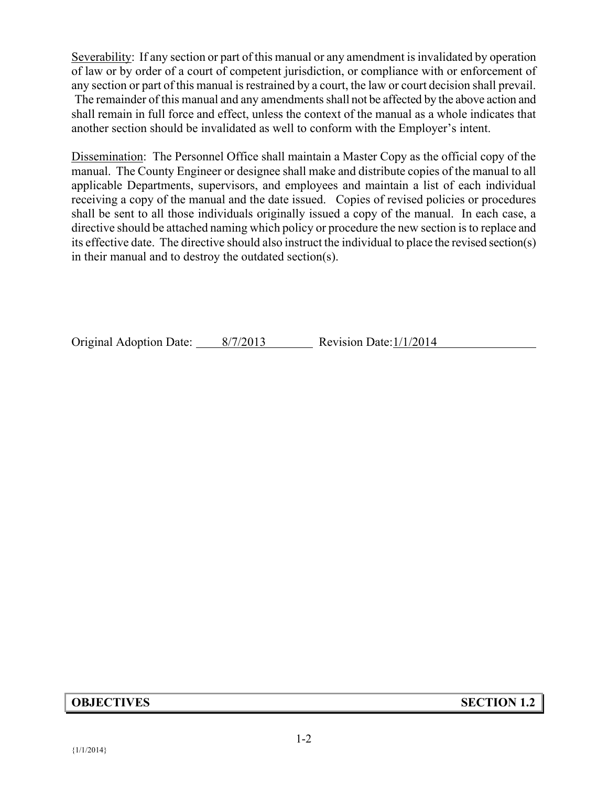Severability: If any section or part of this manual or any amendment is invalidated by operation of law or by order of a court of competent jurisdiction, or compliance with or enforcement of any section or part of this manual is restrained by a court, the law or court decision shall prevail. The remainder of this manual and any amendments shall not be affected by the above action and shall remain in full force and effect, unless the context of the manual as a whole indicates that another section should be invalidated as well to conform with the Employer's intent.

Dissemination: The Personnel Office shall maintain a Master Copy as the official copy of the manual. The County Engineer or designee shall make and distribute copies of the manual to all applicable Departments, supervisors, and employees and maintain a list of each individual receiving a copy of the manual and the date issued. Copies of revised policies or procedures shall be sent to all those individuals originally issued a copy of the manual. In each case, a directive should be attached naming which policy or procedure the new section is to replace and its effective date. The directive should also instruct the individual to place the revised section(s) in their manual and to destroy the outdated section(s).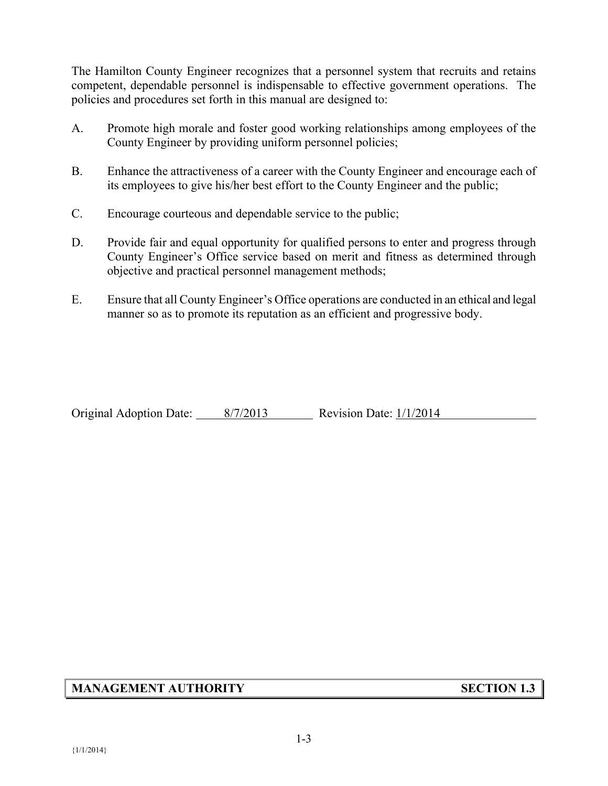The Hamilton County Engineer recognizes that a personnel system that recruits and retains competent, dependable personnel is indispensable to effective government operations. The policies and procedures set forth in this manual are designed to:

- A. Promote high morale and foster good working relationships among employees of the County Engineer by providing uniform personnel policies;
- B. Enhance the attractiveness of a career with the County Engineer and encourage each of its employees to give his/her best effort to the County Engineer and the public;
- C. Encourage courteous and dependable service to the public;
- D. Provide fair and equal opportunity for qualified persons to enter and progress through County Engineer's Office service based on merit and fitness as determined through objective and practical personnel management methods;
- E. Ensure that all County Engineer's Office operations are conducted in an ethical and legal manner so as to promote its reputation as an efficient and progressive body.

Original Adoption Date: 8/7/2013 Revision Date: 1/1/2014

#### **MANAGEMENT AUTHORITY SECTION 1.3**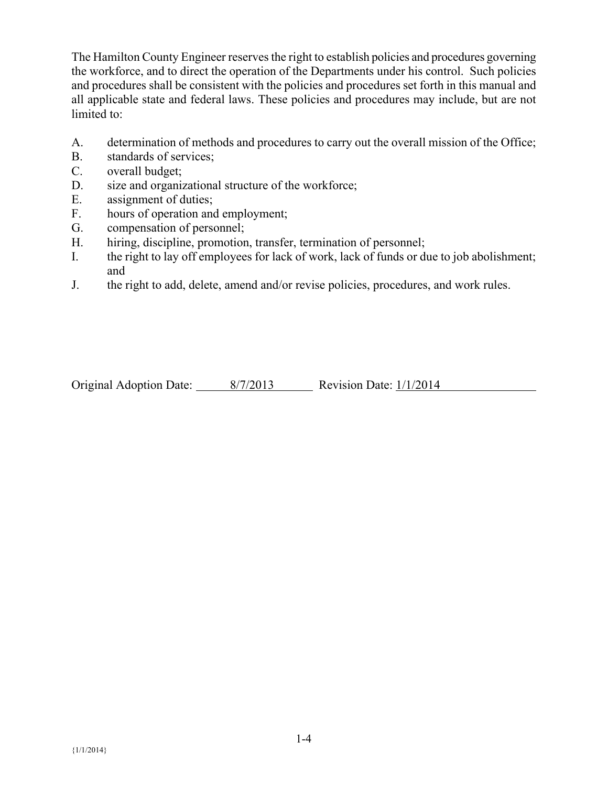The Hamilton County Engineer reserves the right to establish policies and procedures governing the workforce, and to direct the operation of the Departments under his control. Such policies and procedures shall be consistent with the policies and procedures set forth in this manual and all applicable state and federal laws. These policies and procedures may include, but are not limited to:

- A. determination of methods and procedures to carry out the overall mission of the Office;
- B. standards of services;
- C. overall budget;
- D. size and organizational structure of the workforce;
- E. assignment of duties;
- F. hours of operation and employment;
- G. compensation of personnel;
- H. hiring, discipline, promotion, transfer, termination of personnel;
- I. the right to lay off employees for lack of work, lack of funds or due to job abolishment; and
- J. the right to add, delete, amend and/or revise policies, procedures, and work rules.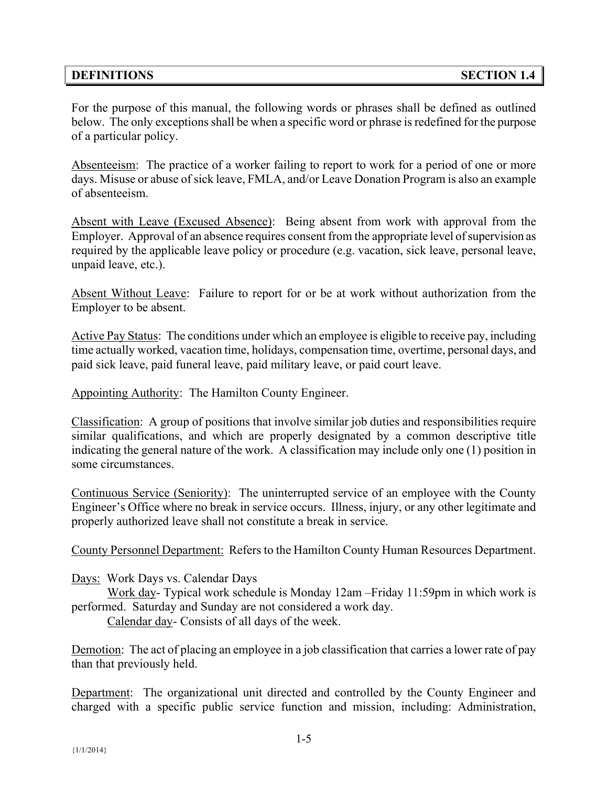#### **DEFINITIONS SECTION 1.4**

For the purpose of this manual, the following words or phrases shall be defined as outlined below. The only exceptions shall be when a specific word or phrase is redefined for the purpose of a particular policy.

Absenteeism: The practice of a worker failing to report to work for a period of one or more days. Misuse or abuse of sick leave, FMLA, and/or Leave Donation Program is also an example of absenteeism.

Absent with Leave (Excused Absence): Being absent from work with approval from the Employer. Approval of an absence requires consent from the appropriate level of supervision as required by the applicable leave policy or procedure (e.g. vacation, sick leave, personal leave, unpaid leave, etc.).

Absent Without Leave: Failure to report for or be at work without authorization from the Employer to be absent.

Active Pay Status: The conditions under which an employee is eligible to receive pay, including time actually worked, vacation time, holidays, compensation time, overtime, personal days, and paid sick leave, paid funeral leave, paid military leave, or paid court leave.

Appointing Authority: The Hamilton County Engineer.

Classification: A group of positions that involve similar job duties and responsibilities require similar qualifications, and which are properly designated by a common descriptive title indicating the general nature of the work. A classification may include only one (1) position in some circumstances.

Continuous Service (Seniority): The uninterrupted service of an employee with the County Engineer's Office where no break in service occurs. Illness, injury, or any other legitimate and properly authorized leave shall not constitute a break in service.

County Personnel Department: Refers to the Hamilton County Human Resources Department.

Days: Work Days vs. Calendar Days

Work day- Typical work schedule is Monday 12am –Friday 11:59pm in which work is performed. Saturday and Sunday are not considered a work day.

Calendar day- Consists of all days of the week.

Demotion: The act of placing an employee in a job classification that carries a lower rate of pay than that previously held.

Department: The organizational unit directed and controlled by the County Engineer and charged with a specific public service function and mission, including: Administration,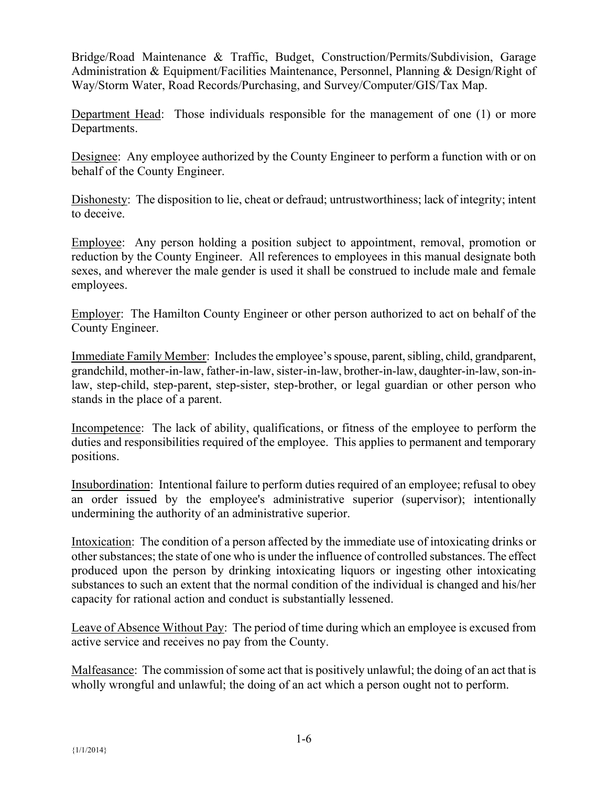Bridge/Road Maintenance & Traffic, Budget, Construction/Permits/Subdivision, Garage Administration & Equipment/Facilities Maintenance, Personnel, Planning & Design/Right of Way/Storm Water, Road Records/Purchasing, and Survey/Computer/GIS/Tax Map.

Department Head: Those individuals responsible for the management of one (1) or more Departments.

Designee: Any employee authorized by the County Engineer to perform a function with or on behalf of the County Engineer.

Dishonesty: The disposition to lie, cheat or defraud; untrustworthiness; lack of integrity; intent to deceive.

Employee: Any person holding a position subject to appointment, removal, promotion or reduction by the County Engineer. All references to employees in this manual designate both sexes, and wherever the male gender is used it shall be construed to include male and female employees.

Employer: The Hamilton County Engineer or other person authorized to act on behalf of the County Engineer.

Immediate Family Member: Includes the employee'sspouse, parent, sibling, child, grandparent, grandchild, mother-in-law, father-in-law, sister-in-law, brother-in-law, daughter-in-law, son-inlaw, step-child, step-parent, step-sister, step-brother, or legal guardian or other person who stands in the place of a parent.

Incompetence: The lack of ability, qualifications, or fitness of the employee to perform the duties and responsibilities required of the employee. This applies to permanent and temporary positions.

Insubordination: Intentional failure to perform duties required of an employee; refusal to obey an order issued by the employee's administrative superior (supervisor); intentionally undermining the authority of an administrative superior.

Intoxication: The condition of a person affected by the immediate use of intoxicating drinks or other substances; the state of one who is under the influence of controlled substances. The effect produced upon the person by drinking intoxicating liquors or ingesting other intoxicating substances to such an extent that the normal condition of the individual is changed and his/her capacity for rational action and conduct is substantially lessened.

Leave of Absence Without Pay: The period of time during which an employee is excused from active service and receives no pay from the County.

Malfeasance: The commission of some act that is positively unlawful; the doing of an act that is wholly wrongful and unlawful; the doing of an act which a person ought not to perform.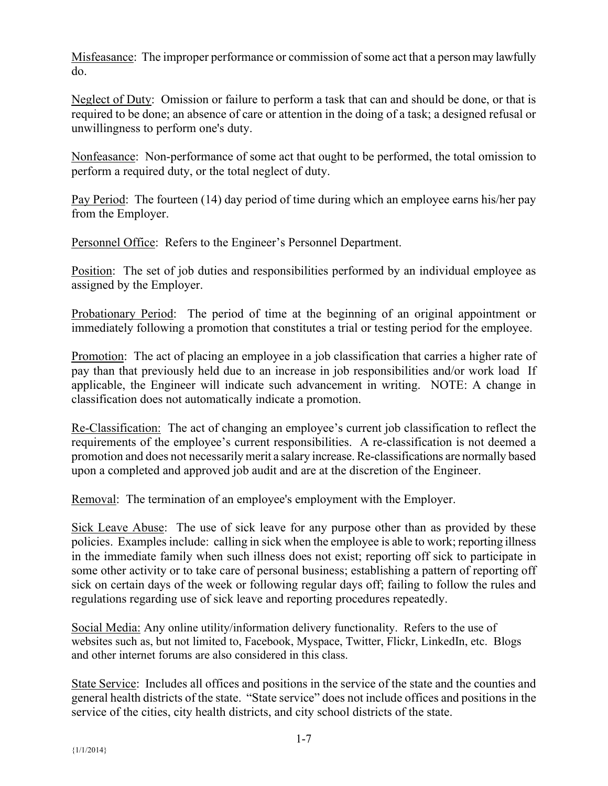Misfeasance: The improper performance or commission of some act that a person may lawfully do.

Neglect of Duty: Omission or failure to perform a task that can and should be done, or that is required to be done; an absence of care or attention in the doing of a task; a designed refusal or unwillingness to perform one's duty.

Nonfeasance: Non-performance of some act that ought to be performed, the total omission to perform a required duty, or the total neglect of duty.

Pay Period: The fourteen (14) day period of time during which an employee earns his/her pay from the Employer.

Personnel Office: Refers to the Engineer's Personnel Department.

Position: The set of job duties and responsibilities performed by an individual employee as assigned by the Employer.

Probationary Period: The period of time at the beginning of an original appointment or immediately following a promotion that constitutes a trial or testing period for the employee.

Promotion: The act of placing an employee in a job classification that carries a higher rate of pay than that previously held due to an increase in job responsibilities and/or work load If applicable, the Engineer will indicate such advancement in writing. NOTE: A change in classification does not automatically indicate a promotion.

Re-Classification: The act of changing an employee's current job classification to reflect the requirements of the employee's current responsibilities. A re-classification is not deemed a promotion and does not necessarily merit a salary increase. Re-classifications are normally based upon a completed and approved job audit and are at the discretion of the Engineer.

Removal: The termination of an employee's employment with the Employer.

Sick Leave Abuse: The use of sick leave for any purpose other than as provided by these policies. Examples include: calling in sick when the employee is able to work; reporting illness in the immediate family when such illness does not exist; reporting off sick to participate in some other activity or to take care of personal business; establishing a pattern of reporting off sick on certain days of the week or following regular days off; failing to follow the rules and regulations regarding use of sick leave and reporting procedures repeatedly.

Social Media: Any online utility/information delivery functionality. Refers to the use of websites such as, but not limited to, Facebook, Myspace, Twitter, Flickr, LinkedIn, etc. Blogs and other internet forums are also considered in this class.

State Service: Includes all offices and positions in the service of the state and the counties and general health districts of the state. "State service" does not include offices and positions in the service of the cities, city health districts, and city school districts of the state.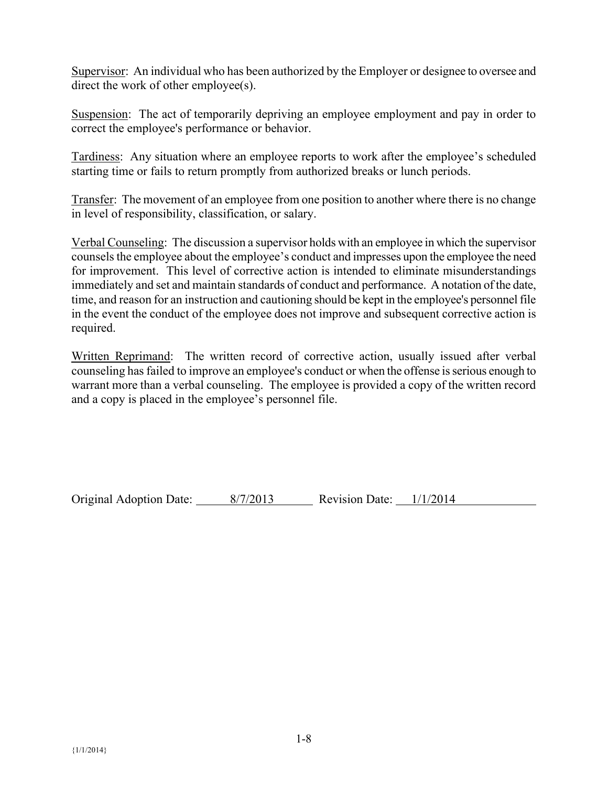Supervisor: An individual who has been authorized by the Employer or designee to oversee and direct the work of other employee(s).

Suspension: The act of temporarily depriving an employee employment and pay in order to correct the employee's performance or behavior.

Tardiness: Any situation where an employee reports to work after the employee's scheduled starting time or fails to return promptly from authorized breaks or lunch periods.

Transfer: The movement of an employee from one position to another where there is no change in level of responsibility, classification, or salary.

Verbal Counseling: The discussion a supervisor holds with an employee in which the supervisor counsels the employee about the employee's conduct and impresses upon the employee the need for improvement. This level of corrective action is intended to eliminate misunderstandings immediately and set and maintain standards of conduct and performance. A notation of the date, time, and reason for an instruction and cautioning should be kept in the employee's personnel file in the event the conduct of the employee does not improve and subsequent corrective action is required.

Written Reprimand: The written record of corrective action, usually issued after verbal counseling has failed to improve an employee's conduct or when the offense is serious enough to warrant more than a verbal counseling. The employee is provided a copy of the written record and a copy is placed in the employee's personnel file.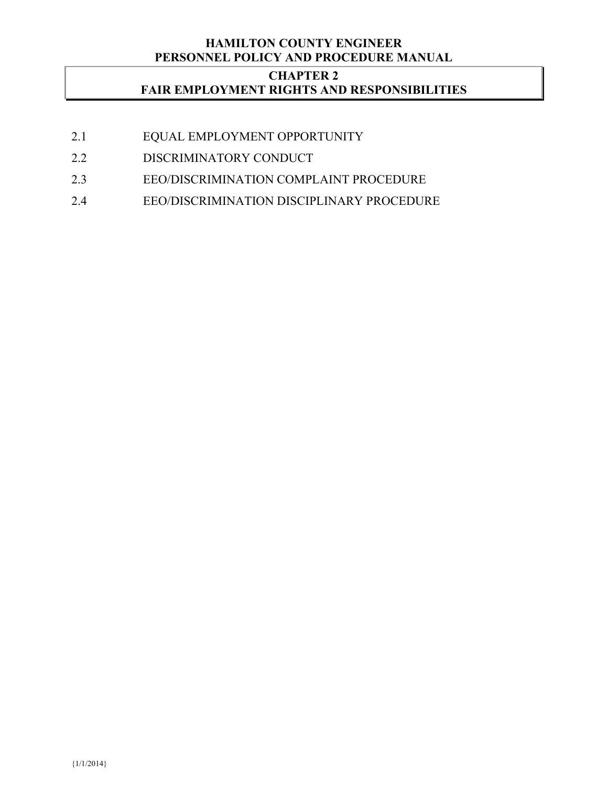### **HAMILTON COUNTY ENGINEER PERSONNEL POLICY AND PROCEDURE MANUAL**

# **CHAPTER 2 FAIR EMPLOYMENT RIGHTS AND RESPONSIBILITIES**

- 2.1 EQUAL EMPLOYMENT OPPORTUNITY
- 2.2 DISCRIMINATORY CONDUCT
- 2.3 EEO/DISCRIMINATION COMPLAINT PROCEDURE
- 2.4 EEO/DISCRIMINATION DISCIPLINARY PROCEDURE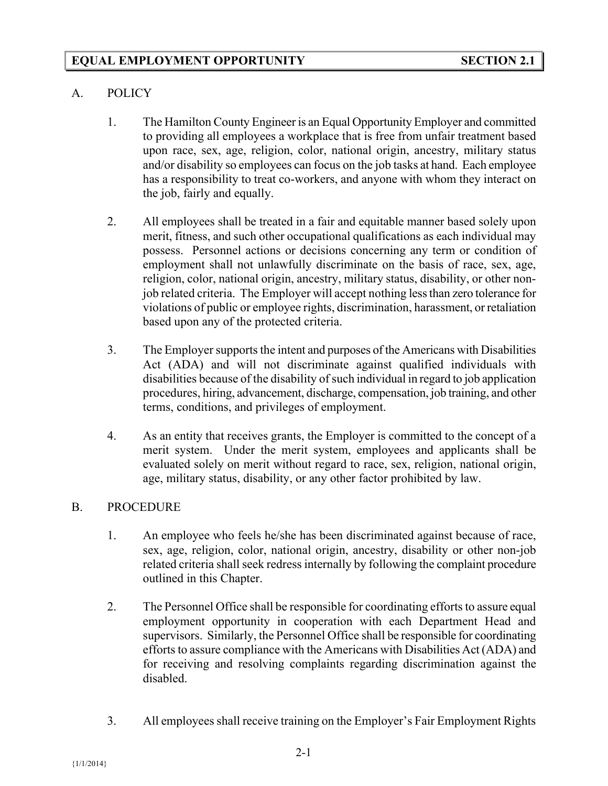## A. POLICY

- 1. The Hamilton County Engineer is an Equal Opportunity Employer and committed to providing all employees a workplace that is free from unfair treatment based upon race, sex, age, religion, color, national origin, ancestry, military status and/or disability so employees can focus on the job tasks at hand. Each employee has a responsibility to treat co-workers, and anyone with whom they interact on the job, fairly and equally.
- 2. All employees shall be treated in a fair and equitable manner based solely upon merit, fitness, and such other occupational qualifications as each individual may possess. Personnel actions or decisions concerning any term or condition of employment shall not unlawfully discriminate on the basis of race, sex, age, religion, color, national origin, ancestry, military status, disability, or other nonjob related criteria. The Employer will accept nothing less than zero tolerance for violations of public or employee rights, discrimination, harassment, or retaliation based upon any of the protected criteria.
- 3. The Employer supports the intent and purposes of the Americans with Disabilities Act (ADA) and will not discriminate against qualified individuals with disabilities because of the disability of such individual in regard to job application procedures, hiring, advancement, discharge, compensation, job training, and other terms, conditions, and privileges of employment.
- 4. As an entity that receives grants, the Employer is committed to the concept of a merit system. Under the merit system, employees and applicants shall be evaluated solely on merit without regard to race, sex, religion, national origin, age, military status, disability, or any other factor prohibited by law.

#### B. PROCEDURE

- 1. An employee who feels he/she has been discriminated against because of race, sex, age, religion, color, national origin, ancestry, disability or other non-job related criteria shall seek redress internally by following the complaint procedure outlined in this Chapter.
- 2. The Personnel Office shall be responsible for coordinating efforts to assure equal employment opportunity in cooperation with each Department Head and supervisors. Similarly, the Personnel Office shall be responsible for coordinating efforts to assure compliance with the Americans with Disabilities Act (ADA) and for receiving and resolving complaints regarding discrimination against the disabled.
- 3. All employees shall receive training on the Employer's Fair Employment Rights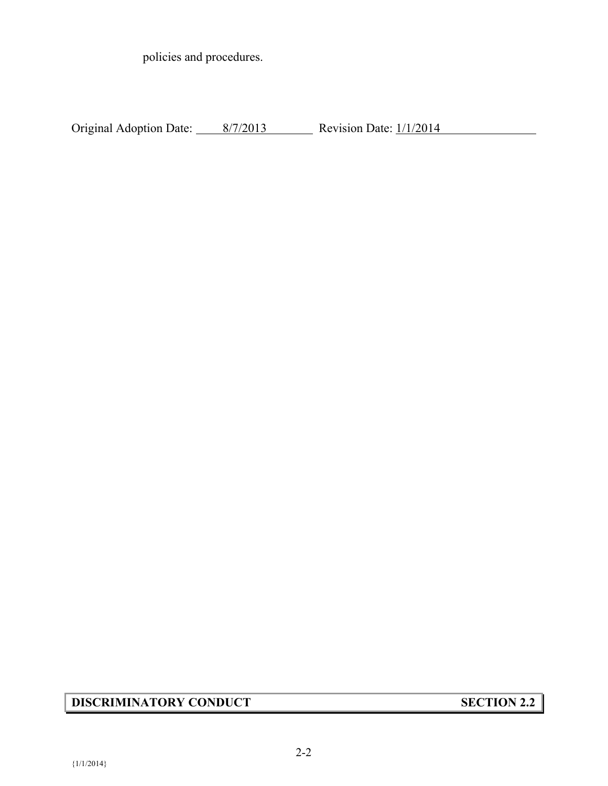policies and procedures.

Original Adoption Date:  $\frac{8/7/2013}{8/7/2013}$  Revision Date:  $\frac{1}{1/2014}$ 

# **DISCRIMINATORY CONDUCT SECTION 2.2**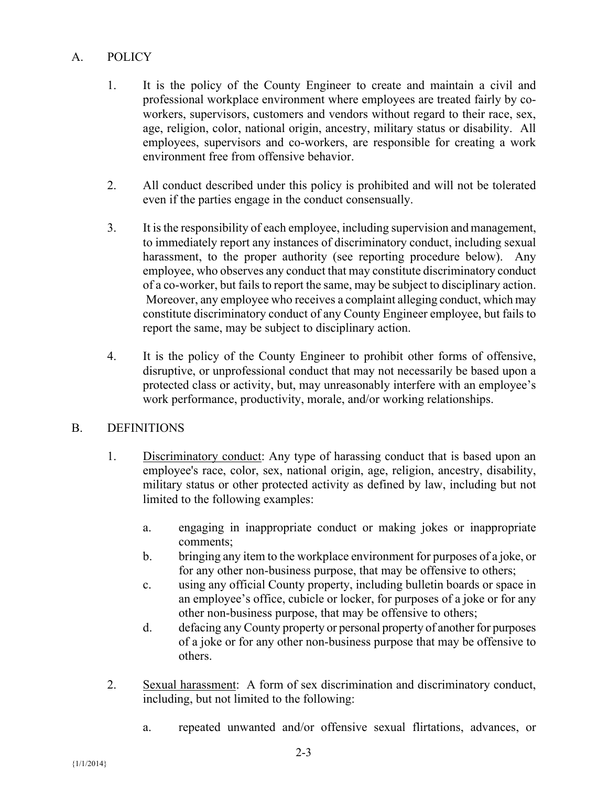# A. POLICY

- 1. It is the policy of the County Engineer to create and maintain a civil and professional workplace environment where employees are treated fairly by coworkers, supervisors, customers and vendors without regard to their race, sex, age, religion, color, national origin, ancestry, military status or disability. All employees, supervisors and co-workers, are responsible for creating a work environment free from offensive behavior.
- 2. All conduct described under this policy is prohibited and will not be tolerated even if the parties engage in the conduct consensually.
- 3. It is the responsibility of each employee, including supervision and management, to immediately report any instances of discriminatory conduct, including sexual harassment, to the proper authority (see reporting procedure below). Any employee, who observes any conduct that may constitute discriminatory conduct of a co-worker, but fails to report the same, may be subject to disciplinary action. Moreover, any employee who receives a complaint alleging conduct, which may constitute discriminatory conduct of any County Engineer employee, but fails to report the same, may be subject to disciplinary action.
- 4. It is the policy of the County Engineer to prohibit other forms of offensive, disruptive, or unprofessional conduct that may not necessarily be based upon a protected class or activity, but, may unreasonably interfere with an employee's work performance, productivity, morale, and/or working relationships.

# B. DEFINITIONS

- 1. Discriminatory conduct: Any type of harassing conduct that is based upon an employee's race, color, sex, national origin, age, religion, ancestry, disability, military status or other protected activity as defined by law, including but not limited to the following examples:
	- a. engaging in inappropriate conduct or making jokes or inappropriate comments;
	- b. bringing any item to the workplace environment for purposes of a joke, or for any other non-business purpose, that may be offensive to others;
	- c. using any official County property, including bulletin boards or space in an employee's office, cubicle or locker, for purposes of a joke or for any other non-business purpose, that may be offensive to others;
	- d. defacing any County property or personal property of another for purposes of a joke or for any other non-business purpose that may be offensive to others.
- 2. Sexual harassment: A form of sex discrimination and discriminatory conduct, including, but not limited to the following:
	- a. repeated unwanted and/or offensive sexual flirtations, advances, or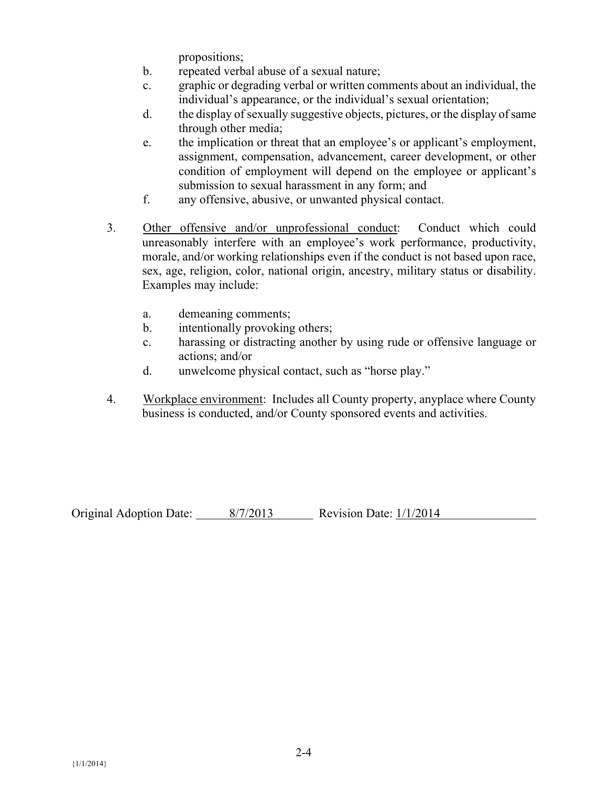propositions;

- b. repeated verbal abuse of a sexual nature;
- c. graphic or degrading verbal or written comments about an individual, the individual's appearance, or the individual's sexual orientation;
- d. the display of sexually suggestive objects, pictures, or the display of same through other media;
- e. the implication or threat that an employee's or applicant's employment, assignment, compensation, advancement, career development, or other condition of employment will depend on the employee or applicant's submission to sexual harassment in any form; and
- f. any offensive, abusive, or unwanted physical contact.
- 3. Other offensive and/or unprofessional conduct: Conduct which could unreasonably interfere with an employee's work performance, productivity, morale, and/or working relationships even if the conduct is not based upon race, sex, age, religion, color, national origin, ancestry, military status or disability. Examples may include:
	- a. demeaning comments;
	- b. intentionally provoking others;
	- c. harassing or distracting another by using rude or offensive language or actions; and/or
	- d. unwelcome physical contact, such as "horse play."
- 4. Workplace environment: Includes all County property, anyplace where County business is conducted, and/or County sponsored events and activities.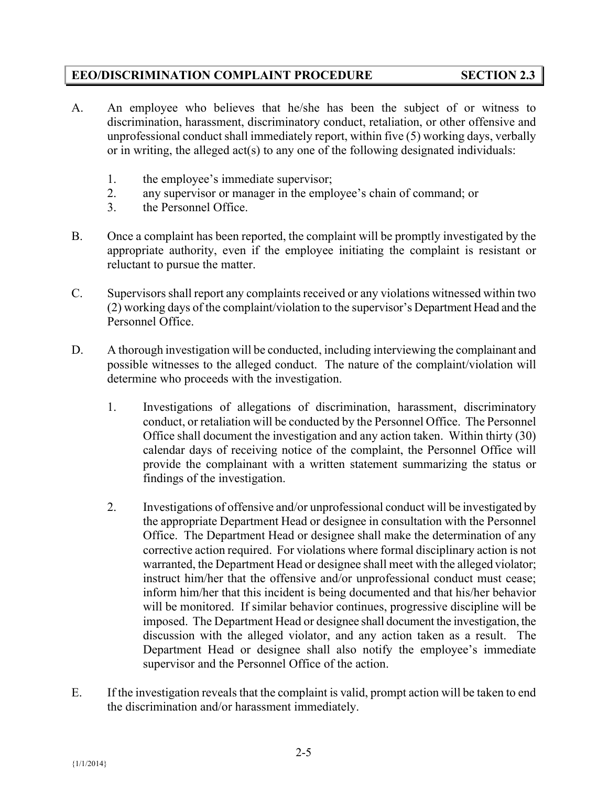## **EEO/DISCRIMINATION COMPLAINT PROCEDURE SECTION 2.3**

- A. An employee who believes that he/she has been the subject of or witness to discrimination, harassment, discriminatory conduct, retaliation, or other offensive and unprofessional conduct shall immediately report, within five (5) working days, verbally or in writing, the alleged act(s) to any one of the following designated individuals:
	- 1. the employee's immediate supervisor;
	- 2. any supervisor or manager in the employee's chain of command; or
	- 3. the Personnel Office.
- B. Once a complaint has been reported, the complaint will be promptly investigated by the appropriate authority, even if the employee initiating the complaint is resistant or reluctant to pursue the matter.
- C. Supervisors shall report any complaints received or any violations witnessed within two (2) working days of the complaint/violation to the supervisor's Department Head and the Personnel Office.
- D. A thorough investigation will be conducted, including interviewing the complainant and possible witnesses to the alleged conduct. The nature of the complaint/violation will determine who proceeds with the investigation.
	- 1. Investigations of allegations of discrimination, harassment, discriminatory conduct, or retaliation will be conducted by the Personnel Office. The Personnel Office shall document the investigation and any action taken. Within thirty (30) calendar days of receiving notice of the complaint, the Personnel Office will provide the complainant with a written statement summarizing the status or findings of the investigation.
	- 2. Investigations of offensive and/or unprofessional conduct will be investigated by the appropriate Department Head or designee in consultation with the Personnel Office. The Department Head or designee shall make the determination of any corrective action required. For violations where formal disciplinary action is not warranted, the Department Head or designee shall meet with the alleged violator; instruct him/her that the offensive and/or unprofessional conduct must cease; inform him/her that this incident is being documented and that his/her behavior will be monitored. If similar behavior continues, progressive discipline will be imposed. The Department Head or designee shall document the investigation, the discussion with the alleged violator, and any action taken as a result. The Department Head or designee shall also notify the employee's immediate supervisor and the Personnel Office of the action.
- E. If the investigation reveals that the complaint is valid, prompt action will be taken to end the discrimination and/or harassment immediately.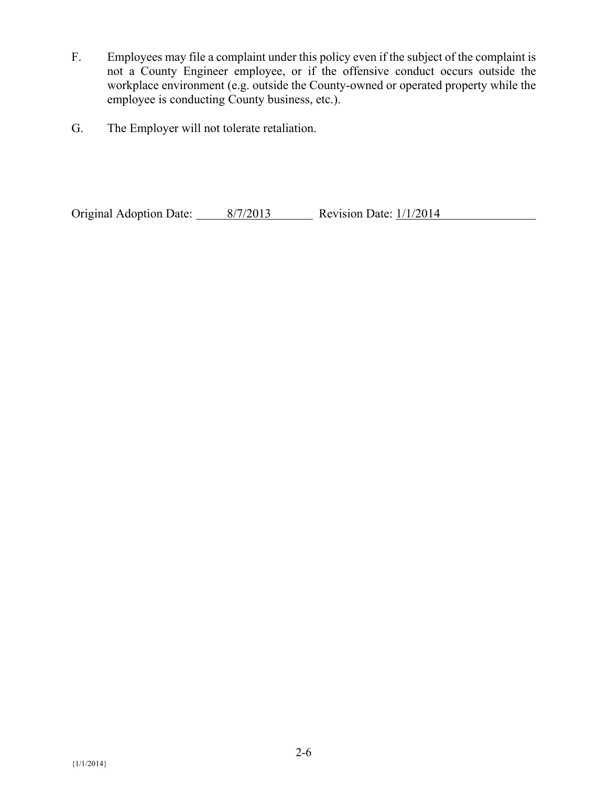- F. Employees may file a complaint under this policy even if the subject of the complaint is not a County Engineer employee, or if the offensive conduct occurs outside the workplace environment (e.g. outside the County-owned or operated property while the employee is conducting County business, etc.).
- G. The Employer will not tolerate retaliation.

Original Adoption Date:  $\frac{8}{7/2013}$  Revision Date:  $\frac{1}{1/2014}$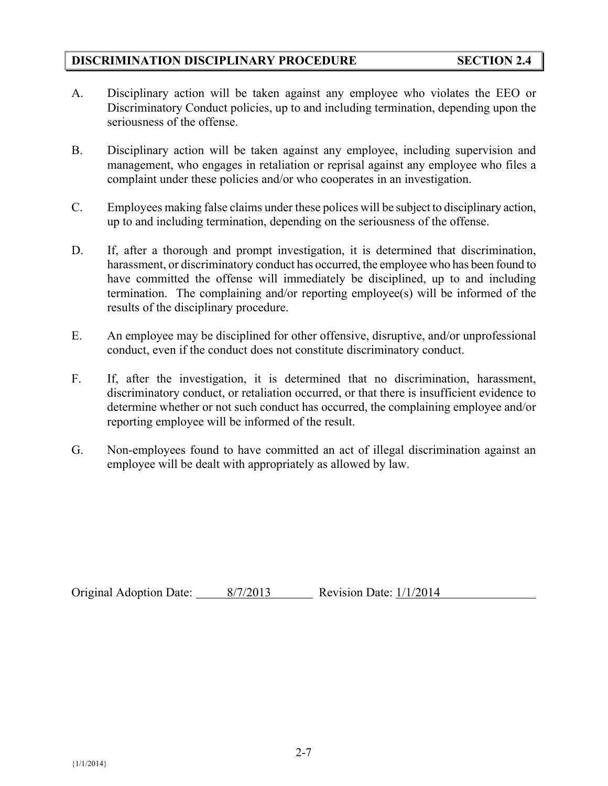## **DISCRIMINATION DISCIPLINARY PROCEDURE SECTION 2.4**

- A. Disciplinary action will be taken against any employee who violates the EEO or Discriminatory Conduct policies, up to and including termination, depending upon the seriousness of the offense.
- B. Disciplinary action will be taken against any employee, including supervision and management, who engages in retaliation or reprisal against any employee who files a complaint under these policies and/or who cooperates in an investigation.
- C. Employees making false claims under these polices will be subject to disciplinary action, up to and including termination, depending on the seriousness of the offense.
- D. If, after a thorough and prompt investigation, it is determined that discrimination, harassment, or discriminatory conduct has occurred, the employee who has been found to have committed the offense will immediately be disciplined, up to and including termination. The complaining and/or reporting employee(s) will be informed of the results of the disciplinary procedure.
- E. An employee may be disciplined for other offensive, disruptive, and/or unprofessional conduct, even if the conduct does not constitute discriminatory conduct.
- F. If, after the investigation, it is determined that no discrimination, harassment, discriminatory conduct, or retaliation occurred, or that there is insufficient evidence to determine whether or not such conduct has occurred, the complaining employee and/or reporting employee will be informed of the result.
- G. Non-employees found to have committed an act of illegal discrimination against an employee will be dealt with appropriately as allowed by law.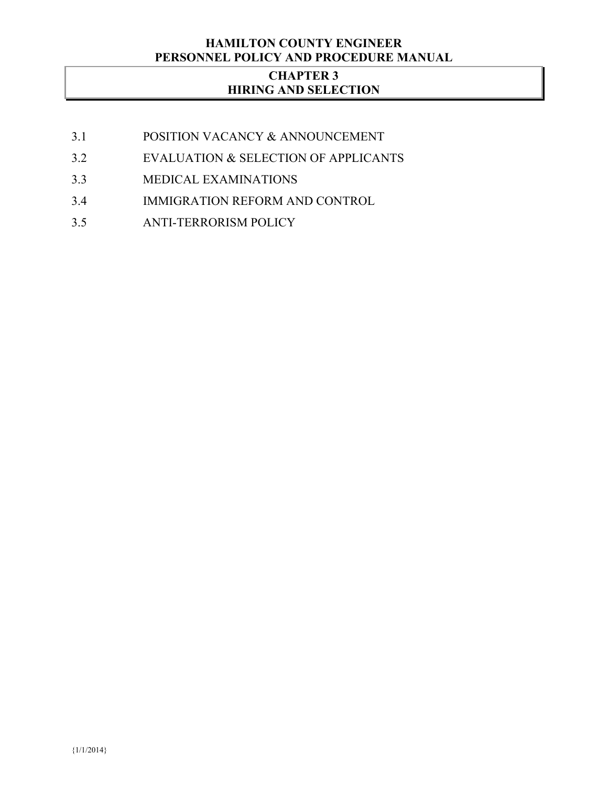## **HAMILTON COUNTY ENGINEER PERSONNEL POLICY AND PROCEDURE MANUAL**

# **CHAPTER 3 HIRING AND SELECTION**

- 3.1 POSITION VACANCY & ANNOUNCEMENT
- 3.2 EVALUATION & SELECTION OF APPLICANTS
- 3.3 MEDICAL EXAMINATIONS
- 3.4 IMMIGRATION REFORM AND CONTROL
- 3.5 ANTI-TERRORISM POLICY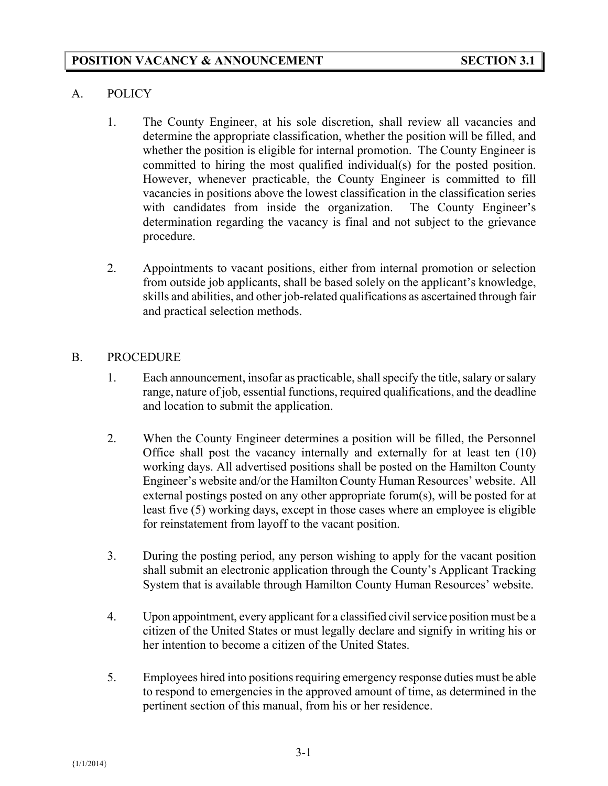## A. POLICY

- 1. The County Engineer, at his sole discretion, shall review all vacancies and determine the appropriate classification, whether the position will be filled, and whether the position is eligible for internal promotion. The County Engineer is committed to hiring the most qualified individual(s) for the posted position. However, whenever practicable, the County Engineer is committed to fill vacancies in positions above the lowest classification in the classification series with candidates from inside the organization. The County Engineer's determination regarding the vacancy is final and not subject to the grievance procedure.
- 2. Appointments to vacant positions, either from internal promotion or selection from outside job applicants, shall be based solely on the applicant's knowledge, skills and abilities, and other job-related qualifications as ascertained through fair and practical selection methods.

#### B. PROCEDURE

- 1. Each announcement, insofar as practicable, shall specify the title, salary or salary range, nature of job, essential functions, required qualifications, and the deadline and location to submit the application.
- 2. When the County Engineer determines a position will be filled, the Personnel Office shall post the vacancy internally and externally for at least ten (10) working days. All advertised positions shall be posted on the Hamilton County Engineer's website and/or the Hamilton County Human Resources' website. All external postings posted on any other appropriate forum(s), will be posted for at least five (5) working days, except in those cases where an employee is eligible for reinstatement from layoff to the vacant position.
- 3. During the posting period, any person wishing to apply for the vacant position shall submit an electronic application through the County's Applicant Tracking System that is available through Hamilton County Human Resources' website.
- 4. Upon appointment, every applicant for a classified civil service position must be a citizen of the United States or must legally declare and signify in writing his or her intention to become a citizen of the United States.
- 5. Employees hired into positions requiring emergency response duties must be able to respond to emergencies in the approved amount of time, as determined in the pertinent section of this manual, from his or her residence.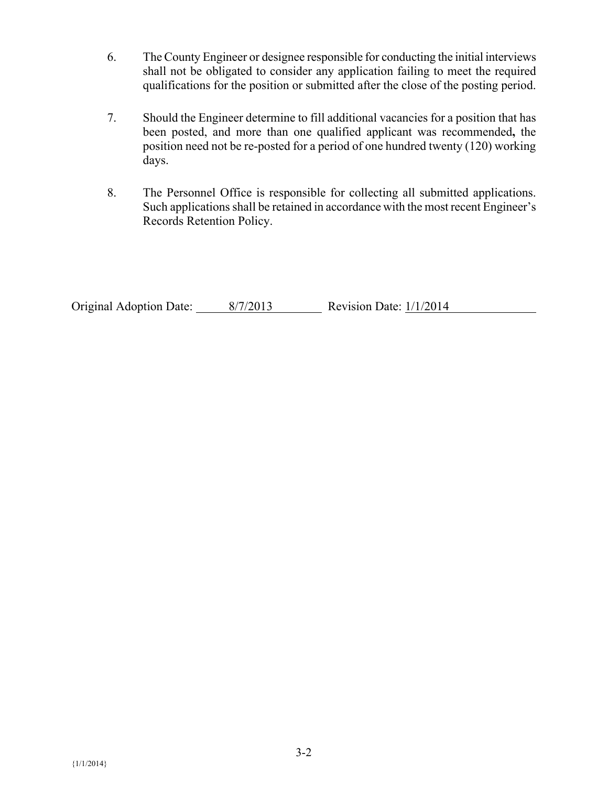- 6. The County Engineer or designee responsible for conducting the initial interviews shall not be obligated to consider any application failing to meet the required qualifications for the position or submitted after the close of the posting period.
- 7. Should the Engineer determine to fill additional vacancies for a position that has been posted, and more than one qualified applicant was recommended**,** the position need not be re-posted for a period of one hundred twenty (120) working days.
- 8. The Personnel Office is responsible for collecting all submitted applications. Such applications shall be retained in accordance with the most recent Engineer's Records Retention Policy.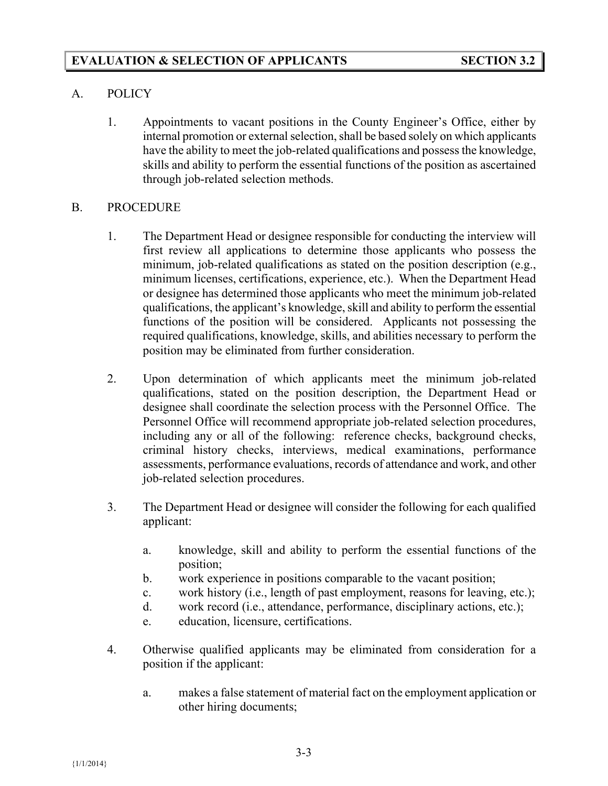# A. POLICY

 1. Appointments to vacant positions in the County Engineer's Office, either by internal promotion or external selection, shall be based solely on which applicants have the ability to meet the job-related qualifications and possess the knowledge, skills and ability to perform the essential functions of the position as ascertained through job-related selection methods.

# B. PROCEDURE

- 1. The Department Head or designee responsible for conducting the interview will first review all applications to determine those applicants who possess the minimum, job-related qualifications as stated on the position description (e.g., minimum licenses, certifications, experience, etc.). When the Department Head or designee has determined those applicants who meet the minimum job-related qualifications, the applicant's knowledge, skill and ability to perform the essential functions of the position will be considered. Applicants not possessing the required qualifications, knowledge, skills, and abilities necessary to perform the position may be eliminated from further consideration.
- 2. Upon determination of which applicants meet the minimum job-related qualifications, stated on the position description, the Department Head or designee shall coordinate the selection process with the Personnel Office. The Personnel Office will recommend appropriate job-related selection procedures, including any or all of the following: reference checks, background checks, criminal history checks, interviews, medical examinations, performance assessments, performance evaluations, records of attendance and work, and other job-related selection procedures.
- 3. The Department Head or designee will consider the following for each qualified applicant:
	- a. knowledge, skill and ability to perform the essential functions of the position;
	- b. work experience in positions comparable to the vacant position;
	- c. work history (i.e., length of past employment, reasons for leaving, etc.);
	- d. work record (i.e., attendance, performance, disciplinary actions, etc.);
	- e. education, licensure, certifications.
- 4. Otherwise qualified applicants may be eliminated from consideration for a position if the applicant:
	- a. makes a false statement of material fact on the employment application or other hiring documents;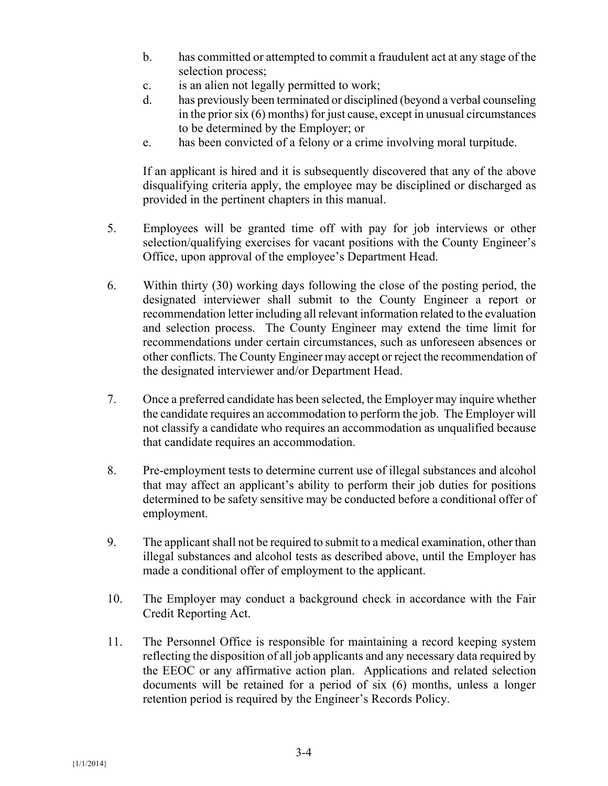- b. has committed or attempted to commit a fraudulent act at any stage of the selection process;
- c. is an alien not legally permitted to work;
- d. has previously been terminated or disciplined (beyond a verbal counseling in the prior six (6) months) for just cause, except in unusual circumstances to be determined by the Employer; or
- e. has been convicted of a felony or a crime involving moral turpitude.

 If an applicant is hired and it is subsequently discovered that any of the above disqualifying criteria apply, the employee may be disciplined or discharged as provided in the pertinent chapters in this manual.

- 5. Employees will be granted time off with pay for job interviews or other selection/qualifying exercises for vacant positions with the County Engineer's Office, upon approval of the employee's Department Head.
- 6. Within thirty (30) working days following the close of the posting period, the designated interviewer shall submit to the County Engineer a report or recommendation letter including all relevant information related to the evaluation and selection process. The County Engineer may extend the time limit for recommendations under certain circumstances, such as unforeseen absences or other conflicts. The County Engineer may accept or reject the recommendation of the designated interviewer and/or Department Head.
- 7. Once a preferred candidate has been selected, the Employer may inquire whether the candidate requires an accommodation to perform the job. The Employer will not classify a candidate who requires an accommodation as unqualified because that candidate requires an accommodation.
- 8. Pre-employment tests to determine current use of illegal substances and alcohol that may affect an applicant's ability to perform their job duties for positions determined to be safety sensitive may be conducted before a conditional offer of employment.
- 9. The applicant shall not be required to submit to a medical examination, other than illegal substances and alcohol tests as described above, until the Employer has made a conditional offer of employment to the applicant.
- 10. The Employer may conduct a background check in accordance with the Fair Credit Reporting Act.
- 11. The Personnel Office is responsible for maintaining a record keeping system reflecting the disposition of all job applicants and any necessary data required by the EEOC or any affirmative action plan. Applications and related selection documents will be retained for a period of six (6) months, unless a longer retention period is required by the Engineer's Records Policy.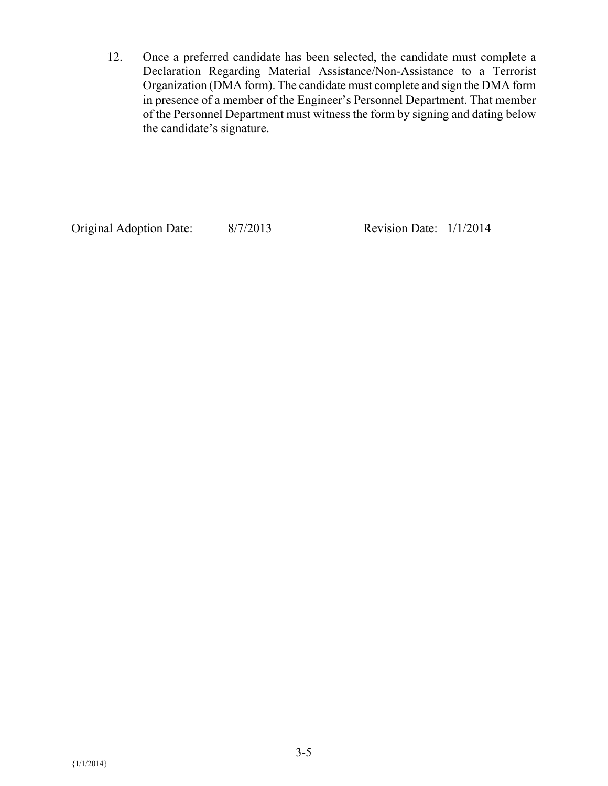12. Once a preferred candidate has been selected, the candidate must complete a Declaration Regarding Material Assistance/Non-Assistance to a Terrorist Organization (DMA form). The candidate must complete and sign the DMA form in presence of a member of the Engineer's Personnel Department. That member of the Personnel Department must witness the form by signing and dating below the candidate's signature.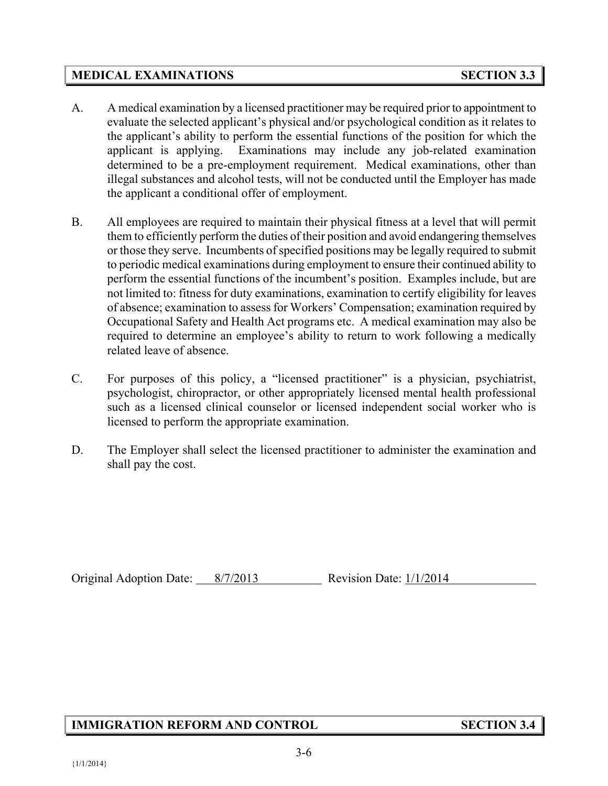## **MEDICAL EXAMINATIONS** SECTION 3.3

- A. A medical examination by a licensed practitioner may be required prior to appointment to evaluate the selected applicant's physical and/or psychological condition as it relates to the applicant's ability to perform the essential functions of the position for which the applicant is applying. Examinations may include any job-related examination determined to be a pre-employment requirement. Medical examinations, other than illegal substances and alcohol tests, will not be conducted until the Employer has made the applicant a conditional offer of employment.
- B. All employees are required to maintain their physical fitness at a level that will permit them to efficiently perform the duties of their position and avoid endangering themselves or those they serve. Incumbents of specified positions may be legally required to submit to periodic medical examinations during employment to ensure their continued ability to perform the essential functions of the incumbent's position. Examples include, but are not limited to: fitness for duty examinations, examination to certify eligibility for leaves of absence; examination to assess for Workers' Compensation; examination required by Occupational Safety and Health Act programs etc. A medical examination may also be required to determine an employee's ability to return to work following a medically related leave of absence.
- C. For purposes of this policy, a "licensed practitioner" is a physician, psychiatrist, psychologist, chiropractor, or other appropriately licensed mental health professional such as a licensed clinical counselor or licensed independent social worker who is licensed to perform the appropriate examination.
- D. The Employer shall select the licensed practitioner to administer the examination and shall pay the cost.

Original Adoption Date: 8/7/2013 Revision Date: 1/1/2014

# **IMMIGRATION REFORM AND CONTROL SECTION 3.4**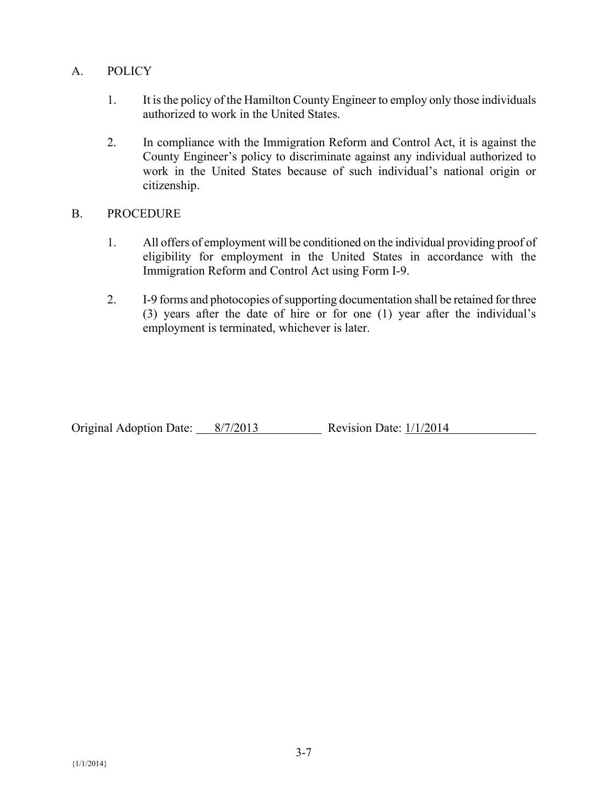# A. POLICY

- 1. It is the policy of the Hamilton County Engineer to employ only those individuals authorized to work in the United States.
- 2. In compliance with the Immigration Reform and Control Act, it is against the County Engineer's policy to discriminate against any individual authorized to work in the United States because of such individual's national origin or citizenship.

#### B. PROCEDURE

- 1. All offers of employment will be conditioned on the individual providing proof of eligibility for employment in the United States in accordance with the Immigration Reform and Control Act using Form I-9.
- 2. I-9 forms and photocopies of supporting documentation shall be retained for three (3) years after the date of hire or for one (1) year after the individual's employment is terminated, whichever is later.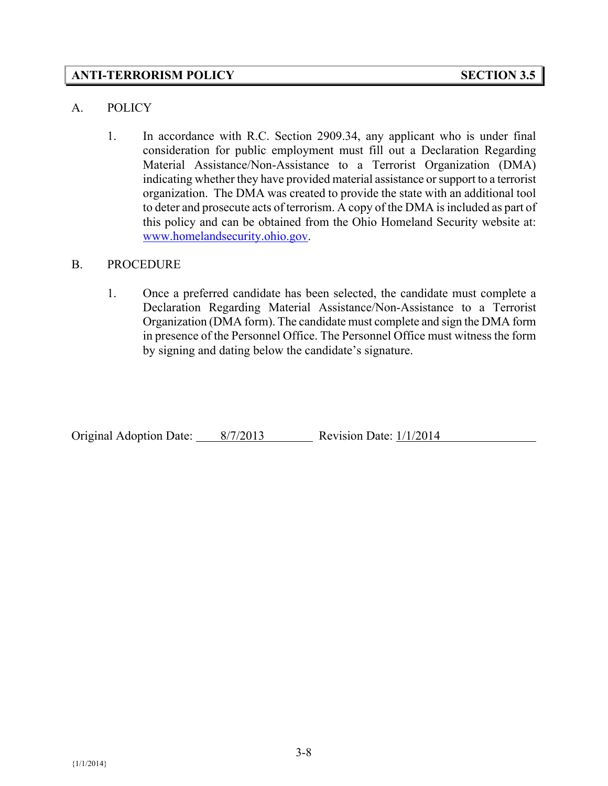## **ANTI-TERRORISM POLICY SECTION 3.5**

#### A. POLICY

1. In accordance with R.C. Section 2909.34, any applicant who is under final consideration for public employment must fill out a Declaration Regarding Material Assistance/Non-Assistance to a Terrorist Organization (DMA) indicating whether they have provided material assistance or support to a terrorist organization. The DMA was created to provide the state with an additional tool to deter and prosecute acts of terrorism. A copy of the DMA is included as part of this policy and can be obtained from the Ohio Homeland Security website at: www.homelandsecurity.ohio.gov.

#### B. PROCEDURE

1. Once a preferred candidate has been selected, the candidate must complete a Declaration Regarding Material Assistance/Non-Assistance to a Terrorist Organization (DMA form). The candidate must complete and sign the DMA form in presence of the Personnel Office. The Personnel Office must witness the form by signing and dating below the candidate's signature.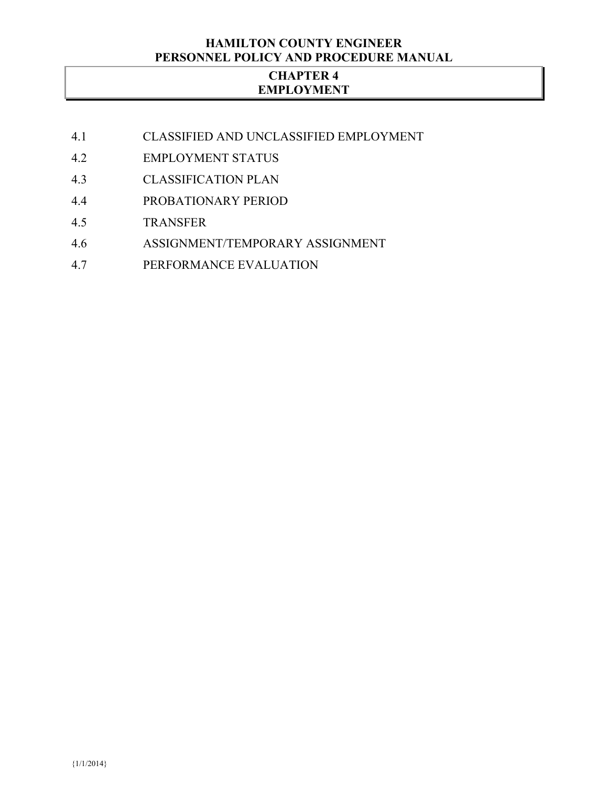#### **HAMILTON COUNTY ENGINEER PERSONNEL POLICY AND PROCEDURE MANUAL**

## **CHAPTER 4 EMPLOYMENT**

- 4.1 CLASSIFIED AND UNCLASSIFIED EMPLOYMENT
- 4.2 EMPLOYMENT STATUS
- 4.3 CLASSIFICATION PLAN
- 4.4 PROBATIONARY PERIOD
- 4.5 TRANSFER
- 4.6 ASSIGNMENT/TEMPORARY ASSIGNMENT
- 4.7 PERFORMANCE EVALUATION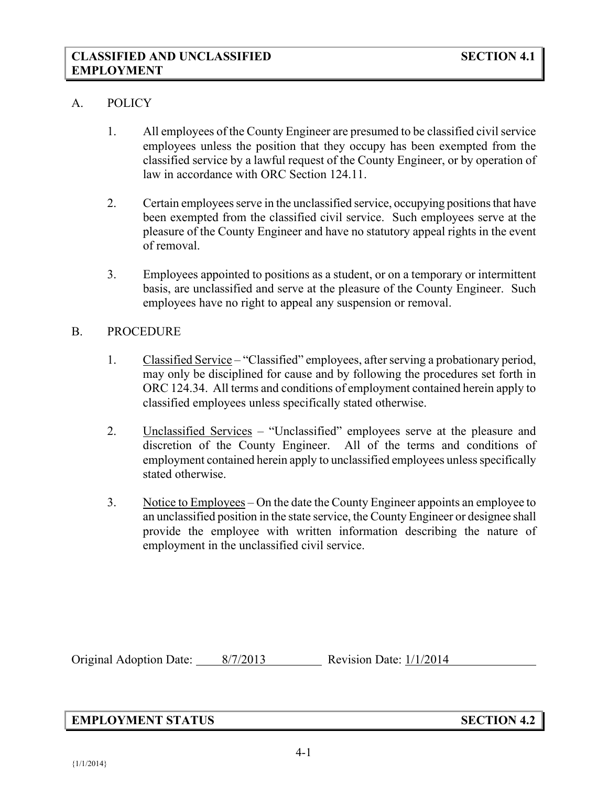#### A. POLICY

- 1. All employees of the County Engineer are presumed to be classified civil service employees unless the position that they occupy has been exempted from the classified service by a lawful request of the County Engineer, or by operation of law in accordance with ORC Section 124.11.
- 2. Certain employees serve in the unclassified service, occupying positions that have been exempted from the classified civil service. Such employees serve at the pleasure of the County Engineer and have no statutory appeal rights in the event of removal.
- 3. Employees appointed to positions as a student, or on a temporary or intermittent basis, are unclassified and serve at the pleasure of the County Engineer. Such employees have no right to appeal any suspension or removal.

#### B. PROCEDURE

- 1. Classified Service "Classified" employees, after serving a probationary period, may only be disciplined for cause and by following the procedures set forth in ORC 124.34. All terms and conditions of employment contained herein apply to classified employees unless specifically stated otherwise.
- 2. Unclassified Services "Unclassified" employees serve at the pleasure and discretion of the County Engineer. All of the terms and conditions of employment contained herein apply to unclassified employees unless specifically stated otherwise.
- 3. Notice to Employees On the date the County Engineer appoints an employee to an unclassified position in the state service, the County Engineer or designee shall provide the employee with written information describing the nature of employment in the unclassified civil service.

Original Adoption Date: 8/7/2013 Revision Date: 1/1/2014

# **EMPLOYMENT STATUS SECTION 4.2**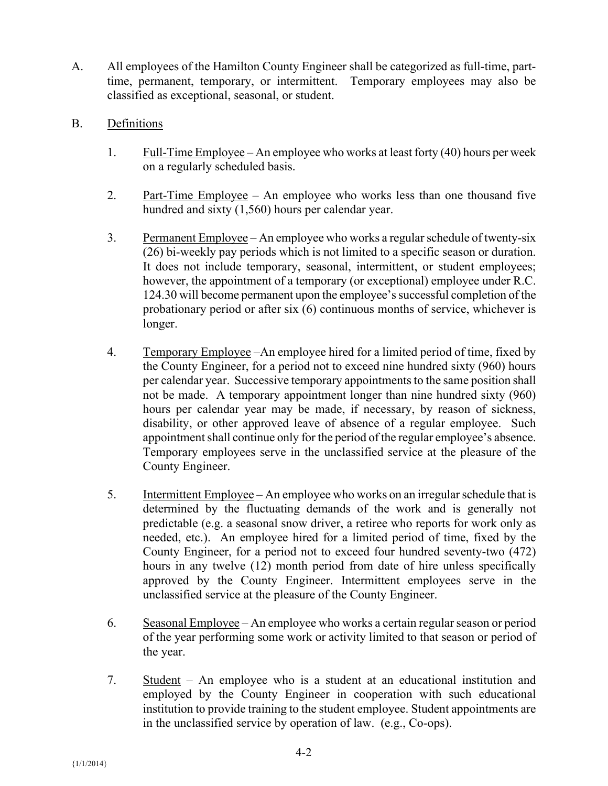- A. All employees of the Hamilton County Engineer shall be categorized as full-time, parttime, permanent, temporary, or intermittent. Temporary employees may also be classified as exceptional, seasonal, or student.
- B. Definitions
	- 1. Full-Time Employee An employee who works at least forty  $(40)$  hours per week on a regularly scheduled basis.
	- 2. Part-Time Employee An employee who works less than one thousand five hundred and sixty (1,560) hours per calendar year.
	- 3. Permanent Employee An employee who works a regular schedule of twenty-six (26) bi-weekly pay periods which is not limited to a specific season or duration. It does not include temporary, seasonal, intermittent, or student employees; however, the appointment of a temporary (or exceptional) employee under R.C. 124.30 will become permanent upon the employee's successful completion of the probationary period or after six (6) continuous months of service, whichever is longer.
	- 4. Temporary Employee –An employee hired for a limited period of time, fixed by the County Engineer, for a period not to exceed nine hundred sixty (960) hours per calendar year. Successive temporary appointments to the same position shall not be made. A temporary appointment longer than nine hundred sixty (960) hours per calendar year may be made, if necessary, by reason of sickness, disability, or other approved leave of absence of a regular employee. Such appointment shall continue only for the period of the regular employee's absence. Temporary employees serve in the unclassified service at the pleasure of the County Engineer.
	- 5. Intermittent Employee An employee who works on an irregular schedule that is determined by the fluctuating demands of the work and is generally not predictable (e.g. a seasonal snow driver, a retiree who reports for work only as needed, etc.). An employee hired for a limited period of time, fixed by the County Engineer, for a period not to exceed four hundred seventy-two (472) hours in any twelve (12) month period from date of hire unless specifically approved by the County Engineer. Intermittent employees serve in the unclassified service at the pleasure of the County Engineer.
	- 6. Seasonal Employee An employee who works a certain regular season or period of the year performing some work or activity limited to that season or period of the year.
	- 7. Student An employee who is a student at an educational institution and employed by the County Engineer in cooperation with such educational institution to provide training to the student employee. Student appointments are in the unclassified service by operation of law. (e.g., Co-ops).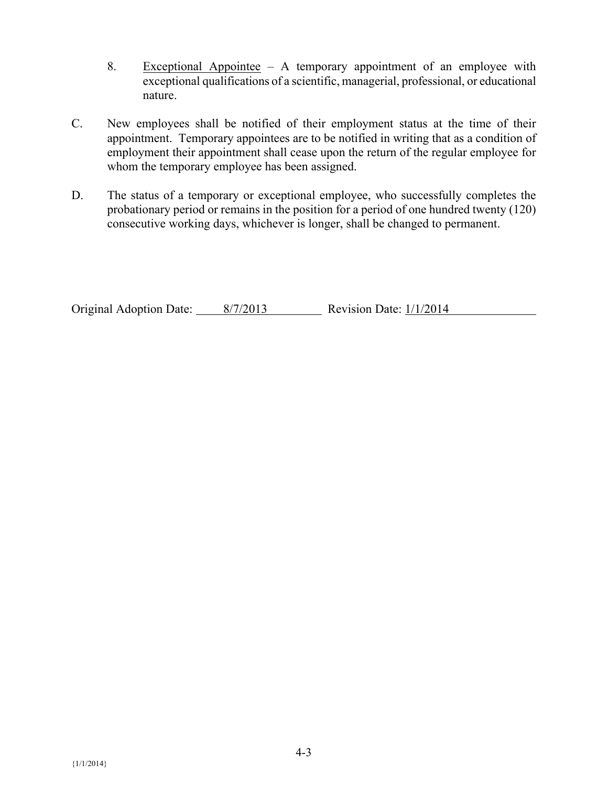- 8. Exceptional Appointee  $-$  A temporary appointment of an employee with exceptional qualifications of a scientific, managerial, professional, or educational nature.
- C. New employees shall be notified of their employment status at the time of their appointment. Temporary appointees are to be notified in writing that as a condition of employment their appointment shall cease upon the return of the regular employee for whom the temporary employee has been assigned.
- D. The status of a temporary or exceptional employee, who successfully completes the probationary period or remains in the position for a period of one hundred twenty (120) consecutive working days, whichever is longer, shall be changed to permanent.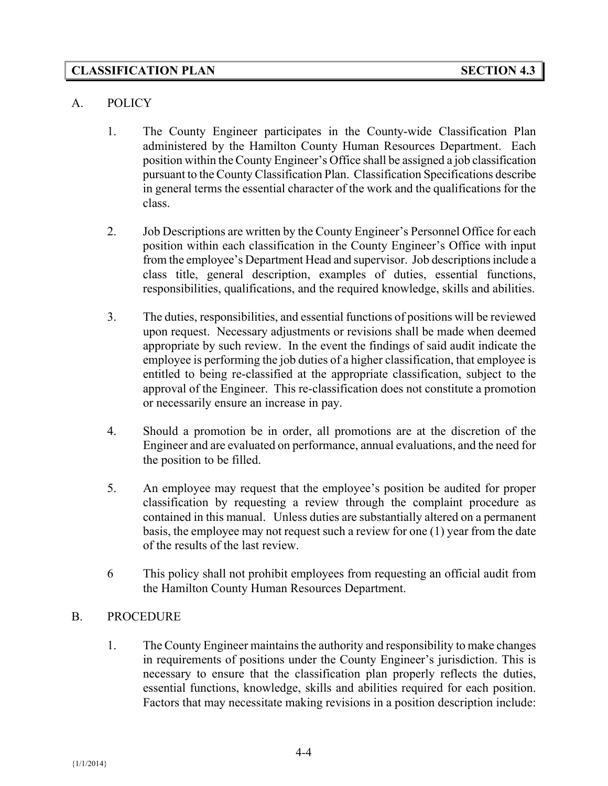## **CLASSIFICATION PLAN SECTION 4.3**

#### A. POLICY

- 1. The County Engineer participates in the County-wide Classification Plan administered by the Hamilton County Human Resources Department. Each position within the County Engineer's Office shall be assigned a job classification pursuant to the County Classification Plan. Classification Specifications describe in general terms the essential character of the work and the qualifications for the class.
- 2. Job Descriptions are written by the County Engineer's Personnel Office for each position within each classification in the County Engineer's Office with input from the employee's Department Head and supervisor. Job descriptions include a class title, general description, examples of duties, essential functions, responsibilities, qualifications, and the required knowledge, skills and abilities.
- 3. The duties, responsibilities, and essential functions of positions will be reviewed upon request. Necessary adjustments or revisions shall be made when deemed appropriate by such review. In the event the findings of said audit indicate the employee is performing the job duties of a higher classification, that employee is entitled to being re-classified at the appropriate classification, subject to the approval of the Engineer. This re-classification does not constitute a promotion or necessarily ensure an increase in pay.
- 4. Should a promotion be in order, all promotions are at the discretion of the Engineer and are evaluated on performance, annual evaluations, and the need for the position to be filled.
- 5. An employee may request that the employee's position be audited for proper classification by requesting a review through the complaint procedure as contained in this manual. Unless duties are substantially altered on a permanent basis, the employee may not request such a review for one (1) year from the date of the results of the last review.
- 6 This policy shall not prohibit employees from requesting an official audit from the Hamilton County Human Resources Department.

#### B. PROCEDURE

1. The County Engineer maintains the authority and responsibility to make changes in requirements of positions under the County Engineer's jurisdiction. This is necessary to ensure that the classification plan properly reflects the duties, essential functions, knowledge, skills and abilities required for each position. Factors that may necessitate making revisions in a position description include: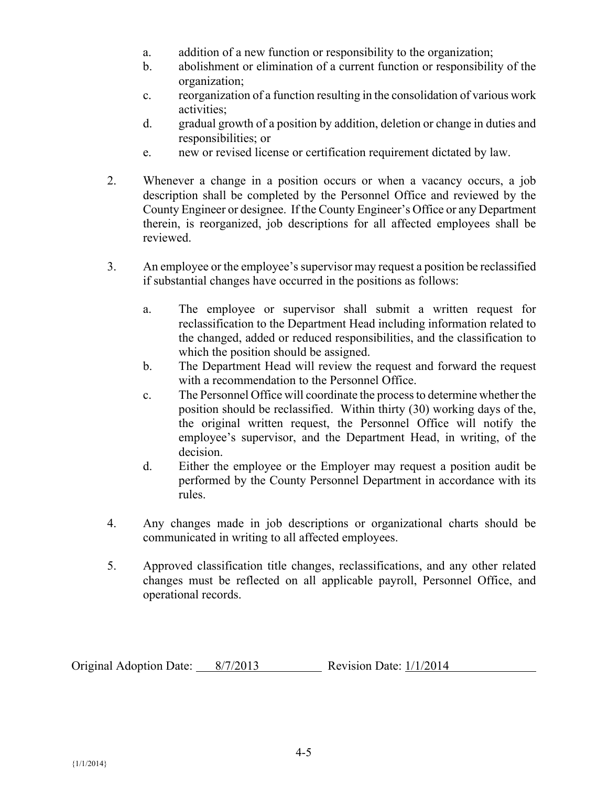- a. addition of a new function or responsibility to the organization;
- b. abolishment or elimination of a current function or responsibility of the organization;
- c. reorganization of a function resulting in the consolidation of various work activities;
- d. gradual growth of a position by addition, deletion or change in duties and responsibilities; or
- e. new or revised license or certification requirement dictated by law.
- 2. Whenever a change in a position occurs or when a vacancy occurs, a job description shall be completed by the Personnel Office and reviewed by the County Engineer or designee. If the County Engineer's Office or any Department therein, is reorganized, job descriptions for all affected employees shall be reviewed.
- 3. An employee or the employee's supervisor may request a position be reclassified if substantial changes have occurred in the positions as follows:
	- a. The employee or supervisor shall submit a written request for reclassification to the Department Head including information related to the changed, added or reduced responsibilities, and the classification to which the position should be assigned.
	- b. The Department Head will review the request and forward the request with a recommendation to the Personnel Office.
	- c. The Personnel Office will coordinate the process to determine whether the position should be reclassified. Within thirty (30) working days of the, the original written request, the Personnel Office will notify the employee's supervisor, and the Department Head, in writing, of the decision.
	- d. Either the employee or the Employer may request a position audit be performed by the County Personnel Department in accordance with its rules.
- 4. Any changes made in job descriptions or organizational charts should be communicated in writing to all affected employees.
- 5. Approved classification title changes, reclassifications, and any other related changes must be reflected on all applicable payroll, Personnel Office, and operational records.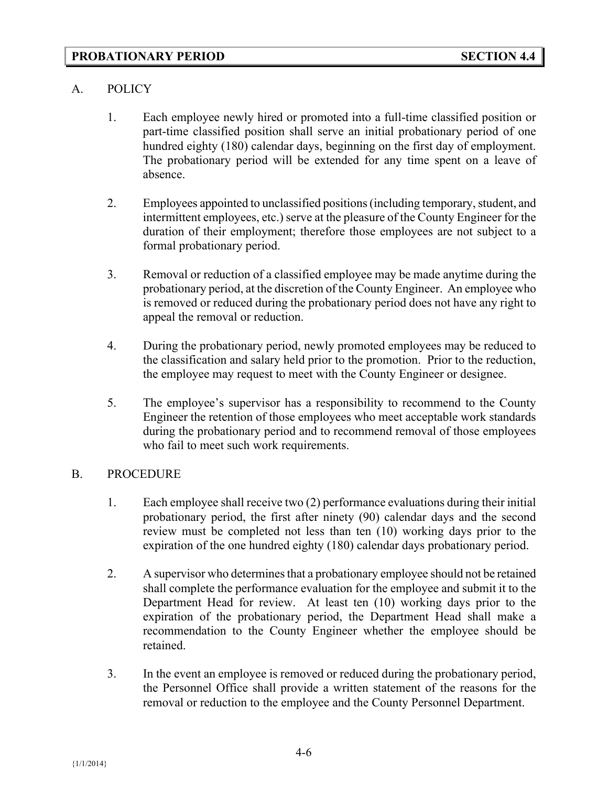### **PROBATIONARY PERIOD SECTION 4.4**

### A. POLICY

- 1. Each employee newly hired or promoted into a full-time classified position or part-time classified position shall serve an initial probationary period of one hundred eighty (180) calendar days, beginning on the first day of employment. The probationary period will be extended for any time spent on a leave of absence.
- 2. Employees appointed to unclassified positions (including temporary, student, and intermittent employees, etc.) serve at the pleasure of the County Engineer for the duration of their employment; therefore those employees are not subject to a formal probationary period.
- 3. Removal or reduction of a classified employee may be made anytime during the probationary period, at the discretion of the County Engineer. An employee who is removed or reduced during the probationary period does not have any right to appeal the removal or reduction.
- 4. During the probationary period, newly promoted employees may be reduced to the classification and salary held prior to the promotion. Prior to the reduction, the employee may request to meet with the County Engineer or designee.
- 5. The employee's supervisor has a responsibility to recommend to the County Engineer the retention of those employees who meet acceptable work standards during the probationary period and to recommend removal of those employees who fail to meet such work requirements.

### B. PROCEDURE

- 1. Each employee shall receive two (2) performance evaluations during their initial probationary period, the first after ninety (90) calendar days and the second review must be completed not less than ten (10) working days prior to the expiration of the one hundred eighty (180) calendar days probationary period.
- 2. A supervisor who determines that a probationary employee should not be retained shall complete the performance evaluation for the employee and submit it to the Department Head for review. At least ten (10) working days prior to the expiration of the probationary period, the Department Head shall make a recommendation to the County Engineer whether the employee should be retained.
- 3. In the event an employee is removed or reduced during the probationary period, the Personnel Office shall provide a written statement of the reasons for the removal or reduction to the employee and the County Personnel Department.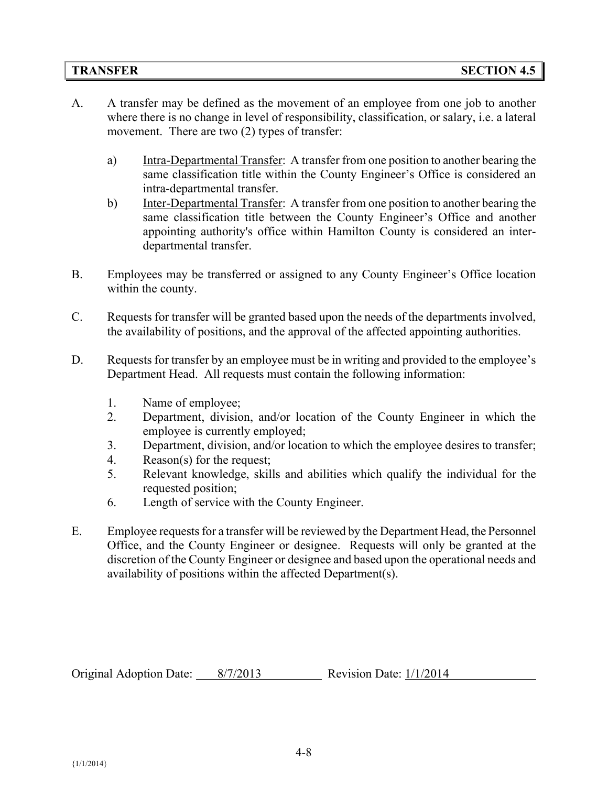- A. A transfer may be defined as the movement of an employee from one job to another where there is no change in level of responsibility, classification, or salary, i.e. a lateral movement. There are two (2) types of transfer:
	- a) Intra-Departmental Transfer: A transfer from one position to another bearing the same classification title within the County Engineer's Office is considered an intra-departmental transfer.
	- b) Inter-Departmental Transfer: A transfer from one position to another bearing the same classification title between the County Engineer's Office and another appointing authority's office within Hamilton County is considered an interdepartmental transfer.
- B. Employees may be transferred or assigned to any County Engineer's Office location within the county.
- C. Requests for transfer will be granted based upon the needs of the departments involved, the availability of positions, and the approval of the affected appointing authorities.
- D. Requests for transfer by an employee must be in writing and provided to the employee's Department Head. All requests must contain the following information:
	- 1. Name of employee;
	- 2. Department, division, and/or location of the County Engineer in which the employee is currently employed;
	- 3. Department, division, and/or location to which the employee desires to transfer;
	- 4. Reason(s) for the request;
	- 5. Relevant knowledge, skills and abilities which qualify the individual for the requested position;
	- 6. Length of service with the County Engineer.
- E. Employee requests for a transfer will be reviewed by the Department Head, the Personnel Office, and the County Engineer or designee. Requests will only be granted at the discretion of the County Engineer or designee and based upon the operational needs and availability of positions within the affected Department(s).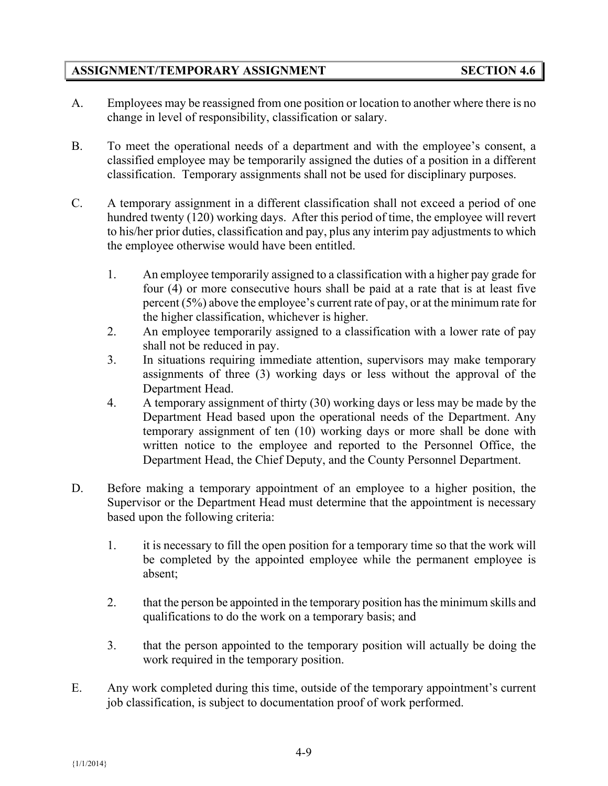# **ASSIGNMENT/TEMPORARY ASSIGNMENT SECTION 4.6**

- A. Employees may be reassigned from one position or location to another where there is no change in level of responsibility, classification or salary.
- B. To meet the operational needs of a department and with the employee's consent, a classified employee may be temporarily assigned the duties of a position in a different classification. Temporary assignments shall not be used for disciplinary purposes.
- C. A temporary assignment in a different classification shall not exceed a period of one hundred twenty (120) working days. After this period of time, the employee will revert to his/her prior duties, classification and pay, plus any interim pay adjustments to which the employee otherwise would have been entitled.
	- 1. An employee temporarily assigned to a classification with a higher pay grade for four (4) or more consecutive hours shall be paid at a rate that is at least five percent (5%) above the employee's current rate of pay, or at the minimum rate for the higher classification, whichever is higher.
	- 2. An employee temporarily assigned to a classification with a lower rate of pay shall not be reduced in pay.
	- 3. In situations requiring immediate attention, supervisors may make temporary assignments of three (3) working days or less without the approval of the Department Head.
	- 4. A temporary assignment of thirty (30) working days or less may be made by the Department Head based upon the operational needs of the Department. Any temporary assignment of ten (10) working days or more shall be done with written notice to the employee and reported to the Personnel Office, the Department Head, the Chief Deputy, and the County Personnel Department.
- D. Before making a temporary appointment of an employee to a higher position, the Supervisor or the Department Head must determine that the appointment is necessary based upon the following criteria:
	- 1. it is necessary to fill the open position for a temporary time so that the work will be completed by the appointed employee while the permanent employee is absent;
	- 2. that the person be appointed in the temporary position has the minimum skills and qualifications to do the work on a temporary basis; and
	- 3. that the person appointed to the temporary position will actually be doing the work required in the temporary position.
- E. Any work completed during this time, outside of the temporary appointment's current job classification, is subject to documentation proof of work performed.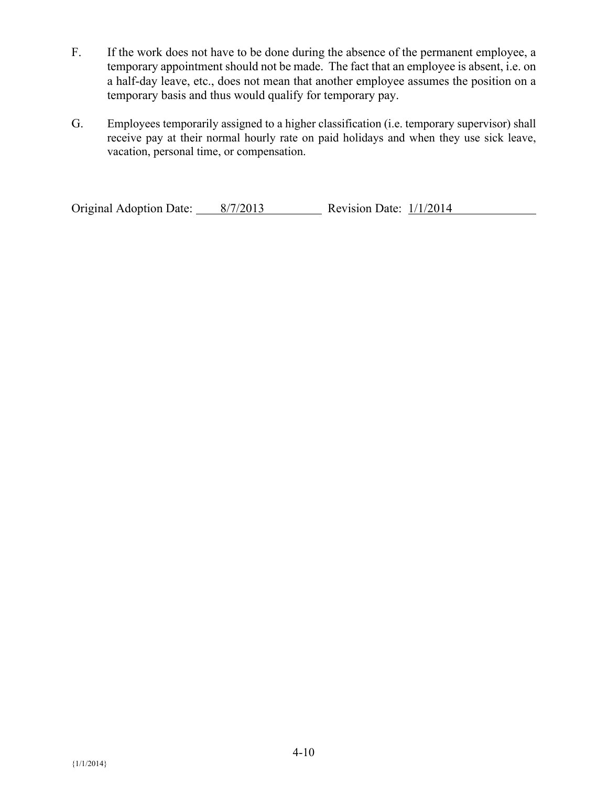- F. If the work does not have to be done during the absence of the permanent employee, a temporary appointment should not be made. The fact that an employee is absent, i.e. on a half-day leave, etc., does not mean that another employee assumes the position on a temporary basis and thus would qualify for temporary pay.
- G. Employees temporarily assigned to a higher classification (i.e. temporary supervisor) shall receive pay at their normal hourly rate on paid holidays and when they use sick leave, vacation, personal time, or compensation.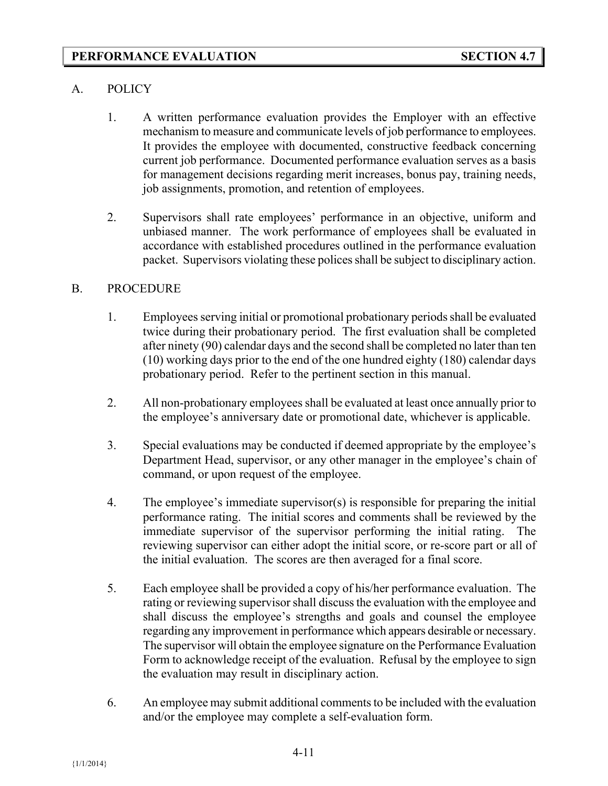# A. POLICY

- 1. A written performance evaluation provides the Employer with an effective mechanism to measure and communicate levels of job performance to employees. It provides the employee with documented, constructive feedback concerning current job performance. Documented performance evaluation serves as a basis for management decisions regarding merit increases, bonus pay, training needs, job assignments, promotion, and retention of employees.
- 2. Supervisors shall rate employees' performance in an objective, uniform and unbiased manner. The work performance of employees shall be evaluated in accordance with established procedures outlined in the performance evaluation packet. Supervisors violating these polices shall be subject to disciplinary action.

### B. PROCEDURE

- 1. Employees serving initial or promotional probationary periods shall be evaluated twice during their probationary period. The first evaluation shall be completed after ninety (90) calendar days and the second shall be completed no later than ten (10) working days prior to the end of the one hundred eighty (180) calendar days probationary period. Refer to the pertinent section in this manual.
- 2. All non-probationary employees shall be evaluated at least once annually prior to the employee's anniversary date or promotional date, whichever is applicable.
- 3. Special evaluations may be conducted if deemed appropriate by the employee's Department Head, supervisor, or any other manager in the employee's chain of command, or upon request of the employee.
- 4. The employee's immediate supervisor(s) is responsible for preparing the initial performance rating. The initial scores and comments shall be reviewed by the immediate supervisor of the supervisor performing the initial rating. The reviewing supervisor can either adopt the initial score, or re-score part or all of the initial evaluation. The scores are then averaged for a final score.
- 5. Each employee shall be provided a copy of his/her performance evaluation. The rating or reviewing supervisor shall discuss the evaluation with the employee and shall discuss the employee's strengths and goals and counsel the employee regarding any improvement in performance which appears desirable or necessary. The supervisor will obtain the employee signature on the Performance Evaluation Form to acknowledge receipt of the evaluation. Refusal by the employee to sign the evaluation may result in disciplinary action.
- 6. An employee may submit additional comments to be included with the evaluation and/or the employee may complete a self-evaluation form.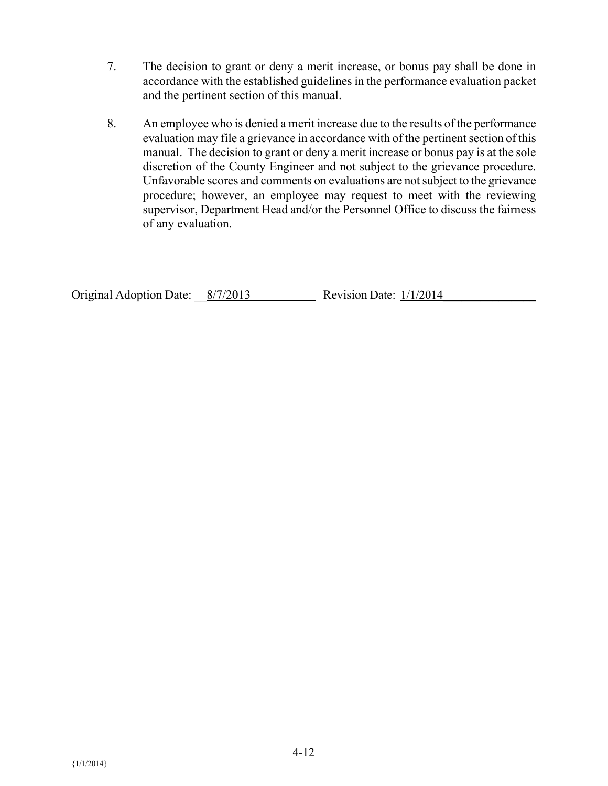- 7. The decision to grant or deny a merit increase, or bonus pay shall be done in accordance with the established guidelines in the performance evaluation packet and the pertinent section of this manual.
- 8. An employee who is denied a merit increase due to the results of the performance evaluation may file a grievance in accordance with of the pertinent section of this manual. The decision to grant or deny a merit increase or bonus pay is at the sole discretion of the County Engineer and not subject to the grievance procedure. Unfavorable scores and comments on evaluations are not subject to the grievance procedure; however, an employee may request to meet with the reviewing supervisor, Department Head and/or the Personnel Office to discuss the fairness of any evaluation.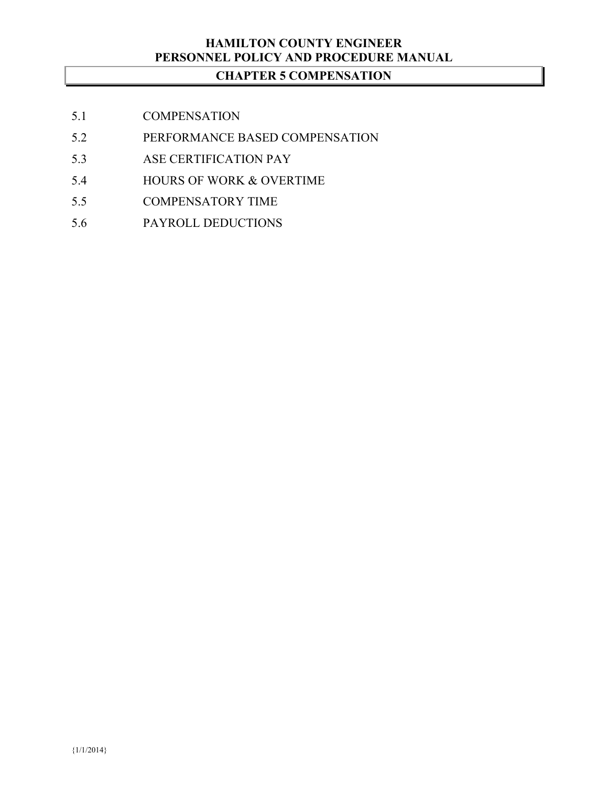# **HAMILTON COUNTY ENGINEER PERSONNEL POLICY AND PROCEDURE MANUAL**

# **CHAPTER 5 COMPENSATION**

- 5.1 COMPENSATION
- 5.2 PERFORMANCE BASED COMPENSATION
- 5.3 ASE CERTIFICATION PAY
- 5.4 HOURS OF WORK & OVERTIME
- 5.5 COMPENSATORY TIME
- 5.6 PAYROLL DEDUCTIONS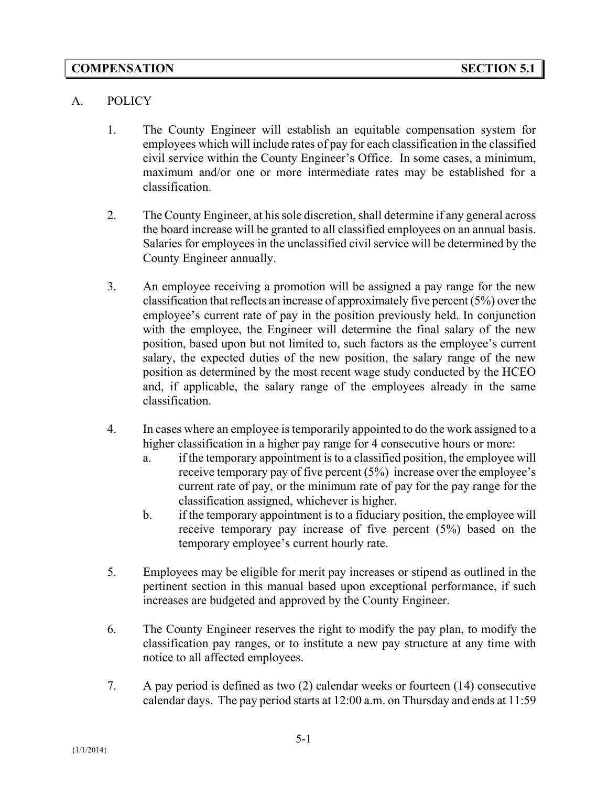# A. POLICY

- 1. The County Engineer will establish an equitable compensation system for employees which will include rates of pay for each classification in the classified civil service within the County Engineer's Office. In some cases, a minimum, maximum and/or one or more intermediate rates may be established for a classification.
- 2. The County Engineer, at his sole discretion, shall determine if any general across the board increase will be granted to all classified employees on an annual basis. Salaries for employees in the unclassified civil service will be determined by the County Engineer annually.
- 3. An employee receiving a promotion will be assigned a pay range for the new classification that reflects an increase of approximately five percent (5%) over the employee's current rate of pay in the position previously held. In conjunction with the employee, the Engineer will determine the final salary of the new position, based upon but not limited to, such factors as the employee's current salary, the expected duties of the new position, the salary range of the new position as determined by the most recent wage study conducted by the HCEO and, if applicable, the salary range of the employees already in the same classification.
- 4. In cases where an employee is temporarily appointed to do the work assigned to a higher classification in a higher pay range for 4 consecutive hours or more:
	- a. if the temporary appointment is to a classified position, the employee will receive temporary pay of five percent (5%) increase over the employee's current rate of pay, or the minimum rate of pay for the pay range for the classification assigned, whichever is higher.
	- b. if the temporary appointment is to a fiduciary position, the employee will receive temporary pay increase of five percent (5%) based on the temporary employee's current hourly rate.
- 5. Employees may be eligible for merit pay increases or stipend as outlined in the pertinent section in this manual based upon exceptional performance, if such increases are budgeted and approved by the County Engineer.
- 6. The County Engineer reserves the right to modify the pay plan, to modify the classification pay ranges, or to institute a new pay structure at any time with notice to all affected employees.
- 7. A pay period is defined as two (2) calendar weeks or fourteen (14) consecutive calendar days. The pay period starts at 12:00 a.m. on Thursday and ends at 11:59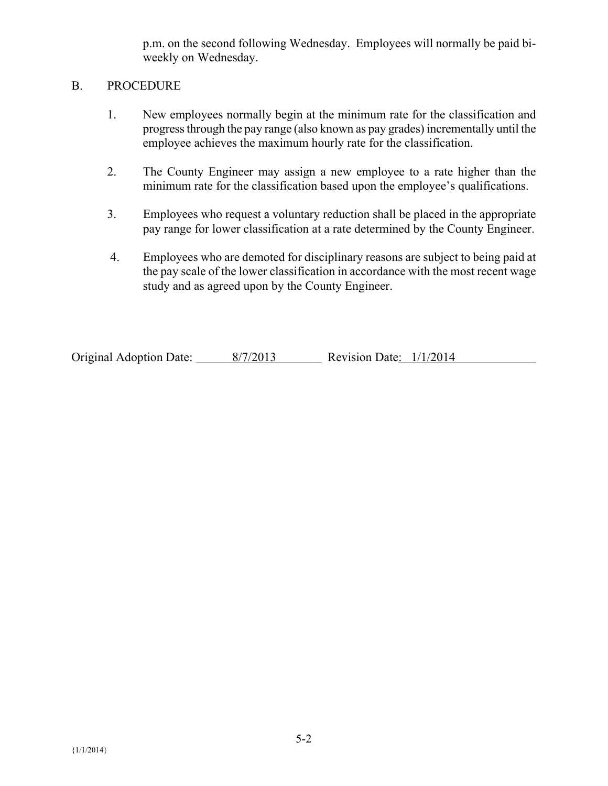p.m. on the second following Wednesday. Employees will normally be paid biweekly on Wednesday.

#### B. PROCEDURE

- 1. New employees normally begin at the minimum rate for the classification and progress through the pay range (also known as pay grades) incrementally until the employee achieves the maximum hourly rate for the classification.
- 2. The County Engineer may assign a new employee to a rate higher than the minimum rate for the classification based upon the employee's qualifications.
- 3. Employees who request a voluntary reduction shall be placed in the appropriate pay range for lower classification at a rate determined by the County Engineer.
- 4. Employees who are demoted for disciplinary reasons are subject to being paid at the pay scale of the lower classification in accordance with the most recent wage study and as agreed upon by the County Engineer.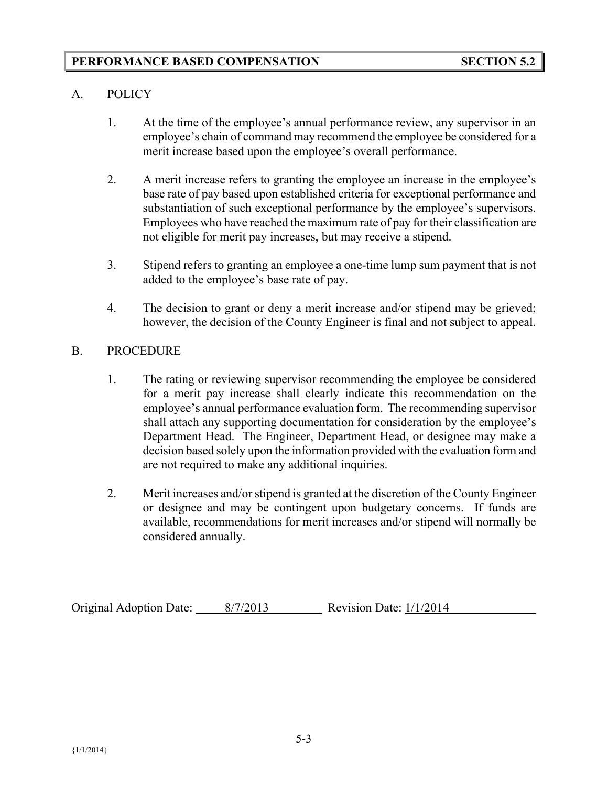# A. POLICY

- 1. At the time of the employee's annual performance review, any supervisor in an employee's chain of command may recommend the employee be considered for a merit increase based upon the employee's overall performance.
- 2. A merit increase refers to granting the employee an increase in the employee's base rate of pay based upon established criteria for exceptional performance and substantiation of such exceptional performance by the employee's supervisors. Employees who have reached the maximum rate of pay for their classification are not eligible for merit pay increases, but may receive a stipend.
- 3. Stipend refers to granting an employee a one-time lump sum payment that is not added to the employee's base rate of pay.
- 4. The decision to grant or deny a merit increase and/or stipend may be grieved; however, the decision of the County Engineer is final and not subject to appeal.

# B. PROCEDURE

- 1. The rating or reviewing supervisor recommending the employee be considered for a merit pay increase shall clearly indicate this recommendation on the employee's annual performance evaluation form. The recommending supervisor shall attach any supporting documentation for consideration by the employee's Department Head. The Engineer, Department Head, or designee may make a decision based solely upon the information provided with the evaluation form and are not required to make any additional inquiries.
- 2. Merit increases and/or stipend is granted at the discretion of the County Engineer or designee and may be contingent upon budgetary concerns. If funds are available, recommendations for merit increases and/or stipend will normally be considered annually.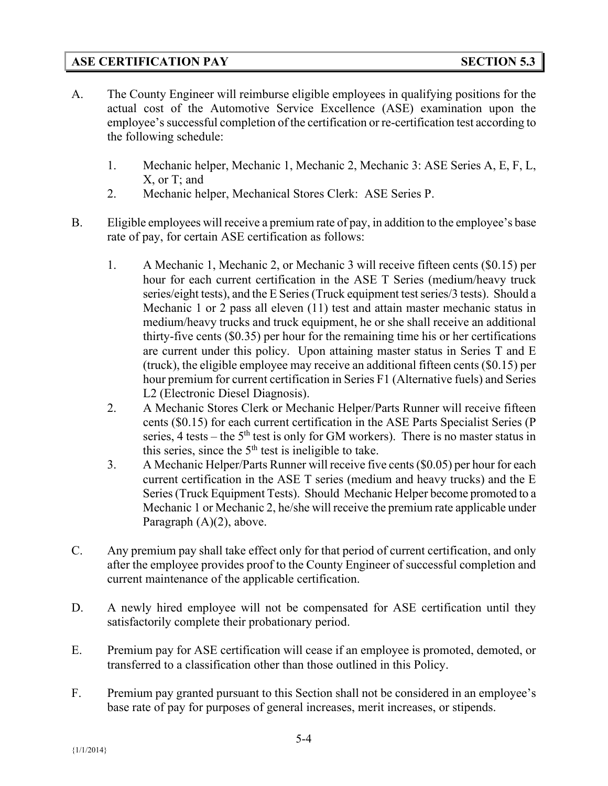# **ASE CERTIFICATION PAY SECTION 5.3**

- A. The County Engineer will reimburse eligible employees in qualifying positions for the actual cost of the Automotive Service Excellence (ASE) examination upon the employee's successful completion of the certification or re-certification test according to the following schedule:
	- 1. Mechanic helper, Mechanic 1, Mechanic 2, Mechanic 3: ASE Series A, E, F, L, X, or T; and
	- 2. Mechanic helper, Mechanical Stores Clerk: ASE Series P.
- B. Eligible employees will receive a premium rate of pay, in addition to the employee's base rate of pay, for certain ASE certification as follows:
	- 1. A Mechanic 1, Mechanic 2, or Mechanic 3 will receive fifteen cents (\$0.15) per hour for each current certification in the ASE T Series (medium/heavy truck series/eight tests), and the E Series (Truck equipment test series/3 tests). Should a Mechanic 1 or 2 pass all eleven (11) test and attain master mechanic status in medium/heavy trucks and truck equipment, he or she shall receive an additional thirty-five cents (\$0.35) per hour for the remaining time his or her certifications are current under this policy. Upon attaining master status in Series T and E (truck), the eligible employee may receive an additional fifteen cents (\$0.15) per hour premium for current certification in Series F1 (Alternative fuels) and Series L2 (Electronic Diesel Diagnosis).
	- 2. A Mechanic Stores Clerk or Mechanic Helper/Parts Runner will receive fifteen cents (\$0.15) for each current certification in the ASE Parts Specialist Series (P series, 4 tests – the  $5<sup>th</sup>$  test is only for GM workers). There is no master status in this series, since the  $5<sup>th</sup>$  test is ineligible to take.
	- 3. A Mechanic Helper/Parts Runner will receive five cents (\$0.05) per hour for each current certification in the ASE T series (medium and heavy trucks) and the E Series (Truck Equipment Tests). Should Mechanic Helper become promoted to a Mechanic 1 or Mechanic 2, he/she will receive the premium rate applicable under Paragraph (A)(2), above.
- C. Any premium pay shall take effect only for that period of current certification, and only after the employee provides proof to the County Engineer of successful completion and current maintenance of the applicable certification.
- D. A newly hired employee will not be compensated for ASE certification until they satisfactorily complete their probationary period.
- E. Premium pay for ASE certification will cease if an employee is promoted, demoted, or transferred to a classification other than those outlined in this Policy.
- F. Premium pay granted pursuant to this Section shall not be considered in an employee's base rate of pay for purposes of general increases, merit increases, or stipends.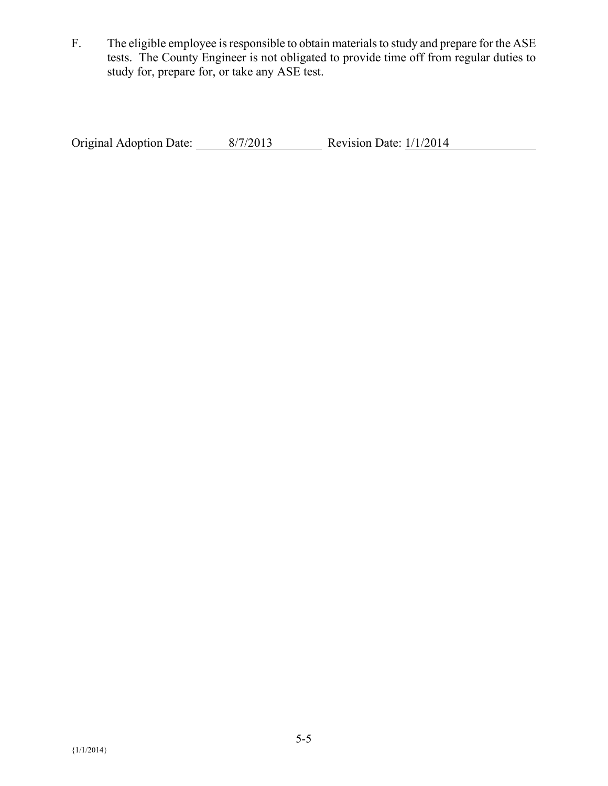F. The eligible employee is responsible to obtain materials to study and prepare for the ASE tests. The County Engineer is not obligated to provide time off from regular duties to study for, prepare for, or take any ASE test.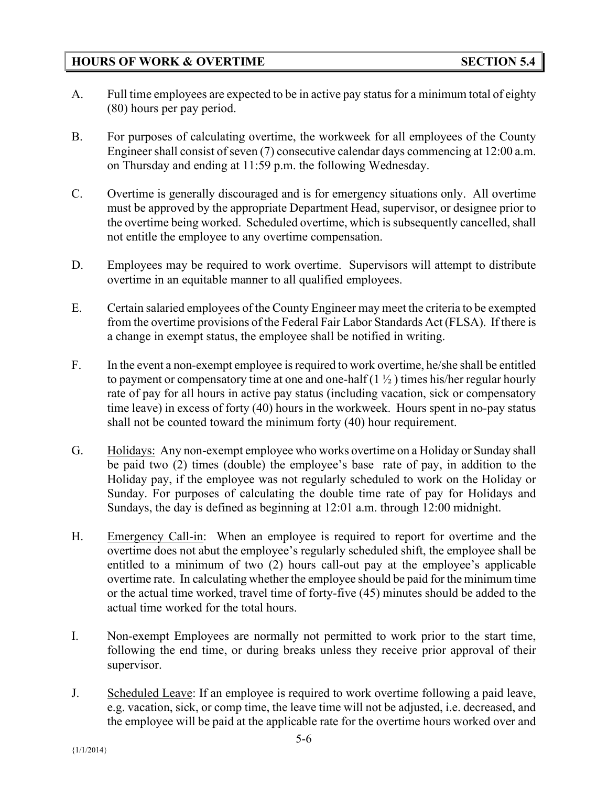# **HOURS OF WORK & OVERTIME SECTION 5.4**

- A. Full time employees are expected to be in active pay status for a minimum total of eighty (80) hours per pay period.
- B. For purposes of calculating overtime, the workweek for all employees of the County Engineer shall consist of seven (7) consecutive calendar days commencing at 12:00 a.m. on Thursday and ending at 11:59 p.m. the following Wednesday.
- C. Overtime is generally discouraged and is for emergency situations only. All overtime must be approved by the appropriate Department Head, supervisor, or designee prior to the overtime being worked. Scheduled overtime, which is subsequently cancelled, shall not entitle the employee to any overtime compensation.
- D. Employees may be required to work overtime. Supervisors will attempt to distribute overtime in an equitable manner to all qualified employees.
- E. Certain salaried employees of the County Engineer may meet the criteria to be exempted from the overtime provisions of the Federal Fair Labor Standards Act (FLSA). If there is a change in exempt status, the employee shall be notified in writing.
- F. In the event a non-exempt employee is required to work overtime, he/she shall be entitled to payment or compensatory time at one and one-half  $(1 \frac{1}{2})$  times his/her regular hourly rate of pay for all hours in active pay status (including vacation, sick or compensatory time leave) in excess of forty (40) hours in the workweek. Hours spent in no-pay status shall not be counted toward the minimum forty (40) hour requirement.
- G. Holidays: Any non-exempt employee who works overtime on a Holiday or Sunday shall be paid two (2) times (double) the employee's base rate of pay, in addition to the Holiday pay, if the employee was not regularly scheduled to work on the Holiday or Sunday. For purposes of calculating the double time rate of pay for Holidays and Sundays, the day is defined as beginning at 12:01 a.m. through 12:00 midnight.
- H. Emergency Call-in: When an employee is required to report for overtime and the overtime does not abut the employee's regularly scheduled shift, the employee shall be entitled to a minimum of two (2) hours call-out pay at the employee's applicable overtime rate. In calculating whether the employee should be paid for the minimum time or the actual time worked, travel time of forty-five (45) minutes should be added to the actual time worked for the total hours.
- I. Non-exempt Employees are normally not permitted to work prior to the start time, following the end time, or during breaks unless they receive prior approval of their supervisor.
- J. Scheduled Leave: If an employee is required to work overtime following a paid leave, e.g. vacation, sick, or comp time, the leave time will not be adjusted, i.e. decreased, and the employee will be paid at the applicable rate for the overtime hours worked over and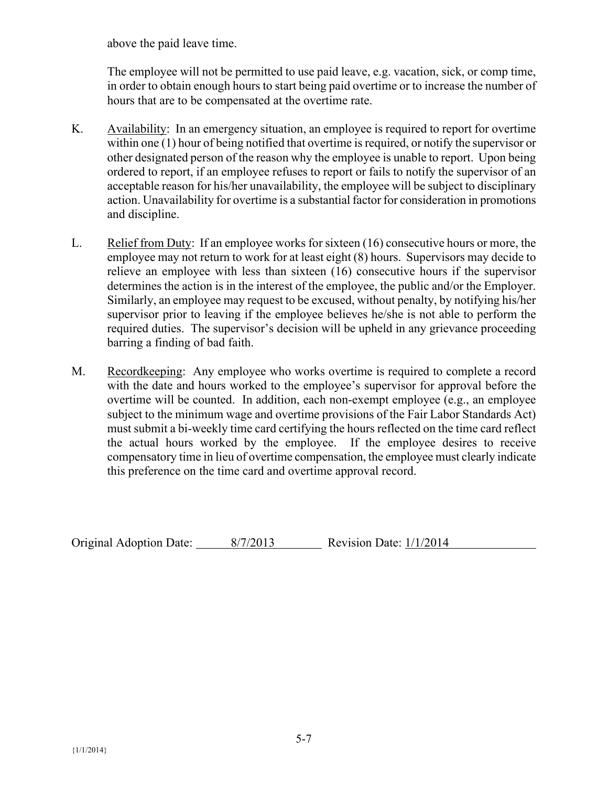above the paid leave time.

The employee will not be permitted to use paid leave, e.g. vacation, sick, or comp time, in order to obtain enough hours to start being paid overtime or to increase the number of hours that are to be compensated at the overtime rate.

- K. Availability: In an emergency situation, an employee is required to report for overtime within one (1) hour of being notified that overtime is required, or notify the supervisor or other designated person of the reason why the employee is unable to report. Upon being ordered to report, if an employee refuses to report or fails to notify the supervisor of an acceptable reason for his/her unavailability, the employee will be subject to disciplinary action. Unavailability for overtime is a substantial factor for consideration in promotions and discipline.
- L. Relief from Duty: If an employee works for sixteen (16) consecutive hours or more, the employee may not return to work for at least eight (8) hours. Supervisors may decide to relieve an employee with less than sixteen (16) consecutive hours if the supervisor determines the action is in the interest of the employee, the public and/or the Employer. Similarly, an employee may request to be excused, without penalty, by notifying his/her supervisor prior to leaving if the employee believes he/she is not able to perform the required duties. The supervisor's decision will be upheld in any grievance proceeding barring a finding of bad faith.
- M. Recordkeeping: Any employee who works overtime is required to complete a record with the date and hours worked to the employee's supervisor for approval before the overtime will be counted. In addition, each non-exempt employee (e.g., an employee subject to the minimum wage and overtime provisions of the Fair Labor Standards Act) must submit a bi-weekly time card certifying the hours reflected on the time card reflect the actual hours worked by the employee. If the employee desires to receive compensatory time in lieu of overtime compensation, the employee must clearly indicate this preference on the time card and overtime approval record.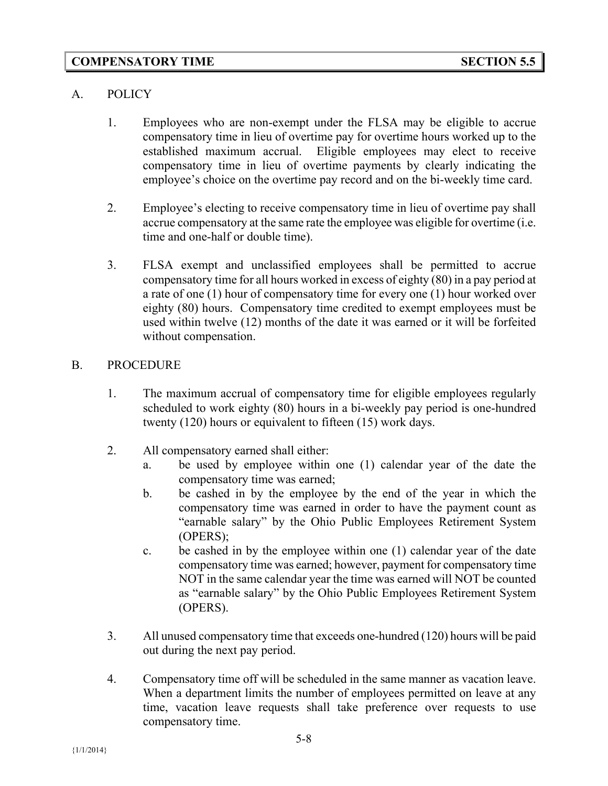### A. POLICY

- 1. Employees who are non-exempt under the FLSA may be eligible to accrue compensatory time in lieu of overtime pay for overtime hours worked up to the established maximum accrual. Eligible employees may elect to receive compensatory time in lieu of overtime payments by clearly indicating the employee's choice on the overtime pay record and on the bi-weekly time card.
- 2. Employee's electing to receive compensatory time in lieu of overtime pay shall accrue compensatory at the same rate the employee was eligible for overtime (i.e. time and one-half or double time).
- 3. FLSA exempt and unclassified employees shall be permitted to accrue compensatory time for all hours worked in excess of eighty (80) in a pay period at a rate of one (1) hour of compensatory time for every one (1) hour worked over eighty (80) hours. Compensatory time credited to exempt employees must be used within twelve (12) months of the date it was earned or it will be forfeited without compensation.

# B. PROCEDURE

- 1. The maximum accrual of compensatory time for eligible employees regularly scheduled to work eighty (80) hours in a bi-weekly pay period is one-hundred twenty (120) hours or equivalent to fifteen (15) work days.
- 2. All compensatory earned shall either:
	- a. be used by employee within one (1) calendar year of the date the compensatory time was earned;
	- b. be cashed in by the employee by the end of the year in which the compensatory time was earned in order to have the payment count as "earnable salary" by the Ohio Public Employees Retirement System (OPERS);
	- c. be cashed in by the employee within one (1) calendar year of the date compensatory time was earned; however, payment for compensatory time NOT in the same calendar year the time was earned will NOT be counted as "earnable salary" by the Ohio Public Employees Retirement System (OPERS).
- 3. All unused compensatory time that exceeds one-hundred (120) hours will be paid out during the next pay period.
- 4. Compensatory time off will be scheduled in the same manner as vacation leave. When a department limits the number of employees permitted on leave at any time, vacation leave requests shall take preference over requests to use compensatory time.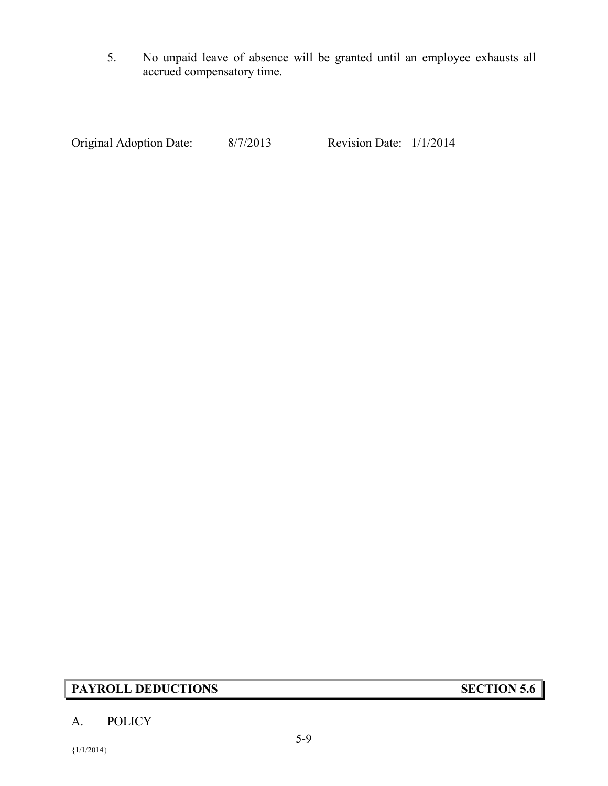5. No unpaid leave of absence will be granted until an employee exhausts all accrued compensatory time.

Original Adoption Date: 8/7/2013 Revision Date: 1/1/2014

# **PAYROLL DEDUCTIONS SECTION 5.6**

### A. POLICY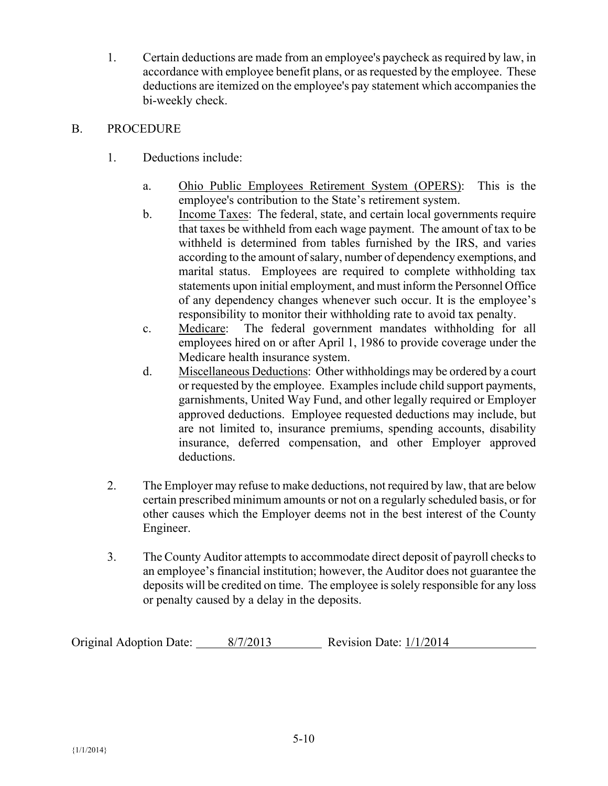1. Certain deductions are made from an employee's paycheck as required by law, in accordance with employee benefit plans, or as requested by the employee. These deductions are itemized on the employee's pay statement which accompanies the bi-weekly check.

### B. PROCEDURE

- 1. Deductions include:
	- a. Ohio Public Employees Retirement System (OPERS): This is the employee's contribution to the State's retirement system.
	- b. Income Taxes: The federal, state, and certain local governments require that taxes be withheld from each wage payment. The amount of tax to be withheld is determined from tables furnished by the IRS, and varies according to the amount of salary, number of dependency exemptions, and marital status. Employees are required to complete withholding tax statements upon initial employment, and must inform the Personnel Office of any dependency changes whenever such occur. It is the employee's responsibility to monitor their withholding rate to avoid tax penalty.
	- c. Medicare: The federal government mandates withholding for all employees hired on or after April 1, 1986 to provide coverage under the Medicare health insurance system.
	- d. Miscellaneous Deductions: Other withholdings may be ordered by a court or requested by the employee. Examples include child support payments, garnishments, United Way Fund, and other legally required or Employer approved deductions. Employee requested deductions may include, but are not limited to, insurance premiums, spending accounts, disability insurance, deferred compensation, and other Employer approved deductions.
- 2. The Employer may refuse to make deductions, not required by law, that are below certain prescribed minimum amounts or not on a regularly scheduled basis, or for other causes which the Employer deems not in the best interest of the County Engineer.
- 3. The County Auditor attempts to accommodate direct deposit of payroll checks to an employee's financial institution; however, the Auditor does not guarantee the deposits will be credited on time. The employee is solely responsible for any loss or penalty caused by a delay in the deposits.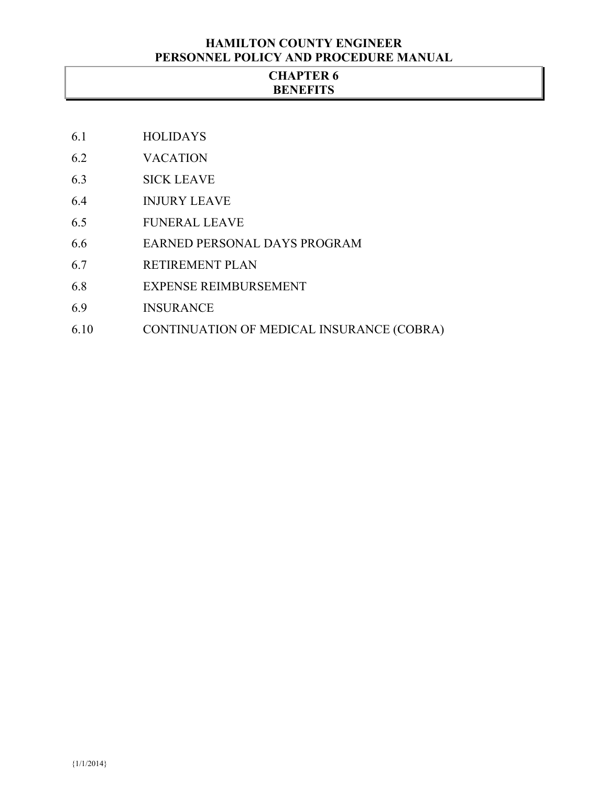### **HAMILTON COUNTY ENGINEER PERSONNEL POLICY AND PROCEDURE MANUAL**

### **CHAPTER 6 BENEFITS**

- 6.1 HOLIDAYS
- 6.2 VACATION
- 6.3 SICK LEAVE
- 6.4 INJURY LEAVE
- 6.5 FUNERAL LEAVE
- 6.6 EARNED PERSONAL DAYS PROGRAM
- 6.7 RETIREMENT PLAN
- 6.8 EXPENSE REIMBURSEMENT
- 6.9 INSURANCE
- 6.10 CONTINUATION OF MEDICAL INSURANCE (COBRA)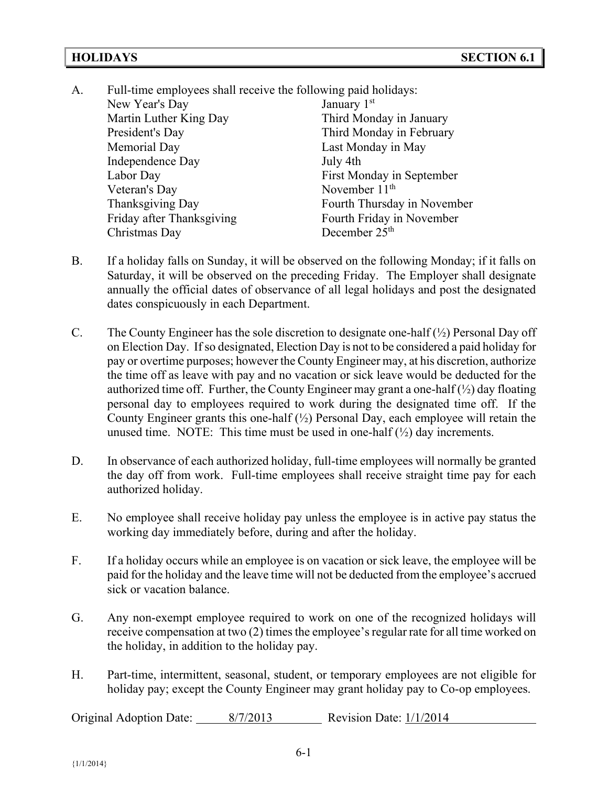- A. Full-time employees shall receive the following paid holidays: New Year's Day January 1st Martin Luther King Day Third Monday in January President's Day Third Monday in February Memorial Day Last Monday in May Independence Day July 4th Labor Day First Monday in September Veteran's Day November 11<sup>th</sup> Thanksgiving Day **Fourth Thursday in November** Friday after Thanksgiving Fourth Friday in November Christmas Day December 25<sup>th</sup>
- B. If a holiday falls on Sunday, it will be observed on the following Monday; if it falls on Saturday, it will be observed on the preceding Friday. The Employer shall designate annually the official dates of observance of all legal holidays and post the designated dates conspicuously in each Department.
- C. The County Engineer has the sole discretion to designate one-half  $(\frac{1}{2})$  Personal Day off on Election Day. If so designated, Election Day is not to be considered a paid holiday for pay or overtime purposes; however the County Engineer may, at his discretion, authorize the time off as leave with pay and no vacation or sick leave would be deducted for the authorized time off. Further, the County Engineer may grant a one-half  $(\frac{1}{2})$  day floating personal day to employees required to work during the designated time off. If the County Engineer grants this one-half  $(\frac{1}{2})$  Personal Day, each employee will retain the unused time. NOTE: This time must be used in one-half  $(\frac{1}{2})$  day increments.
- D. In observance of each authorized holiday, full-time employees will normally be granted the day off from work. Full-time employees shall receive straight time pay for each authorized holiday.
- E. No employee shall receive holiday pay unless the employee is in active pay status the working day immediately before, during and after the holiday.
- F. If a holiday occurs while an employee is on vacation or sick leave, the employee will be paid for the holiday and the leave time will not be deducted from the employee's accrued sick or vacation balance.
- G. Any non-exempt employee required to work on one of the recognized holidays will receive compensation at two (2) times the employee's regular rate for all time worked on the holiday, in addition to the holiday pay.
- H. Part-time, intermittent, seasonal, student, or temporary employees are not eligible for holiday pay; except the County Engineer may grant holiday pay to Co-op employees.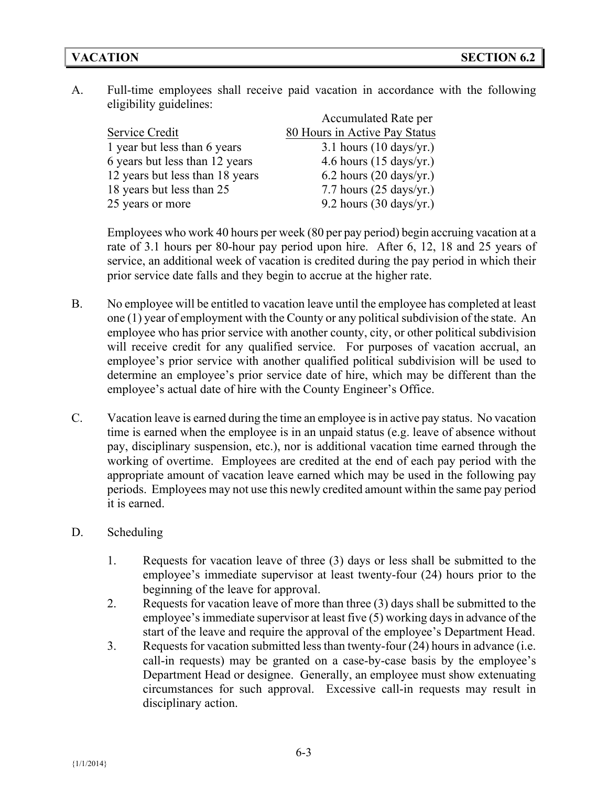A. Full-time employees shall receive paid vacation in accordance with the following eligibility guidelines:

|                                 | <b>Accumulated Rate per</b>       |
|---------------------------------|-----------------------------------|
| Service Credit                  | 80 Hours in Active Pay Status     |
| 1 year but less than 6 years    | 3.1 hours $(10 \text{ days/yr.})$ |
| 6 years but less than 12 years  | 4.6 hours $(15 \text{ days/yr.})$ |
| 12 years but less than 18 years | 6.2 hours $(20 \text{ days/yr.})$ |
| 18 years but less than 25       | 7.7 hours $(25 \text{ days/yr.})$ |
| 25 years or more                | 9.2 hours $(30 \text{ days/yr.})$ |

Employees who work 40 hours per week (80 per pay period) begin accruing vacation at a rate of 3.1 hours per 80-hour pay period upon hire. After 6, 12, 18 and 25 years of service, an additional week of vacation is credited during the pay period in which their prior service date falls and they begin to accrue at the higher rate.

- B. No employee will be entitled to vacation leave until the employee has completed at least one (1) year of employment with the County or any political subdivision of the state. An employee who has prior service with another county, city, or other political subdivision will receive credit for any qualified service. For purposes of vacation accrual, an employee's prior service with another qualified political subdivision will be used to determine an employee's prior service date of hire, which may be different than the employee's actual date of hire with the County Engineer's Office.
- C. Vacation leave is earned during the time an employee is in active pay status. No vacation time is earned when the employee is in an unpaid status (e.g. leave of absence without pay, disciplinary suspension, etc.), nor is additional vacation time earned through the working of overtime. Employees are credited at the end of each pay period with the appropriate amount of vacation leave earned which may be used in the following pay periods. Employees may not use this newly credited amount within the same pay period it is earned.
- D. Scheduling
	- 1. Requests for vacation leave of three (3) days or less shall be submitted to the employee's immediate supervisor at least twenty-four (24) hours prior to the beginning of the leave for approval.
	- 2. Requests for vacation leave of more than three (3) days shall be submitted to the employee's immediate supervisor at least five (5) working days in advance of the start of the leave and require the approval of the employee's Department Head.
	- 3. Requests for vacation submitted less than twenty-four (24) hours in advance (i.e. call-in requests) may be granted on a case-by-case basis by the employee's Department Head or designee. Generally, an employee must show extenuating circumstances for such approval. Excessive call-in requests may result in disciplinary action.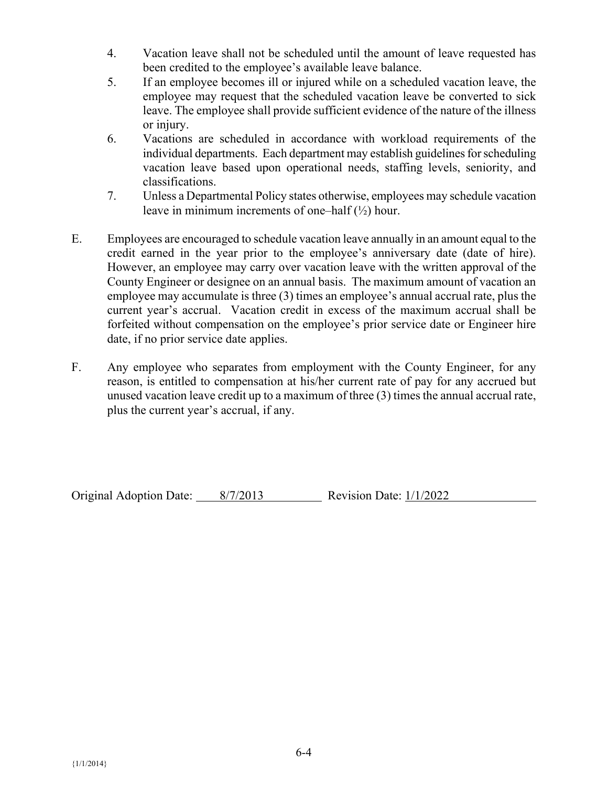- 4. Vacation leave shall not be scheduled until the amount of leave requested has been credited to the employee's available leave balance.
- 5. If an employee becomes ill or injured while on a scheduled vacation leave, the employee may request that the scheduled vacation leave be converted to sick leave. The employee shall provide sufficient evidence of the nature of the illness or injury.
- 6. Vacations are scheduled in accordance with workload requirements of the individual departments. Each department may establish guidelines for scheduling vacation leave based upon operational needs, staffing levels, seniority, and classifications.
- 7. Unless a Departmental Policy states otherwise, employees may schedule vacation leave in minimum increments of one–half  $(\frac{1}{2})$  hour.
- E. Employees are encouraged to schedule vacation leave annually in an amount equal to the credit earned in the year prior to the employee's anniversary date (date of hire). However, an employee may carry over vacation leave with the written approval of the County Engineer or designee on an annual basis. The maximum amount of vacation an employee may accumulate is three (3) times an employee's annual accrual rate, plus the current year's accrual. Vacation credit in excess of the maximum accrual shall be forfeited without compensation on the employee's prior service date or Engineer hire date, if no prior service date applies.
- F. Any employee who separates from employment with the County Engineer, for any reason, is entitled to compensation at his/her current rate of pay for any accrued but unused vacation leave credit up to a maximum of three (3) times the annual accrual rate, plus the current year's accrual, if any.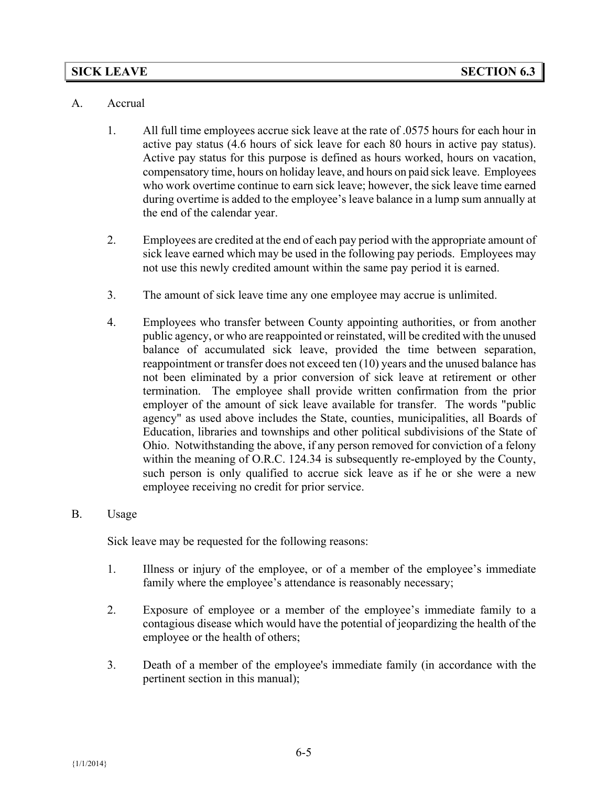#### **SICK LEAVE SECTION 6.3**

#### A. Accrual

- 1. All full time employees accrue sick leave at the rate of .0575 hours for each hour in active pay status (4.6 hours of sick leave for each 80 hours in active pay status). Active pay status for this purpose is defined as hours worked, hours on vacation, compensatory time, hours on holiday leave, and hours on paid sick leave. Employees who work overtime continue to earn sick leave; however, the sick leave time earned during overtime is added to the employee's leave balance in a lump sum annually at the end of the calendar year.
- 2. Employees are credited at the end of each pay period with the appropriate amount of sick leave earned which may be used in the following pay periods. Employees may not use this newly credited amount within the same pay period it is earned.
- 3. The amount of sick leave time any one employee may accrue is unlimited.
- 4. Employees who transfer between County appointing authorities, or from another public agency, or who are reappointed or reinstated, will be credited with the unused balance of accumulated sick leave, provided the time between separation, reappointment or transfer does not exceed ten (10) years and the unused balance has not been eliminated by a prior conversion of sick leave at retirement or other termination. The employee shall provide written confirmation from the prior employer of the amount of sick leave available for transfer. The words "public agency" as used above includes the State, counties, municipalities, all Boards of Education, libraries and townships and other political subdivisions of the State of Ohio. Notwithstanding the above, if any person removed for conviction of a felony within the meaning of O.R.C. 124.34 is subsequently re-employed by the County, such person is only qualified to accrue sick leave as if he or she were a new employee receiving no credit for prior service.

#### B. Usage

Sick leave may be requested for the following reasons:

- 1. Illness or injury of the employee, or of a member of the employee's immediate family where the employee's attendance is reasonably necessary;
- 2. Exposure of employee or a member of the employee's immediate family to a contagious disease which would have the potential of jeopardizing the health of the employee or the health of others;
- 3. Death of a member of the employee's immediate family (in accordance with the pertinent section in this manual);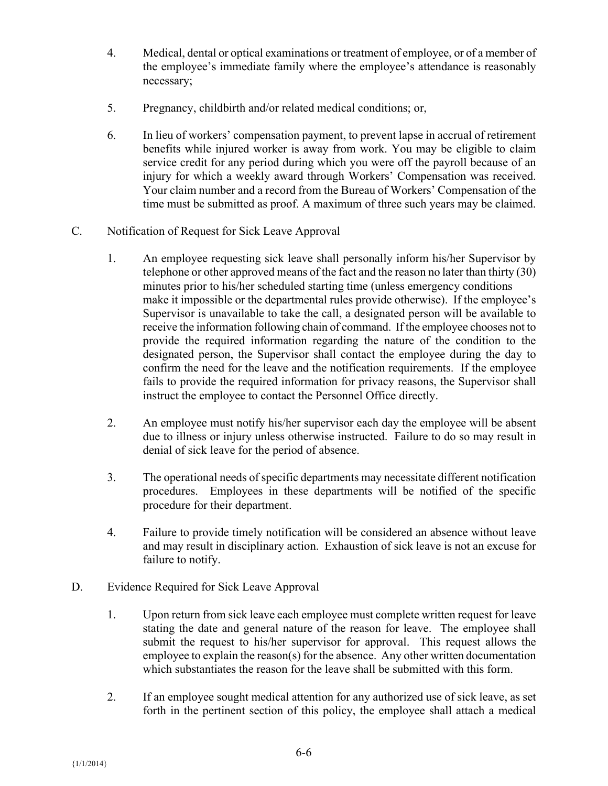- 4. Medical, dental or optical examinations or treatment of employee, or of a member of the employee's immediate family where the employee's attendance is reasonably necessary;
- 5. Pregnancy, childbirth and/or related medical conditions; or,
- 6. In lieu of workers' compensation payment, to prevent lapse in accrual of retirement benefits while injured worker is away from work. You may be eligible to claim service credit for any period during which you were off the payroll because of an injury for which a weekly award through Workers' Compensation was received. Your claim number and a record from the Bureau of Workers' Compensation of the time must be submitted as proof. A maximum of three such years may be claimed.
- C. Notification of Request for Sick Leave Approval
	- 1. An employee requesting sick leave shall personally inform his/her Supervisor by telephone or other approved means of the fact and the reason no later than thirty (30) minutes prior to his/her scheduled starting time (unless emergency conditions make it impossible or the departmental rules provide otherwise). If the employee's Supervisor is unavailable to take the call, a designated person will be available to receive the information following chain of command. If the employee chooses not to provide the required information regarding the nature of the condition to the designated person, the Supervisor shall contact the employee during the day to confirm the need for the leave and the notification requirements. If the employee fails to provide the required information for privacy reasons, the Supervisor shall instruct the employee to contact the Personnel Office directly.
	- 2. An employee must notify his/her supervisor each day the employee will be absent due to illness or injury unless otherwise instructed. Failure to do so may result in denial of sick leave for the period of absence.
	- 3. The operational needs of specific departments may necessitate different notification procedures. Employees in these departments will be notified of the specific procedure for their department.
	- 4. Failure to provide timely notification will be considered an absence without leave and may result in disciplinary action. Exhaustion of sick leave is not an excuse for failure to notify.
- D. Evidence Required for Sick Leave Approval
	- 1. Upon return from sick leave each employee must complete written request for leave stating the date and general nature of the reason for leave. The employee shall submit the request to his/her supervisor for approval. This request allows the employee to explain the reason(s) for the absence. Any other written documentation which substantiates the reason for the leave shall be submitted with this form.
	- 2. If an employee sought medical attention for any authorized use of sick leave, as set forth in the pertinent section of this policy, the employee shall attach a medical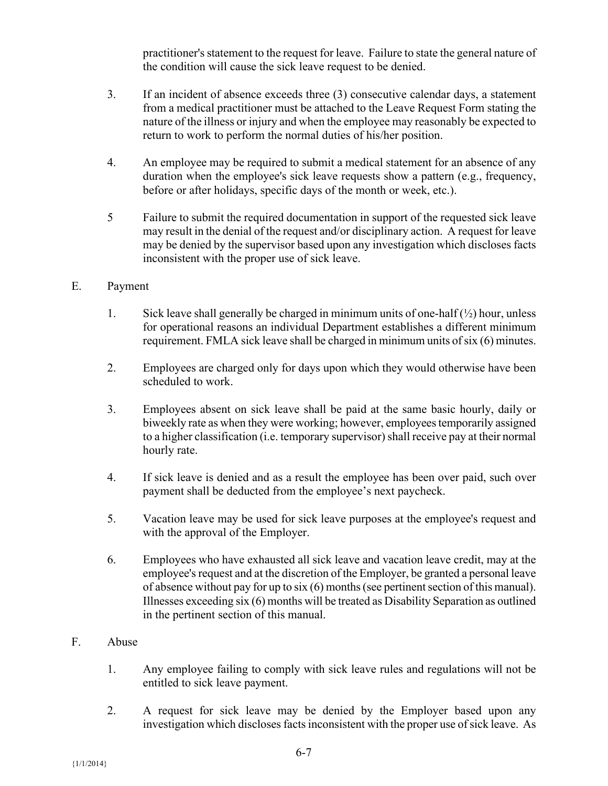practitioner's statement to the request for leave. Failure to state the general nature of the condition will cause the sick leave request to be denied.

- 3. If an incident of absence exceeds three (3) consecutive calendar days, a statement from a medical practitioner must be attached to the Leave Request Form stating the nature of the illness or injury and when the employee may reasonably be expected to return to work to perform the normal duties of his/her position.
- 4. An employee may be required to submit a medical statement for an absence of any duration when the employee's sick leave requests show a pattern (e.g., frequency, before or after holidays, specific days of the month or week, etc.).
- 5 Failure to submit the required documentation in support of the requested sick leave may result in the denial of the request and/or disciplinary action. A request for leave may be denied by the supervisor based upon any investigation which discloses facts inconsistent with the proper use of sick leave.

### E. Payment

- 1. Sick leave shall generally be charged in minimum units of one-half  $(\frac{1}{2})$  hour, unless for operational reasons an individual Department establishes a different minimum requirement. FMLA sick leave shall be charged in minimum units of six (6) minutes.
- 2. Employees are charged only for days upon which they would otherwise have been scheduled to work.
- 3. Employees absent on sick leave shall be paid at the same basic hourly, daily or biweekly rate as when they were working; however, employees temporarily assigned to a higher classification (i.e. temporary supervisor) shall receive pay at their normal hourly rate.
- 4. If sick leave is denied and as a result the employee has been over paid, such over payment shall be deducted from the employee's next paycheck.
- 5. Vacation leave may be used for sick leave purposes at the employee's request and with the approval of the Employer.
- 6. Employees who have exhausted all sick leave and vacation leave credit, may at the employee's request and at the discretion of the Employer, be granted a personal leave of absence without pay for up to six (6) months (see pertinent section of this manual). Illnesses exceeding six (6) months will be treated as Disability Separation as outlined in the pertinent section of this manual.

### F. Abuse

- 1. Any employee failing to comply with sick leave rules and regulations will not be entitled to sick leave payment.
- 2. A request for sick leave may be denied by the Employer based upon any investigation which discloses facts inconsistent with the proper use of sick leave. As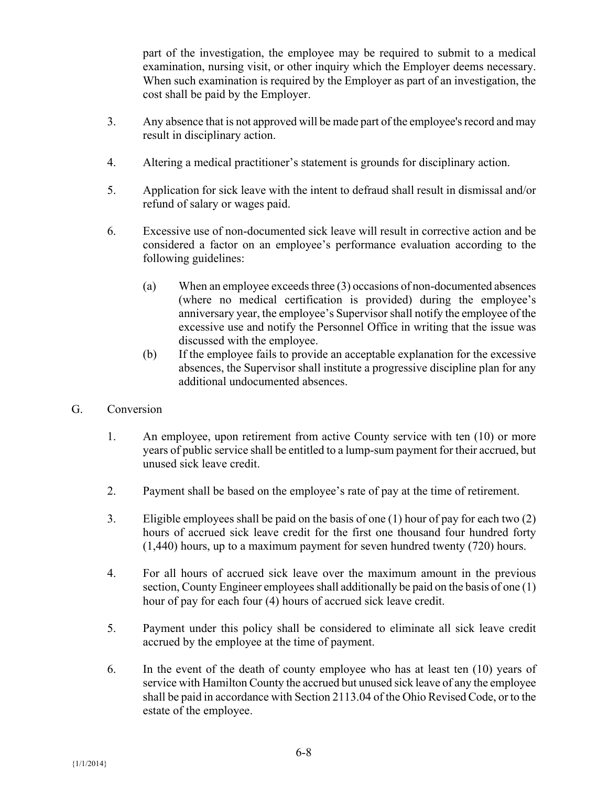part of the investigation, the employee may be required to submit to a medical examination, nursing visit, or other inquiry which the Employer deems necessary. When such examination is required by the Employer as part of an investigation, the cost shall be paid by the Employer.

- 3. Any absence that is not approved will be made part of the employee's record and may result in disciplinary action.
- 4. Altering a medical practitioner's statement is grounds for disciplinary action.
- 5. Application for sick leave with the intent to defraud shall result in dismissal and/or refund of salary or wages paid.
- 6. Excessive use of non-documented sick leave will result in corrective action and be considered a factor on an employee's performance evaluation according to the following guidelines:
	- (a) When an employee exceeds three (3) occasions of non-documented absences (where no medical certification is provided) during the employee's anniversary year, the employee's Supervisor shall notify the employee of the excessive use and notify the Personnel Office in writing that the issue was discussed with the employee.
	- (b) If the employee fails to provide an acceptable explanation for the excessive absences, the Supervisor shall institute a progressive discipline plan for any additional undocumented absences.
- G. Conversion
	- 1. An employee, upon retirement from active County service with ten (10) or more years of public service shall be entitled to a lump-sum payment for their accrued, but unused sick leave credit.
	- 2. Payment shall be based on the employee's rate of pay at the time of retirement.
	- 3. Eligible employees shall be paid on the basis of one (1) hour of pay for each two (2) hours of accrued sick leave credit for the first one thousand four hundred forty (1,440) hours, up to a maximum payment for seven hundred twenty (720) hours.
	- 4. For all hours of accrued sick leave over the maximum amount in the previous section, County Engineer employees shall additionally be paid on the basis of one (1) hour of pay for each four (4) hours of accrued sick leave credit.
	- 5. Payment under this policy shall be considered to eliminate all sick leave credit accrued by the employee at the time of payment.
	- 6. In the event of the death of county employee who has at least ten (10) years of service with Hamilton County the accrued but unused sick leave of any the employee shall be paid in accordance with Section 2113.04 of the Ohio Revised Code, or to the estate of the employee.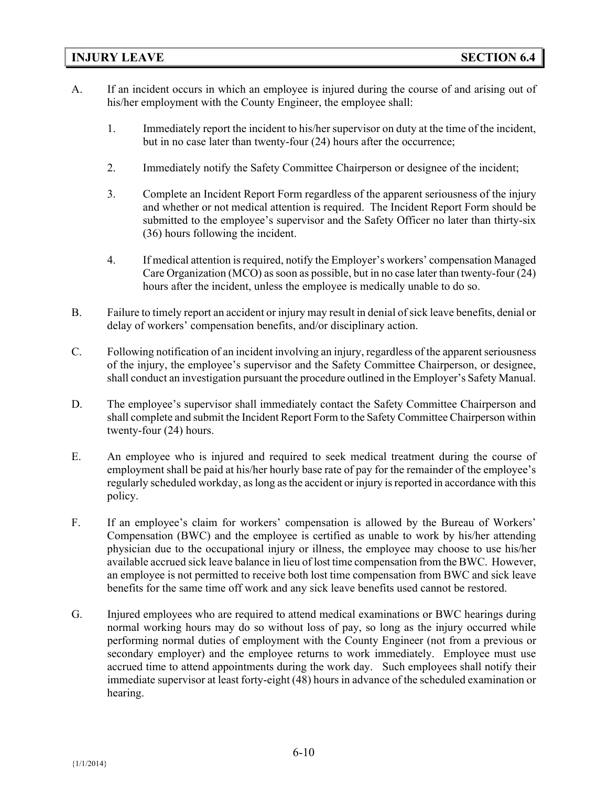#### **INJURY LEAVE SECTION 6.4**

- A. If an incident occurs in which an employee is injured during the course of and arising out of his/her employment with the County Engineer, the employee shall:
	- 1. Immediately report the incident to his/her supervisor on duty at the time of the incident, but in no case later than twenty-four (24) hours after the occurrence;
	- 2. Immediately notify the Safety Committee Chairperson or designee of the incident;
	- 3. Complete an Incident Report Form regardless of the apparent seriousness of the injury and whether or not medical attention is required. The Incident Report Form should be submitted to the employee's supervisor and the Safety Officer no later than thirty-six (36) hours following the incident.
	- 4. If medical attention is required, notify the Employer's workers' compensation Managed Care Organization (MCO) as soon as possible, but in no case later than twenty-four (24) hours after the incident, unless the employee is medically unable to do so.
- B. Failure to timely report an accident or injury may result in denial of sick leave benefits, denial or delay of workers' compensation benefits, and/or disciplinary action.
- C. Following notification of an incident involving an injury, regardless of the apparent seriousness of the injury, the employee's supervisor and the Safety Committee Chairperson, or designee, shall conduct an investigation pursuant the procedure outlined in the Employer's Safety Manual.
- D. The employee's supervisor shall immediately contact the Safety Committee Chairperson and shall complete and submit the Incident Report Form to the Safety Committee Chairperson within twenty-four (24) hours.
- E. An employee who is injured and required to seek medical treatment during the course of employment shall be paid at his/her hourly base rate of pay for the remainder of the employee's regularly scheduled workday, as long as the accident or injury is reported in accordance with this policy.
- F. If an employee's claim for workers' compensation is allowed by the Bureau of Workers' Compensation (BWC) and the employee is certified as unable to work by his/her attending physician due to the occupational injury or illness, the employee may choose to use his/her available accrued sick leave balance in lieu of lost time compensation from the BWC. However, an employee is not permitted to receive both lost time compensation from BWC and sick leave benefits for the same time off work and any sick leave benefits used cannot be restored.
- G. Injured employees who are required to attend medical examinations or BWC hearings during normal working hours may do so without loss of pay, so long as the injury occurred while performing normal duties of employment with the County Engineer (not from a previous or secondary employer) and the employee returns to work immediately. Employee must use accrued time to attend appointments during the work day. Such employees shall notify their immediate supervisor at least forty-eight (48) hours in advance of the scheduled examination or hearing.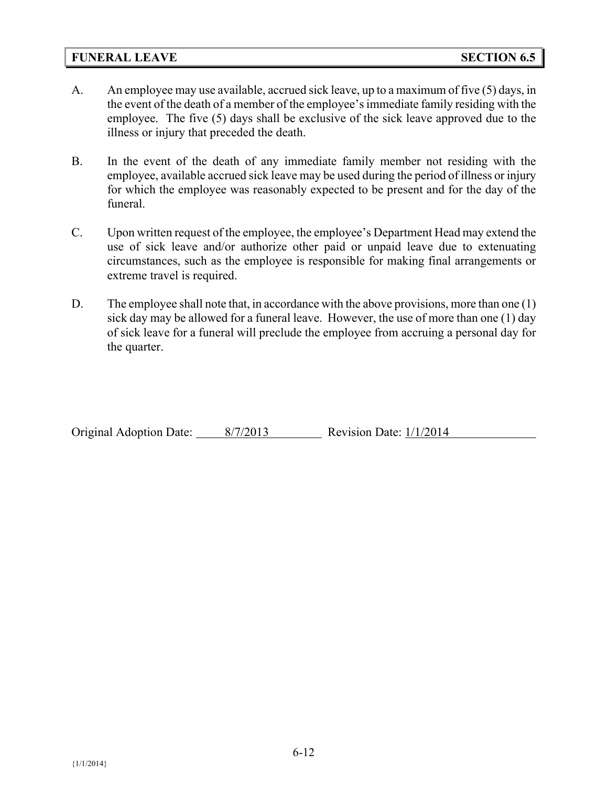### **FUNERAL LEAVE SECTION 6.5**

- A. An employee may use available, accrued sick leave, up to a maximum of five (5) days, in the event of the death of a member of the employee's immediate family residing with the employee. The five (5) days shall be exclusive of the sick leave approved due to the illness or injury that preceded the death.
- B. In the event of the death of any immediate family member not residing with the employee, available accrued sick leave may be used during the period of illness or injury for which the employee was reasonably expected to be present and for the day of the funeral.
- C. Upon written request of the employee, the employee's Department Head may extend the use of sick leave and/or authorize other paid or unpaid leave due to extenuating circumstances, such as the employee is responsible for making final arrangements or extreme travel is required.
- D. The employee shall note that, in accordance with the above provisions, more than one (1) sick day may be allowed for a funeral leave. However, the use of more than one (1) day of sick leave for a funeral will preclude the employee from accruing a personal day for the quarter.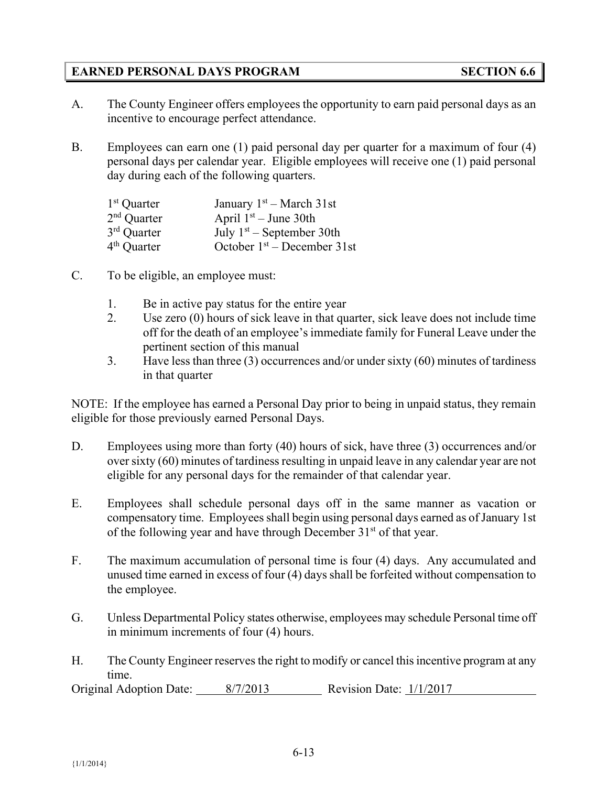# **EARNED PERSONAL DAYS PROGRAM SECTION 6.6**

- A. The County Engineer offers employees the opportunity to earn paid personal days as an incentive to encourage perfect attendance.
- B. Employees can earn one (1) paid personal day per quarter for a maximum of four (4) personal days per calendar year. Eligible employees will receive one (1) paid personal day during each of the following quarters.

| January $1st - March 31st$    |
|-------------------------------|
| April $1st - June 30th$       |
| July $1st$ – September 30th   |
| October $1st$ – December 31st |
|                               |

- C. To be eligible, an employee must:
	- 1. Be in active pay status for the entire year
	- 2. Use zero (0) hours of sick leave in that quarter, sick leave does not include time off for the death of an employee's immediate family for Funeral Leave under the pertinent section of this manual
	- 3. Have less than three (3) occurrences and/or under sixty (60) minutes of tardiness in that quarter

NOTE: If the employee has earned a Personal Day prior to being in unpaid status, they remain eligible for those previously earned Personal Days.

- D. Employees using more than forty (40) hours of sick, have three (3) occurrences and/or over sixty (60) minutes of tardiness resulting in unpaid leave in any calendar year are not eligible for any personal days for the remainder of that calendar year.
- E. Employees shall schedule personal days off in the same manner as vacation or compensatory time. Employees shall begin using personal days earned as of January 1st of the following year and have through December  $31<sup>st</sup>$  of that year.
- F. The maximum accumulation of personal time is four (4) days. Any accumulated and unused time earned in excess of four (4) days shall be forfeited without compensation to the employee.
- G. Unless Departmental Policy states otherwise, employees may schedule Personal time off in minimum increments of four (4) hours.
- H. The County Engineer reserves the right to modify or cancel this incentive program at any time.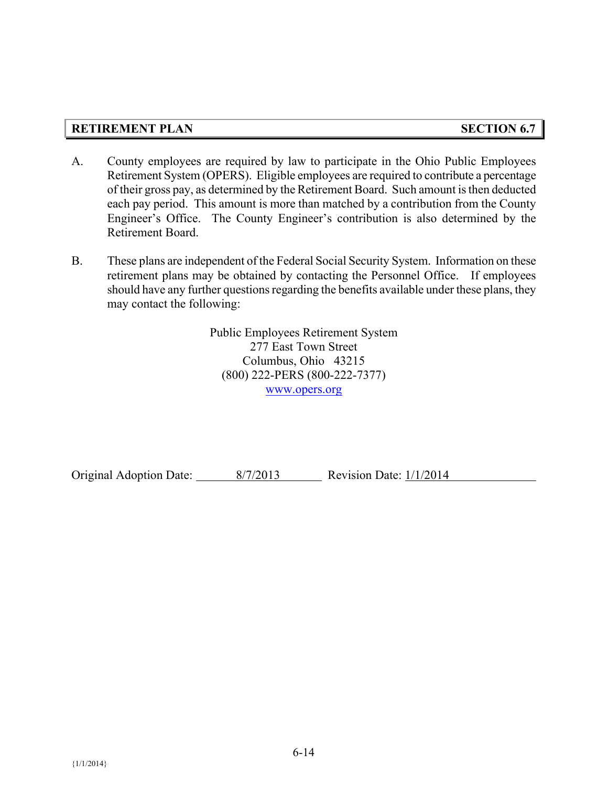# **RETIREMENT PLAN SECTION 6.7**

- A. County employees are required by law to participate in the Ohio Public Employees Retirement System (OPERS). Eligible employees are required to contribute a percentage of their gross pay, as determined by the Retirement Board. Such amount is then deducted each pay period. This amount is more than matched by a contribution from the County Engineer's Office. The County Engineer's contribution is also determined by the Retirement Board.
- B. These plans are independent of the Federal Social Security System. Information on these retirement plans may be obtained by contacting the Personnel Office. If employees should have any further questions regarding the benefits available under these plans, they may contact the following:

Public Employees Retirement System 277 East Town Street Columbus, Ohio 43215 (800) 222-PERS (800-222-7377) [www.opers.org](http://www.opers.org/)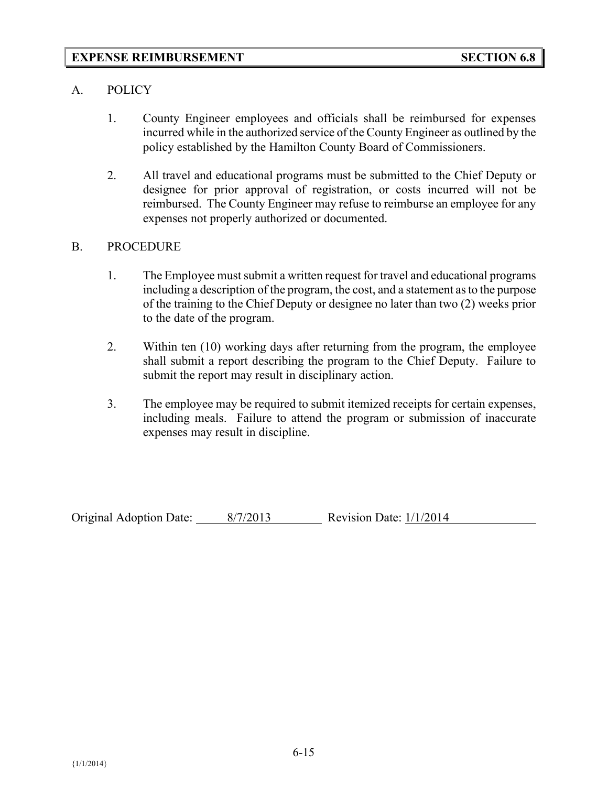#### A. POLICY

- 1. County Engineer employees and officials shall be reimbursed for expenses incurred while in the authorized service of the County Engineer as outlined by the policy established by the Hamilton County Board of Commissioners.
- 2. All travel and educational programs must be submitted to the Chief Deputy or designee for prior approval of registration, or costs incurred will not be reimbursed. The County Engineer may refuse to reimburse an employee for any expenses not properly authorized or documented.

#### B. PROCEDURE

- 1. The Employee must submit a written request for travel and educational programs including a description of the program, the cost, and a statement as to the purpose of the training to the Chief Deputy or designee no later than two (2) weeks prior to the date of the program.
- 2. Within ten (10) working days after returning from the program, the employee shall submit a report describing the program to the Chief Deputy. Failure to submit the report may result in disciplinary action.
- 3. The employee may be required to submit itemized receipts for certain expenses, including meals. Failure to attend the program or submission of inaccurate expenses may result in discipline.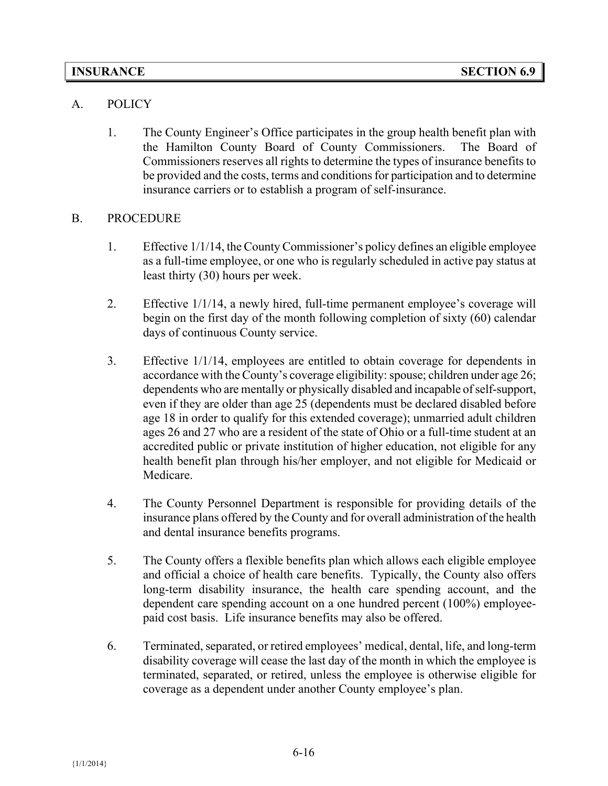### A. POLICY

1. The County Engineer's Office participates in the group health benefit plan with the Hamilton County Board of County Commissioners. The Board of Commissioners reserves all rights to determine the types of insurance benefits to be provided and the costs, terms and conditions for participation and to determine insurance carriers or to establish a program of self-insurance.

### B. PROCEDURE

- 1. Effective 1/1/14, the County Commissioner's policy defines an eligible employee as a full-time employee, or one who is regularly scheduled in active pay status at least thirty (30) hours per week.
- 2. Effective 1/1/14, a newly hired, full-time permanent employee's coverage will begin on the first day of the month following completion of sixty (60) calendar days of continuous County service.
- 3. Effective 1/1/14, employees are entitled to obtain coverage for dependents in accordance with the County's coverage eligibility: spouse; children under age 26; dependents who are mentally or physically disabled and incapable of self-support, even if they are older than age 25 (dependents must be declared disabled before age 18 in order to qualify for this extended coverage); unmarried adult children ages 26 and 27 who are a resident of the state of Ohio or a full-time student at an accredited public or private institution of higher education, not eligible for any health benefit plan through his/her employer, and not eligible for Medicaid or Medicare.
- 4. The County Personnel Department is responsible for providing details of the insurance plans offered by the County and for overall administration of the health and dental insurance benefits programs.
- 5. The County offers a flexible benefits plan which allows each eligible employee and official a choice of health care benefits. Typically, the County also offers long-term disability insurance, the health care spending account, and the dependent care spending account on a one hundred percent (100%) employeepaid cost basis. Life insurance benefits may also be offered.
- 6. Terminated, separated, or retired employees' medical, dental, life, and long-term disability coverage will cease the last day of the month in which the employee is terminated, separated, or retired, unless the employee is otherwise eligible for coverage as a dependent under another County employee's plan.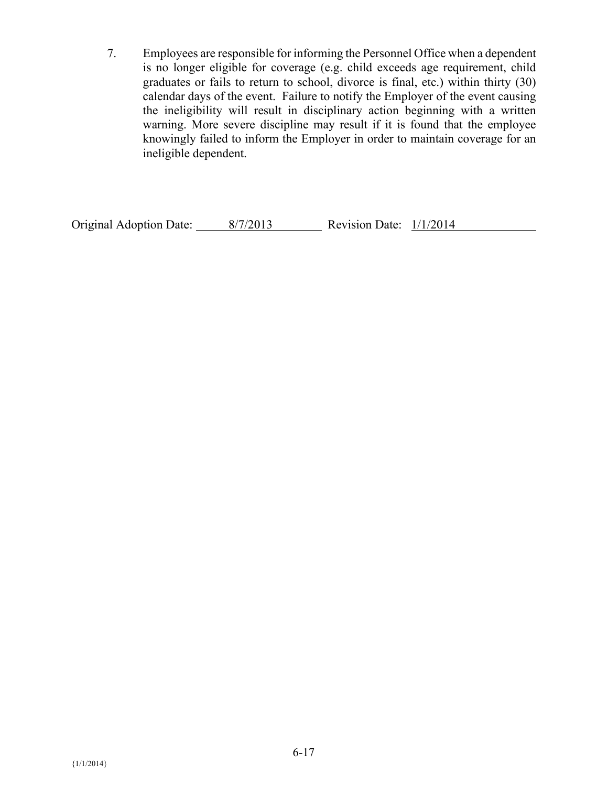7. Employees are responsible for informing the Personnel Office when a dependent is no longer eligible for coverage (e.g. child exceeds age requirement, child graduates or fails to return to school, divorce is final, etc.) within thirty (30) calendar days of the event. Failure to notify the Employer of the event causing the ineligibility will result in disciplinary action beginning with a written warning. More severe discipline may result if it is found that the employee knowingly failed to inform the Employer in order to maintain coverage for an ineligible dependent.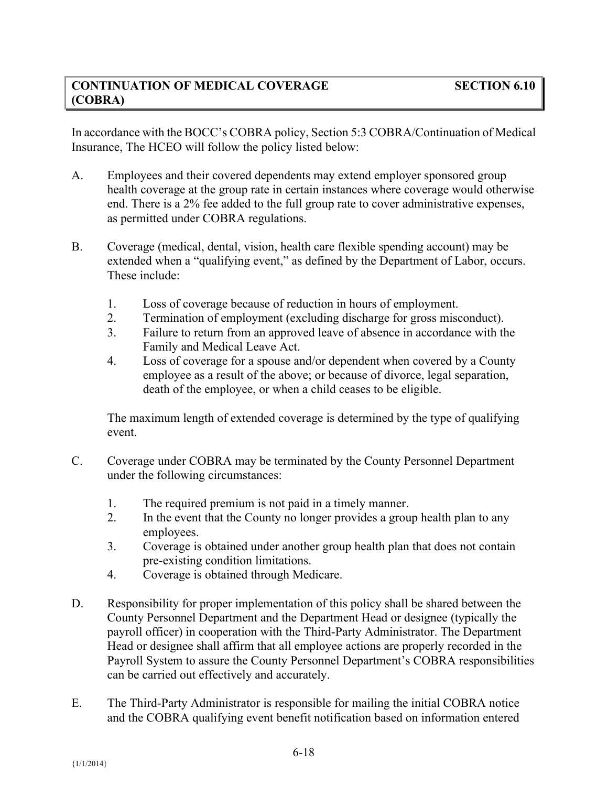In accordance with the BOCC's COBRA policy, Section 5:3 COBRA/Continuation of Medical Insurance, The HCEO will follow the policy listed below:

- A. Employees and their covered dependents may extend employer sponsored group health coverage at the group rate in certain instances where coverage would otherwise end. There is a 2% fee added to the full group rate to cover administrative expenses, as permitted under COBRA regulations.
- B. Coverage (medical, dental, vision, health care flexible spending account) may be extended when a "qualifying event," as defined by the Department of Labor, occurs. These include:
	- 1. Loss of coverage because of reduction in hours of employment.
	- 2. Termination of employment (excluding discharge for gross misconduct).
	- 3. Failure to return from an approved leave of absence in accordance with the Family and Medical Leave Act.
	- 4. Loss of coverage for a spouse and/or dependent when covered by a County employee as a result of the above; or because of divorce, legal separation, death of the employee, or when a child ceases to be eligible.

The maximum length of extended coverage is determined by the type of qualifying event.

- C. Coverage under COBRA may be terminated by the County Personnel Department under the following circumstances:
	- 1. The required premium is not paid in a timely manner.
	- 2. In the event that the County no longer provides a group health plan to any employees.
	- 3. Coverage is obtained under another group health plan that does not contain pre-existing condition limitations.
	- 4. Coverage is obtained through Medicare.
- D. Responsibility for proper implementation of this policy shall be shared between the County Personnel Department and the Department Head or designee (typically the payroll officer) in cooperation with the Third-Party Administrator. The Department Head or designee shall affirm that all employee actions are properly recorded in the Payroll System to assure the County Personnel Department's COBRA responsibilities can be carried out effectively and accurately.
- E. The Third-Party Administrator is responsible for mailing the initial COBRA notice and the COBRA qualifying event benefit notification based on information entered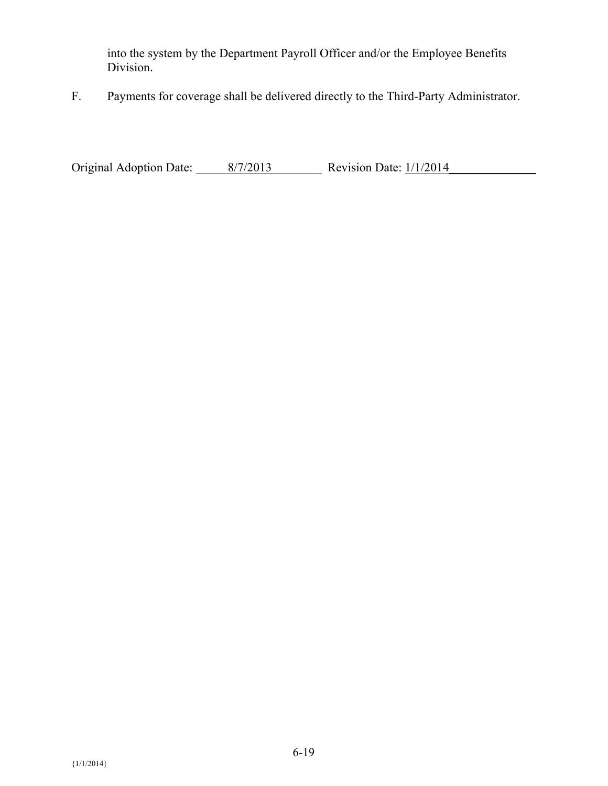into the system by the Department Payroll Officer and/or the Employee Benefits Division.

F. Payments for coverage shall be delivered directly to the Third-Party Administrator.

Original Adoption Date:  $\frac{8/7/2013}{\sqrt{8/7}}$  Revision Date:  $\frac{1}{1/2014}$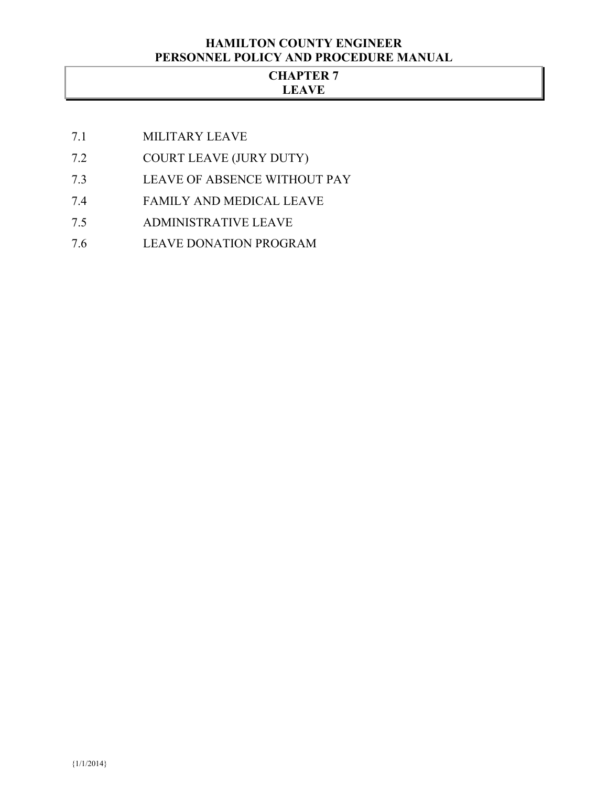#### **HAMILTON COUNTY ENGINEER PERSONNEL POLICY AND PROCEDURE MANUAL**

#### **CHAPTER 7 LEAVE**

- 7.1 MILITARY LEAVE
- 7.2 COURT LEAVE (JURY DUTY)
- 7.3 LEAVE OF ABSENCE WITHOUT PAY
- 7.4 FAMILY AND MEDICAL LEAVE
- 7.5 ADMINISTRATIVE LEAVE
- 7.6 LEAVE DONATION PROGRAM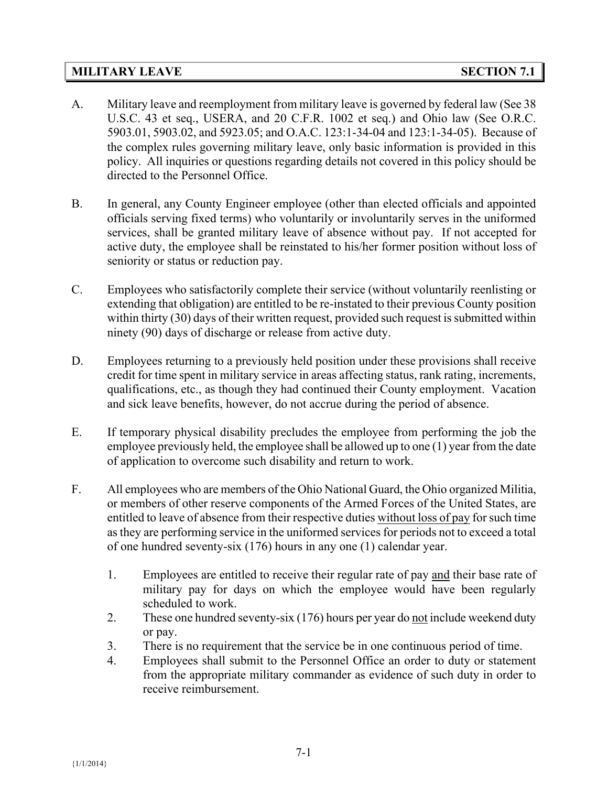#### **MILITARY LEAVE SECTION 7.1**

- A. Military leave and reemployment from military leave is governed by federal law (See 38 U.S.C. 43 et seq., USERA, and 20 C.F.R. 1002 et seq.) and Ohio law (See O.R.C. 5903.01, 5903.02, and 5923.05; and O.A.C. 123:1-34-04 and 123:1-34-05). Because of the complex rules governing military leave, only basic information is provided in this policy. All inquiries or questions regarding details not covered in this policy should be directed to the Personnel Office.
- B. In general, any County Engineer employee (other than elected officials and appointed officials serving fixed terms) who voluntarily or involuntarily serves in the uniformed services, shall be granted military leave of absence without pay. If not accepted for active duty, the employee shall be reinstated to his/her former position without loss of seniority or status or reduction pay.
- C. Employees who satisfactorily complete their service (without voluntarily reenlisting or extending that obligation) are entitled to be re-instated to their previous County position within thirty (30) days of their written request, provided such request is submitted within ninety (90) days of discharge or release from active duty.
- D. Employees returning to a previously held position under these provisions shall receive credit for time spent in military service in areas affecting status, rank rating, increments, qualifications, etc., as though they had continued their County employment. Vacation and sick leave benefits, however, do not accrue during the period of absence.
- E. If temporary physical disability precludes the employee from performing the job the employee previously held, the employee shall be allowed up to one (1) year from the date of application to overcome such disability and return to work.
- F. All employees who are members of the Ohio National Guard, the Ohio organized Militia, or members of other reserve components of the Armed Forces of the United States, are entitled to leave of absence from their respective duties without loss of pay for such time as they are performing service in the uniformed services for periods not to exceed a total of one hundred seventy-six (176) hours in any one (1) calendar year.
	- 1. Employees are entitled to receive their regular rate of pay and their base rate of military pay for days on which the employee would have been regularly scheduled to work.
	- 2. These one hundred seventy-six (176) hours per year do not include weekend duty or pay.
	- 3. There is no requirement that the service be in one continuous period of time.
	- 4. Employees shall submit to the Personnel Office an order to duty or statement from the appropriate military commander as evidence of such duty in order to receive reimbursement.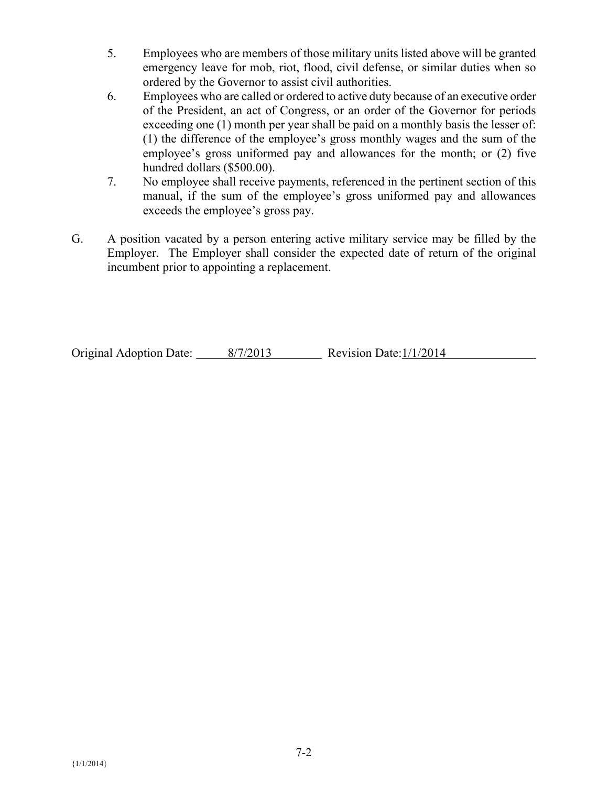- 5. Employees who are members of those military units listed above will be granted emergency leave for mob, riot, flood, civil defense, or similar duties when so ordered by the Governor to assist civil authorities.
- 6. Employees who are called or ordered to active duty because of an executive order of the President, an act of Congress, or an order of the Governor for periods exceeding one (1) month per year shall be paid on a monthly basis the lesser of: (1) the difference of the employee's gross monthly wages and the sum of the employee's gross uniformed pay and allowances for the month; or (2) five hundred dollars (\$500.00).
- 7. No employee shall receive payments, referenced in the pertinent section of this manual, if the sum of the employee's gross uniformed pay and allowances exceeds the employee's gross pay.
- G. A position vacated by a person entering active military service may be filled by the Employer. The Employer shall consider the expected date of return of the original incumbent prior to appointing a replacement.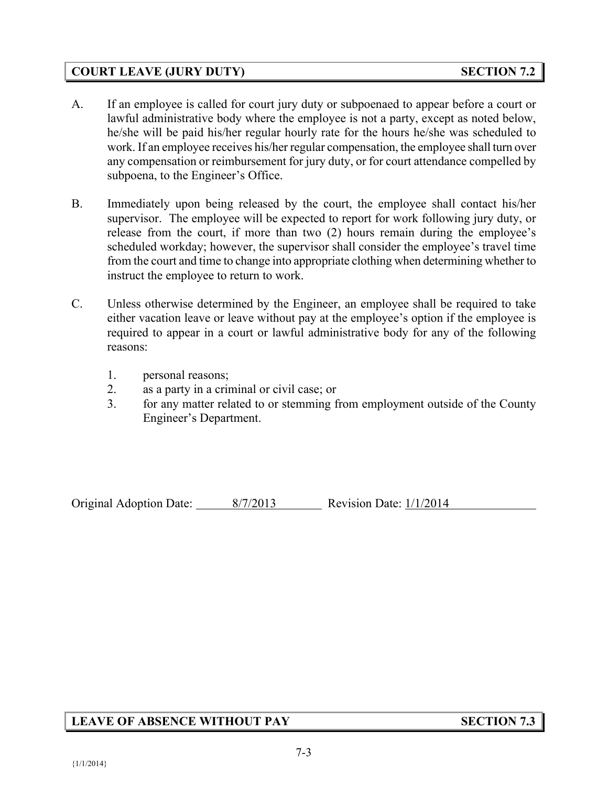## **COURT LEAVE (JURY DUTY) SECTION 7.2**

- A. If an employee is called for court jury duty or subpoenaed to appear before a court or lawful administrative body where the employee is not a party, except as noted below, he/she will be paid his/her regular hourly rate for the hours he/she was scheduled to work. If an employee receives his/her regular compensation, the employee shall turn over any compensation or reimbursement for jury duty, or for court attendance compelled by subpoena, to the Engineer's Office.
- B. Immediately upon being released by the court, the employee shall contact his/her supervisor. The employee will be expected to report for work following jury duty, or release from the court, if more than two (2) hours remain during the employee's scheduled workday; however, the supervisor shall consider the employee's travel time from the court and time to change into appropriate clothing when determining whether to instruct the employee to return to work.
- C. Unless otherwise determined by the Engineer, an employee shall be required to take either vacation leave or leave without pay at the employee's option if the employee is required to appear in a court or lawful administrative body for any of the following reasons:
	- 1. personal reasons;
	- 2. as a party in a criminal or civil case; or
	- 3. for any matter related to or stemming from employment outside of the County Engineer's Department.

Original Adoption Date: 8/7/2013 Revision Date: 1/1/2014

# **LEAVE OF ABSENCE WITHOUT PAY SECTION 7.3**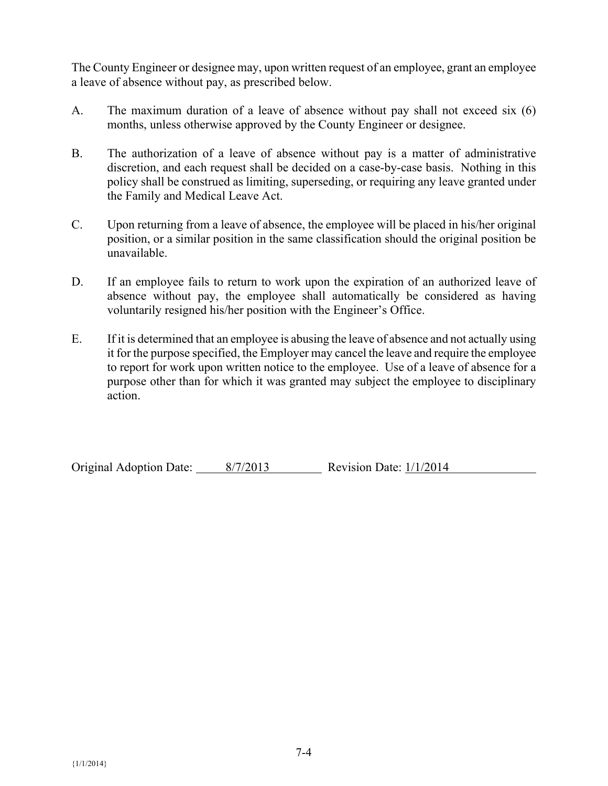The County Engineer or designee may, upon written request of an employee, grant an employee a leave of absence without pay, as prescribed below.

- A. The maximum duration of a leave of absence without pay shall not exceed six (6) months, unless otherwise approved by the County Engineer or designee.
- B. The authorization of a leave of absence without pay is a matter of administrative discretion, and each request shall be decided on a case-by-case basis. Nothing in this policy shall be construed as limiting, superseding, or requiring any leave granted under the Family and Medical Leave Act.
- C. Upon returning from a leave of absence, the employee will be placed in his/her original position, or a similar position in the same classification should the original position be unavailable.
- D. If an employee fails to return to work upon the expiration of an authorized leave of absence without pay, the employee shall automatically be considered as having voluntarily resigned his/her position with the Engineer's Office.
- E. If it is determined that an employee is abusing the leave of absence and not actually using it for the purpose specified, the Employer may cancel the leave and require the employee to report for work upon written notice to the employee. Use of a leave of absence for a purpose other than for which it was granted may subject the employee to disciplinary action.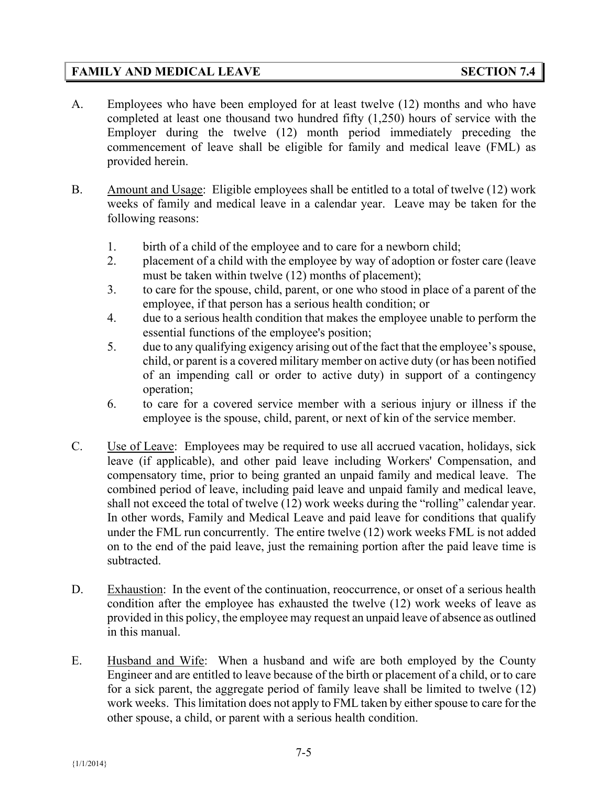# **FAMILY AND MEDICAL LEAVE SECTION 7.4**

- A. Employees who have been employed for at least twelve (12) months and who have completed at least one thousand two hundred fifty (1,250) hours of service with the Employer during the twelve (12) month period immediately preceding the commencement of leave shall be eligible for family and medical leave (FML) as provided herein.
- B. Amount and Usage: Eligible employees shall be entitled to a total of twelve (12) work weeks of family and medical leave in a calendar year. Leave may be taken for the following reasons:
	- 1. birth of a child of the employee and to care for a newborn child;
	- 2. placement of a child with the employee by way of adoption or foster care (leave must be taken within twelve (12) months of placement);
	- 3. to care for the spouse, child, parent, or one who stood in place of a parent of the employee, if that person has a serious health condition; or
	- 4. due to a serious health condition that makes the employee unable to perform the essential functions of the employee's position;
	- 5. due to any qualifying exigency arising out of the fact that the employee's spouse, child, or parent is a covered military member on active duty (or has been notified of an impending call or order to active duty) in support of a contingency operation;
	- 6. to care for a covered service member with a serious injury or illness if the employee is the spouse, child, parent, or next of kin of the service member.
- C. Use of Leave: Employees may be required to use all accrued vacation, holidays, sick leave (if applicable), and other paid leave including Workers' Compensation, and compensatory time, prior to being granted an unpaid family and medical leave. The combined period of leave, including paid leave and unpaid family and medical leave, shall not exceed the total of twelve (12) work weeks during the "rolling" calendar year. In other words, Family and Medical Leave and paid leave for conditions that qualify under the FML run concurrently. The entire twelve (12) work weeks FML is not added on to the end of the paid leave, just the remaining portion after the paid leave time is subtracted.
- D. Exhaustion: In the event of the continuation, reoccurrence, or onset of a serious health condition after the employee has exhausted the twelve (12) work weeks of leave as provided in this policy, the employee may request an unpaid leave of absence as outlined in this manual.
- E. Husband and Wife: When a husband and wife are both employed by the County Engineer and are entitled to leave because of the birth or placement of a child, or to care for a sick parent, the aggregate period of family leave shall be limited to twelve (12) work weeks. This limitation does not apply to FML taken by either spouse to care for the other spouse, a child, or parent with a serious health condition.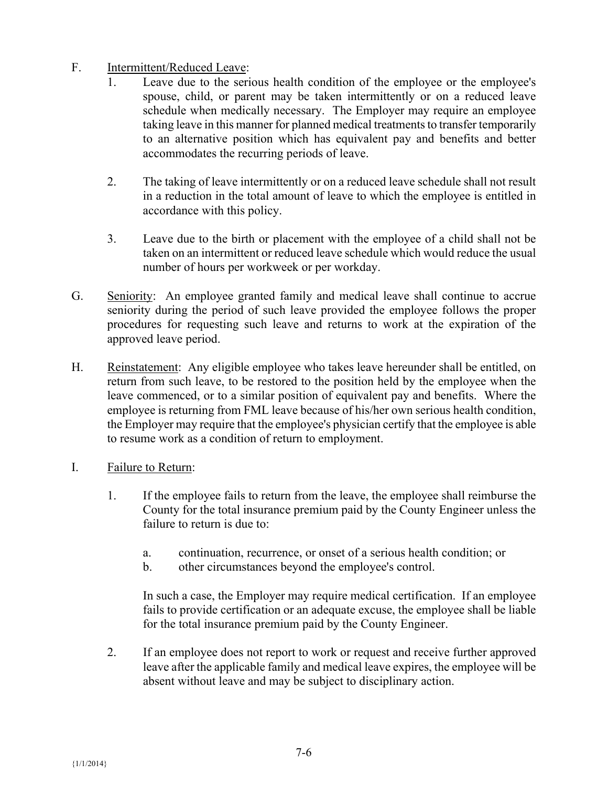# F. Intermittent/Reduced Leave:

- 1. Leave due to the serious health condition of the employee or the employee's spouse, child, or parent may be taken intermittently or on a reduced leave schedule when medically necessary. The Employer may require an employee taking leave in this manner for planned medical treatments to transfer temporarily to an alternative position which has equivalent pay and benefits and better accommodates the recurring periods of leave.
- 2. The taking of leave intermittently or on a reduced leave schedule shall not result in a reduction in the total amount of leave to which the employee is entitled in accordance with this policy.
- 3. Leave due to the birth or placement with the employee of a child shall not be taken on an intermittent or reduced leave schedule which would reduce the usual number of hours per workweek or per workday.
- G. Seniority: An employee granted family and medical leave shall continue to accrue seniority during the period of such leave provided the employee follows the proper procedures for requesting such leave and returns to work at the expiration of the approved leave period.
- H. Reinstatement: Any eligible employee who takes leave hereunder shall be entitled, on return from such leave, to be restored to the position held by the employee when the leave commenced, or to a similar position of equivalent pay and benefits. Where the employee is returning from FML leave because of his/her own serious health condition, the Employer may require that the employee's physician certify that the employee is able to resume work as a condition of return to employment.
- I. Failure to Return:
	- 1. If the employee fails to return from the leave, the employee shall reimburse the County for the total insurance premium paid by the County Engineer unless the failure to return is due to:
		- a. continuation, recurrence, or onset of a serious health condition; or
		- b. other circumstances beyond the employee's control.

In such a case, the Employer may require medical certification. If an employee fails to provide certification or an adequate excuse, the employee shall be liable for the total insurance premium paid by the County Engineer.

2. If an employee does not report to work or request and receive further approved leave after the applicable family and medical leave expires, the employee will be absent without leave and may be subject to disciplinary action.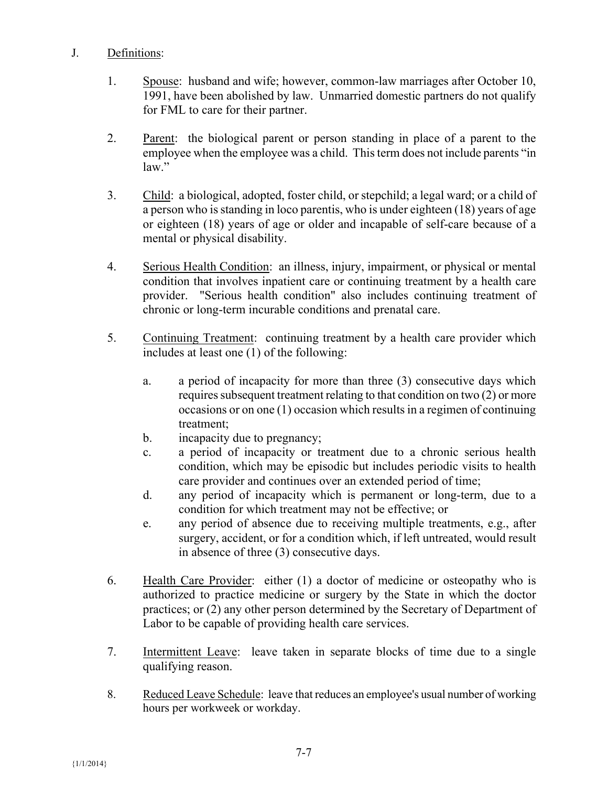#### J. Definitions:

- 1. Spouse: husband and wife; however, common-law marriages after October 10, 1991, have been abolished by law. Unmarried domestic partners do not qualify for FML to care for their partner.
- 2. Parent: the biological parent or person standing in place of a parent to the employee when the employee was a child. This term does not include parents "in law."
- 3. Child: a biological, adopted, foster child, or stepchild; a legal ward; or a child of a person who is standing in loco parentis, who is under eighteen (18) years of age or eighteen (18) years of age or older and incapable of self-care because of a mental or physical disability.
- 4. Serious Health Condition: an illness, injury, impairment, or physical or mental condition that involves inpatient care or continuing treatment by a health care provider. "Serious health condition" also includes continuing treatment of chronic or long-term incurable conditions and prenatal care.
- 5. Continuing Treatment: continuing treatment by a health care provider which includes at least one (1) of the following:
	- a. a period of incapacity for more than three (3) consecutive days which requires subsequent treatment relating to that condition on two (2) or more occasions or on one (1) occasion which results in a regimen of continuing treatment;
	- b. incapacity due to pregnancy;
	- c. a period of incapacity or treatment due to a chronic serious health condition, which may be episodic but includes periodic visits to health care provider and continues over an extended period of time;
	- d. any period of incapacity which is permanent or long-term, due to a condition for which treatment may not be effective; or
	- e. any period of absence due to receiving multiple treatments, e.g., after surgery, accident, or for a condition which, if left untreated, would result in absence of three (3) consecutive days.
- 6. Health Care Provider: either (1) a doctor of medicine or osteopathy who is authorized to practice medicine or surgery by the State in which the doctor practices; or (2) any other person determined by the Secretary of Department of Labor to be capable of providing health care services.
- 7. Intermittent Leave: leave taken in separate blocks of time due to a single qualifying reason.
- 8. Reduced Leave Schedule: leave that reduces an employee's usual number of working hours per workweek or workday.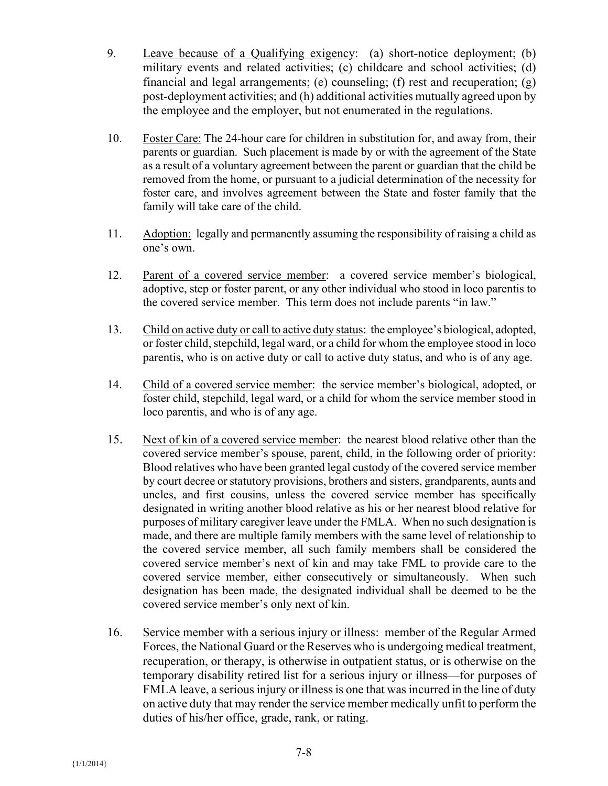- 9. Leave because of a Qualifying exigency: (a) short-notice deployment; (b) military events and related activities; (c) childcare and school activities; (d) financial and legal arrangements; (e) counseling; (f) rest and recuperation; (g) post-deployment activities; and (h) additional activities mutually agreed upon by the employee and the employer, but not enumerated in the regulations.
- 10. Foster Care: The 24-hour care for children in substitution for, and away from, their parents or guardian. Such placement is made by or with the agreement of the State as a result of a voluntary agreement between the parent or guardian that the child be removed from the home, or pursuant to a judicial determination of the necessity for foster care, and involves agreement between the State and foster family that the family will take care of the child.
- 11. Adoption: legally and permanently assuming the responsibility of raising a child as one's own.
- 12. Parent of a covered service member: a covered service member's biological, adoptive, step or foster parent, or any other individual who stood in loco parentis to the covered service member. This term does not include parents "in law."
- 13. Child on active duty or call to active duty status: the employee's biological, adopted, or foster child, stepchild, legal ward, or a child for whom the employee stood in loco parentis, who is on active duty or call to active duty status, and who is of any age.
- 14. Child of a covered service member: the service member's biological, adopted, or foster child, stepchild, legal ward, or a child for whom the service member stood in loco parentis, and who is of any age.
- 15. Next of kin of a covered service member: the nearest blood relative other than the covered service member's spouse, parent, child, in the following order of priority: Blood relatives who have been granted legal custody of the covered service member by court decree or statutory provisions, brothers and sisters, grandparents, aunts and uncles, and first cousins, unless the covered service member has specifically designated in writing another blood relative as his or her nearest blood relative for purposes of military caregiver leave under the FMLA. When no such designation is made, and there are multiple family members with the same level of relationship to the covered service member, all such family members shall be considered the covered service member's next of kin and may take FML to provide care to the covered service member, either consecutively or simultaneously. When such designation has been made, the designated individual shall be deemed to be the covered service member's only next of kin.
- 16. Service member with a serious injury or illness: member of the Regular Armed Forces, the National Guard or the Reserves who is undergoing medical treatment, recuperation, or therapy, is otherwise in outpatient status, or is otherwise on the temporary disability retired list for a serious injury or illness—for purposes of FMLA leave, a serious injury or illness is one that was incurred in the line of duty on active duty that may render the service member medically unfit to perform the duties of his/her office, grade, rank, or rating.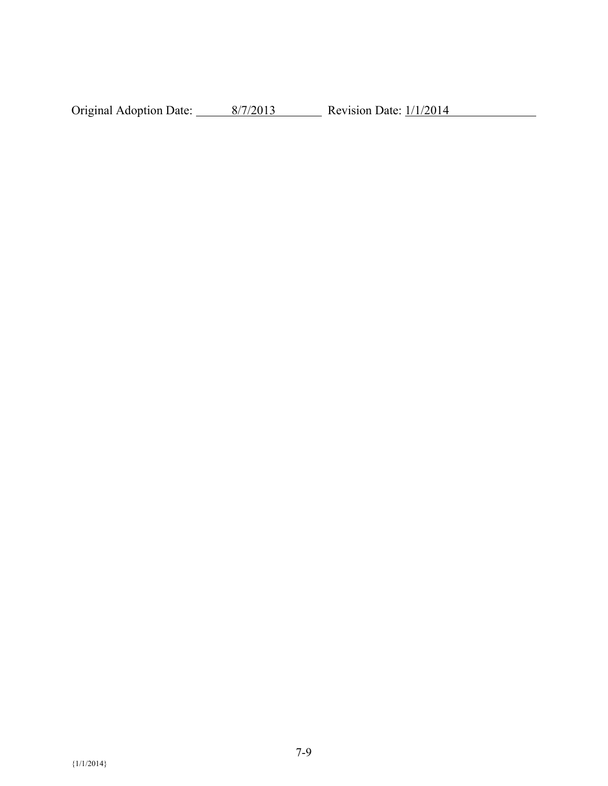Original Adoption Date:  $\frac{8/7/2013}{8/7/2013}$  Revision Date:  $\frac{1/1/2014}{8/7}$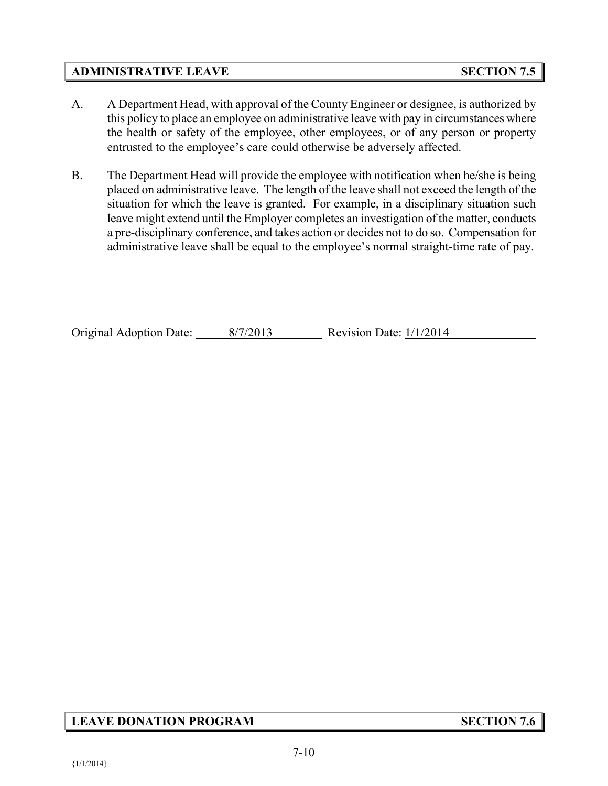#### **ADMINISTRATIVE LEAVE SECTION 7.5**

- A. A Department Head, with approval of the County Engineer or designee, is authorized by this policy to place an employee on administrative leave with pay in circumstances where the health or safety of the employee, other employees, or of any person or property entrusted to the employee's care could otherwise be adversely affected.
- B. The Department Head will provide the employee with notification when he/she is being placed on administrative leave. The length of the leave shall not exceed the length of the situation for which the leave is granted. For example, in a disciplinary situation such leave might extend until the Employer completes an investigation of the matter, conducts a pre-disciplinary conference, and takes action or decides not to do so. Compensation for administrative leave shall be equal to the employee's normal straight-time rate of pay.

Original Adoption Date: 8/7/2013 Revision Date: 1/1/2014

# **LEAVE DONATION PROGRAM SECTION 7.6**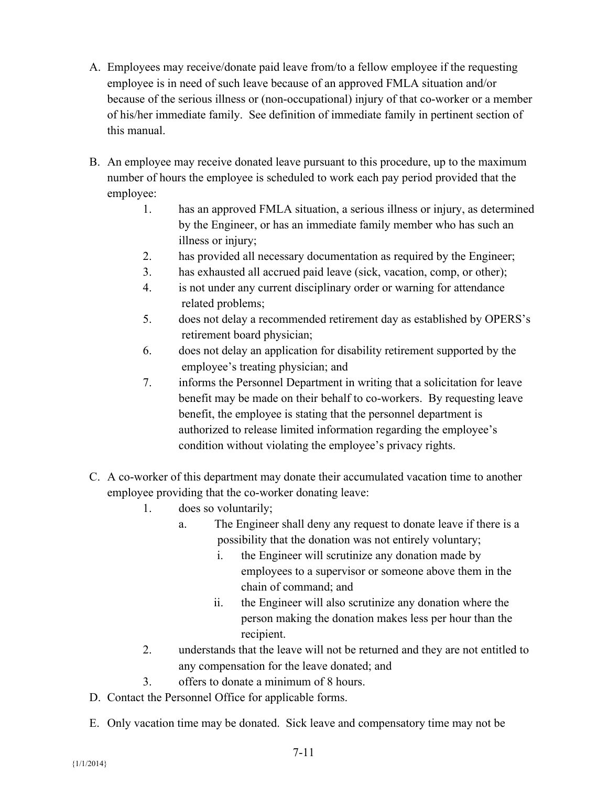- A. Employees may receive/donate paid leave from/to a fellow employee if the requesting employee is in need of such leave because of an approved FMLA situation and/or because of the serious illness or (non-occupational) injury of that co-worker or a member of his/her immediate family. See definition of immediate family in pertinent section of this manual.
- B. An employee may receive donated leave pursuant to this procedure, up to the maximum number of hours the employee is scheduled to work each pay period provided that the employee:
	- 1. has an approved FMLA situation, a serious illness or injury, as determined by the Engineer, or has an immediate family member who has such an illness or injury;
	- 2. has provided all necessary documentation as required by the Engineer;
	- 3. has exhausted all accrued paid leave (sick, vacation, comp, or other);
	- 4. is not under any current disciplinary order or warning for attendance related problems;
	- 5. does not delay a recommended retirement day as established by OPERS's retirement board physician;
	- 6. does not delay an application for disability retirement supported by the employee's treating physician; and
	- 7. informs the Personnel Department in writing that a solicitation for leave benefit may be made on their behalf to co-workers. By requesting leave benefit, the employee is stating that the personnel department is authorized to release limited information regarding the employee's condition without violating the employee's privacy rights.
- C. A co-worker of this department may donate their accumulated vacation time to another employee providing that the co-worker donating leave:
	- 1. does so voluntarily;
		- a. The Engineer shall deny any request to donate leave if there is a possibility that the donation was not entirely voluntary;
			- i. the Engineer will scrutinize any donation made by employees to a supervisor or someone above them in the chain of command; and
			- ii. the Engineer will also scrutinize any donation where the person making the donation makes less per hour than the recipient.
	- 2. understands that the leave will not be returned and they are not entitled to any compensation for the leave donated; and
	- 3. offers to donate a minimum of 8 hours.
- D. Contact the Personnel Office for applicable forms.
- E. Only vacation time may be donated. Sick leave and compensatory time may not be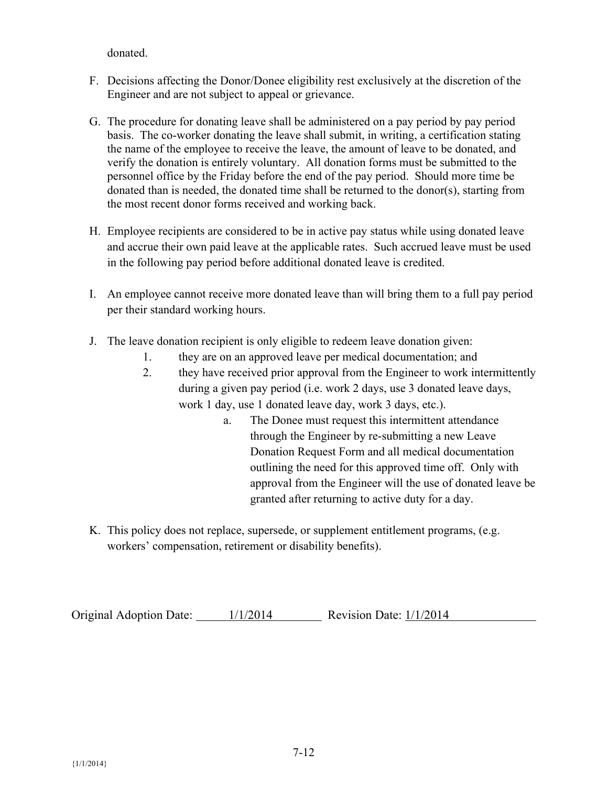donated.

- F. Decisions affecting the Donor/Donee eligibility rest exclusively at the discretion of the Engineer and are not subject to appeal or grievance.
- G. The procedure for donating leave shall be administered on a pay period by pay period basis. The co-worker donating the leave shall submit, in writing, a certification stating the name of the employee to receive the leave, the amount of leave to be donated, and verify the donation is entirely voluntary. All donation forms must be submitted to the personnel office by the Friday before the end of the pay period. Should more time be donated than is needed, the donated time shall be returned to the donor(s), starting from the most recent donor forms received and working back.
- H. Employee recipients are considered to be in active pay status while using donated leave and accrue their own paid leave at the applicable rates. Such accrued leave must be used in the following pay period before additional donated leave is credited.
- I. An employee cannot receive more donated leave than will bring them to a full pay period per their standard working hours.
- J. The leave donation recipient is only eligible to redeem leave donation given:
	- 1. they are on an approved leave per medical documentation; and
	- 2. they have received prior approval from the Engineer to work intermittently during a given pay period (i.e. work 2 days, use 3 donated leave days, work 1 day, use 1 donated leave day, work 3 days, etc.).
		- a. The Donee must request this intermittent attendance through the Engineer by re-submitting a new Leave Donation Request Form and all medical documentation outlining the need for this approved time off. Only with approval from the Engineer will the use of donated leave be granted after returning to active duty for a day.
- K. This policy does not replace, supersede, or supplement entitlement programs, (e.g. workers' compensation, retirement or disability benefits).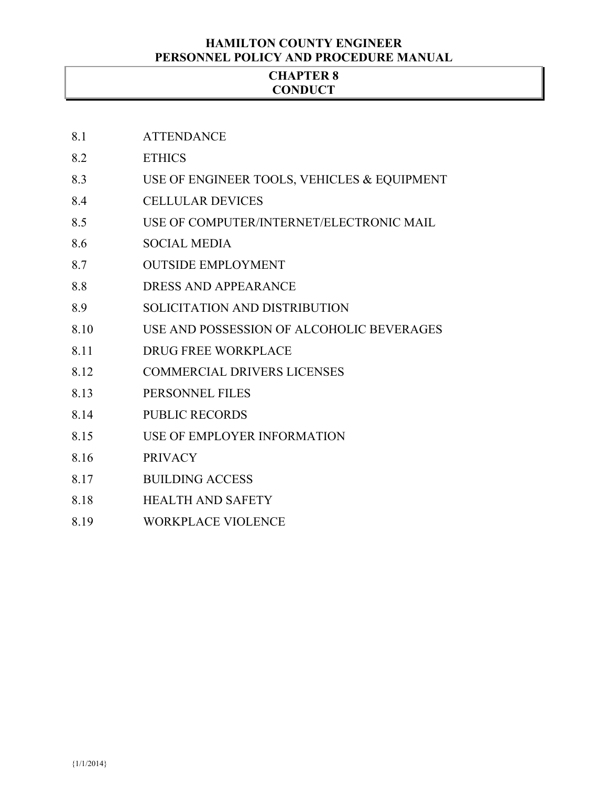#### **HAMILTON COUNTY ENGINEER PERSONNEL POLICY AND PROCEDURE MANUAL**

#### **CHAPTER 8 CONDUCT**

- 8.1 ATTENDANCE
- 8.2 ETHICS
- 8.3 USE OF ENGINEER TOOLS, VEHICLES & EQUIPMENT
- 8.4 CELLULAR DEVICES
- 8.5 USE OF COMPUTER/INTERNET/ELECTRONIC MAIL
- 8.6 SOCIAL MEDIA
- 8.7 OUTSIDE EMPLOYMENT
- 8.8 DRESS AND APPEARANCE
- 8.9 SOLICITATION AND DISTRIBUTION
- 8.10 USE AND POSSESSION OF ALCOHOLIC BEVERAGES
- 8.11 DRUG FREE WORKPLACE
- 8.12 COMMERCIAL DRIVERS LICENSES
- 8.13 PERSONNEL FILES
- 8.14 PUBLIC RECORDS
- 8.15 USE OF EMPLOYER INFORMATION
- 8.16 PRIVACY
- 8.17 BUILDING ACCESS
- 8.18 HEALTH AND SAFETY
- 8.19 WORKPLACE VIOLENCE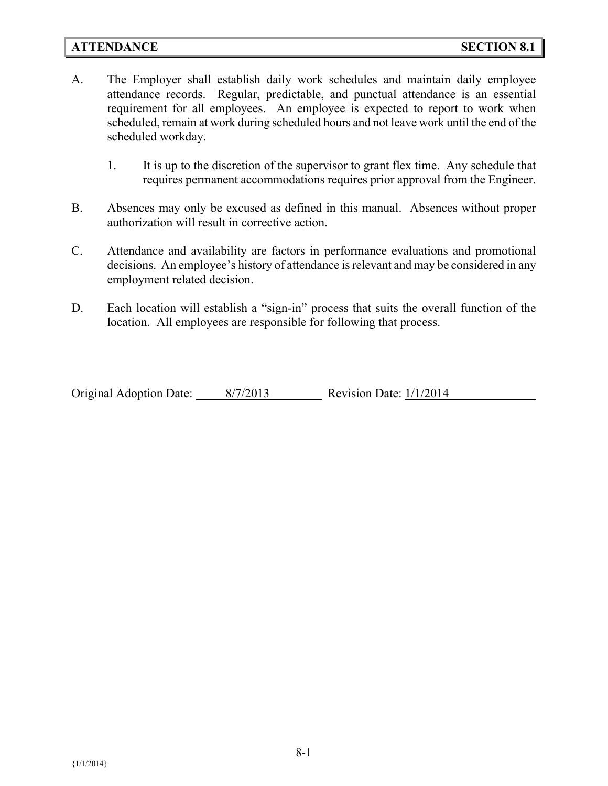#### **ATTENDANCE SECTION 8.1**

- A. The Employer shall establish daily work schedules and maintain daily employee attendance records. Regular, predictable, and punctual attendance is an essential requirement for all employees. An employee is expected to report to work when scheduled, remain at work during scheduled hours and not leave work until the end of the scheduled workday.
	- 1. It is up to the discretion of the supervisor to grant flex time. Any schedule that requires permanent accommodations requires prior approval from the Engineer.
- B. Absences may only be excused as defined in this manual. Absences without proper authorization will result in corrective action.
- C. Attendance and availability are factors in performance evaluations and promotional decisions. An employee's history of attendance is relevant and may be considered in any employment related decision.
- D. Each location will establish a "sign-in" process that suits the overall function of the location. All employees are responsible for following that process.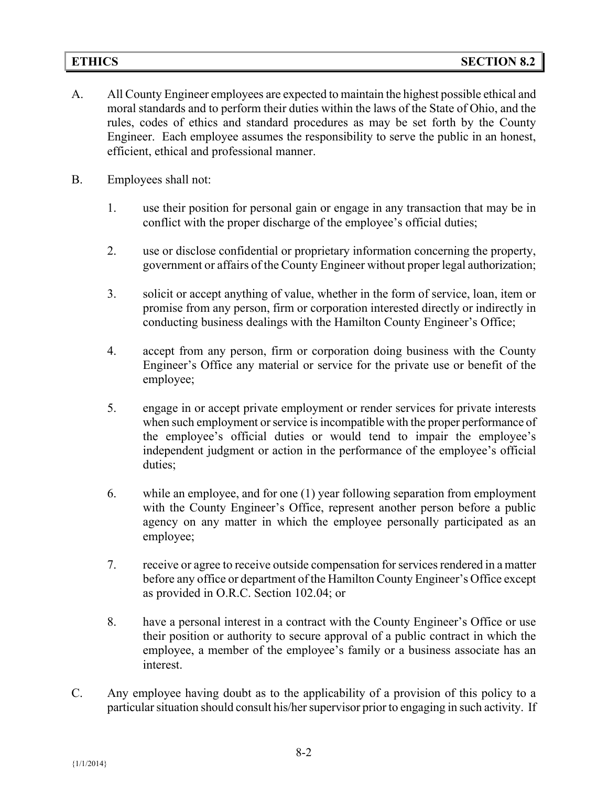- A. All County Engineer employees are expected to maintain the highest possible ethical and moral standards and to perform their duties within the laws of the State of Ohio, and the rules, codes of ethics and standard procedures as may be set forth by the County Engineer. Each employee assumes the responsibility to serve the public in an honest, efficient, ethical and professional manner.
- B. Employees shall not:
	- 1. use their position for personal gain or engage in any transaction that may be in conflict with the proper discharge of the employee's official duties;
	- 2. use or disclose confidential or proprietary information concerning the property, government or affairs of the County Engineer without proper legal authorization;
	- 3. solicit or accept anything of value, whether in the form of service, loan, item or promise from any person, firm or corporation interested directly or indirectly in conducting business dealings with the Hamilton County Engineer's Office;
	- 4. accept from any person, firm or corporation doing business with the County Engineer's Office any material or service for the private use or benefit of the employee;
	- 5. engage in or accept private employment or render services for private interests when such employment or service is incompatible with the proper performance of the employee's official duties or would tend to impair the employee's independent judgment or action in the performance of the employee's official duties;
	- 6. while an employee, and for one (1) year following separation from employment with the County Engineer's Office, represent another person before a public agency on any matter in which the employee personally participated as an employee;
	- 7. receive or agree to receive outside compensation for services rendered in a matter before any office or department of the Hamilton County Engineer's Office except as provided in O.R.C. Section 102.04; or
	- 8. have a personal interest in a contract with the County Engineer's Office or use their position or authority to secure approval of a public contract in which the employee, a member of the employee's family or a business associate has an interest.
- C. Any employee having doubt as to the applicability of a provision of this policy to a particular situation should consult his/her supervisor prior to engaging in such activity. If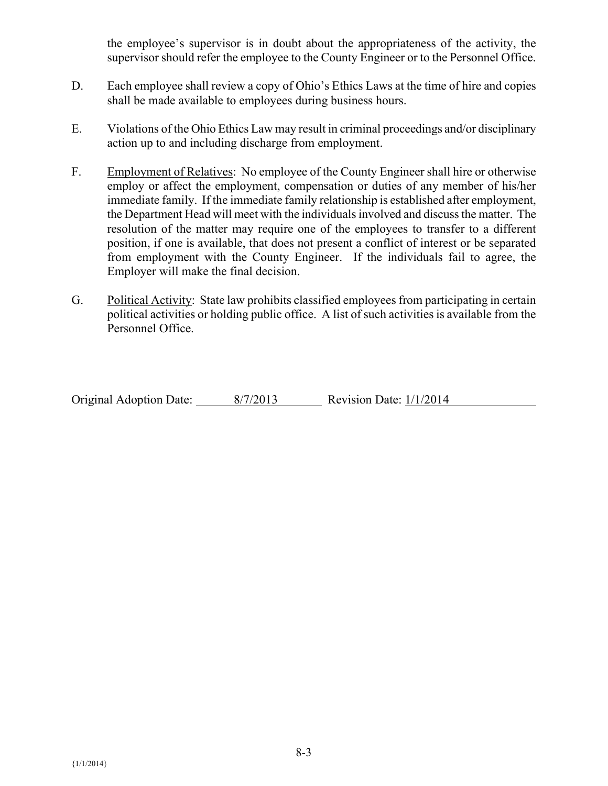the employee's supervisor is in doubt about the appropriateness of the activity, the supervisor should refer the employee to the County Engineer or to the Personnel Office.

- D. Each employee shall review a copy of Ohio's Ethics Laws at the time of hire and copies shall be made available to employees during business hours.
- E. Violations of the Ohio Ethics Law may result in criminal proceedings and/or disciplinary action up to and including discharge from employment.
- F. Employment of Relatives: No employee of the County Engineer shall hire or otherwise employ or affect the employment, compensation or duties of any member of his/her immediate family. If the immediate family relationship is established after employment, the Department Head will meet with the individuals involved and discuss the matter. The resolution of the matter may require one of the employees to transfer to a different position, if one is available, that does not present a conflict of interest or be separated from employment with the County Engineer. If the individuals fail to agree, the Employer will make the final decision.
- G. Political Activity: State law prohibits classified employees from participating in certain political activities or holding public office. A list of such activities is available from the Personnel Office.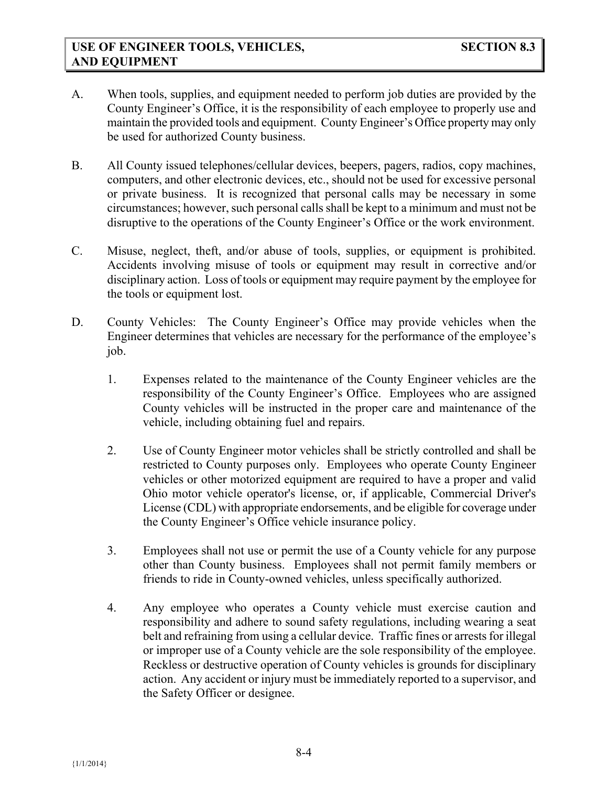- A. When tools, supplies, and equipment needed to perform job duties are provided by the County Engineer's Office, it is the responsibility of each employee to properly use and maintain the provided tools and equipment. County Engineer's Office property may only be used for authorized County business.
- B. All County issued telephones/cellular devices, beepers, pagers, radios, copy machines, computers, and other electronic devices, etc., should not be used for excessive personal or private business. It is recognized that personal calls may be necessary in some circumstances; however, such personal calls shall be kept to a minimum and must not be disruptive to the operations of the County Engineer's Office or the work environment.
- C. Misuse, neglect, theft, and/or abuse of tools, supplies, or equipment is prohibited. Accidents involving misuse of tools or equipment may result in corrective and/or disciplinary action. Loss of tools or equipment may require payment by the employee for the tools or equipment lost.
- D. County Vehicles: The County Engineer's Office may provide vehicles when the Engineer determines that vehicles are necessary for the performance of the employee's job.
	- 1. Expenses related to the maintenance of the County Engineer vehicles are the responsibility of the County Engineer's Office. Employees who are assigned County vehicles will be instructed in the proper care and maintenance of the vehicle, including obtaining fuel and repairs.
	- 2. Use of County Engineer motor vehicles shall be strictly controlled and shall be restricted to County purposes only. Employees who operate County Engineer vehicles or other motorized equipment are required to have a proper and valid Ohio motor vehicle operator's license, or, if applicable, Commercial Driver's License (CDL) with appropriate endorsements, and be eligible for coverage under the County Engineer's Office vehicle insurance policy.
	- 3. Employees shall not use or permit the use of a County vehicle for any purpose other than County business. Employees shall not permit family members or friends to ride in County-owned vehicles, unless specifically authorized.
	- 4. Any employee who operates a County vehicle must exercise caution and responsibility and adhere to sound safety regulations, including wearing a seat belt and refraining from using a cellular device. Traffic fines or arrests for illegal or improper use of a County vehicle are the sole responsibility of the employee. Reckless or destructive operation of County vehicles is grounds for disciplinary action. Any accident or injury must be immediately reported to a supervisor, and the Safety Officer or designee.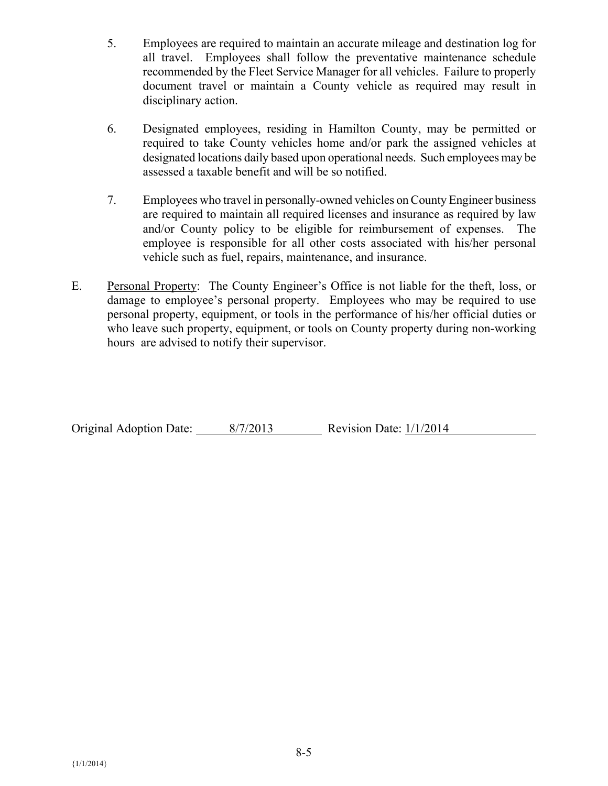- 5. Employees are required to maintain an accurate mileage and destination log for all travel. Employees shall follow the preventative maintenance schedule recommended by the Fleet Service Manager for all vehicles. Failure to properly document travel or maintain a County vehicle as required may result in disciplinary action.
- 6. Designated employees, residing in Hamilton County, may be permitted or required to take County vehicles home and/or park the assigned vehicles at designated locations daily based upon operational needs. Such employees may be assessed a taxable benefit and will be so notified.
- 7. Employees who travel in personally-owned vehicles on County Engineer business are required to maintain all required licenses and insurance as required by law and/or County policy to be eligible for reimbursement of expenses. The employee is responsible for all other costs associated with his/her personal vehicle such as fuel, repairs, maintenance, and insurance.
- E. Personal Property: The County Engineer's Office is not liable for the theft, loss, or damage to employee's personal property. Employees who may be required to use personal property, equipment, or tools in the performance of his/her official duties or who leave such property, equipment, or tools on County property during non-working hours are advised to notify their supervisor.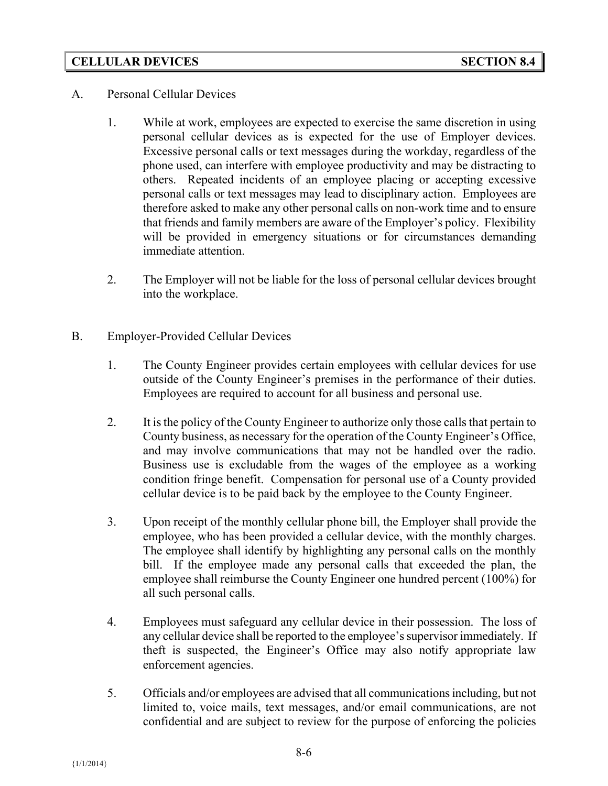## **CELLULAR DEVICES SECTION 8.4**

- A. Personal Cellular Devices
	- 1. While at work, employees are expected to exercise the same discretion in using personal cellular devices as is expected for the use of Employer devices. Excessive personal calls or text messages during the workday, regardless of the phone used, can interfere with employee productivity and may be distracting to others. Repeated incidents of an employee placing or accepting excessive personal calls or text messages may lead to disciplinary action. Employees are therefore asked to make any other personal calls on non-work time and to ensure that friends and family members are aware of the Employer's policy. Flexibility will be provided in emergency situations or for circumstances demanding immediate attention.
	- 2. The Employer will not be liable for the loss of personal cellular devices brought into the workplace.
- B. Employer-Provided Cellular Devices
	- 1. The County Engineer provides certain employees with cellular devices for use outside of the County Engineer's premises in the performance of their duties. Employees are required to account for all business and personal use.
	- 2. It is the policy of the County Engineer to authorize only those calls that pertain to County business, as necessary for the operation of the County Engineer's Office, and may involve communications that may not be handled over the radio. Business use is excludable from the wages of the employee as a working condition fringe benefit. Compensation for personal use of a County provided cellular device is to be paid back by the employee to the County Engineer.
	- 3. Upon receipt of the monthly cellular phone bill, the Employer shall provide the employee, who has been provided a cellular device, with the monthly charges. The employee shall identify by highlighting any personal calls on the monthly bill. If the employee made any personal calls that exceeded the plan, the employee shall reimburse the County Engineer one hundred percent (100%) for all such personal calls.
	- 4. Employees must safeguard any cellular device in their possession. The loss of any cellular device shall be reported to the employee's supervisor immediately. If theft is suspected, the Engineer's Office may also notify appropriate law enforcement agencies.
	- 5. Officials and/or employees are advised that all communications including, but not limited to, voice mails, text messages, and/or email communications, are not confidential and are subject to review for the purpose of enforcing the policies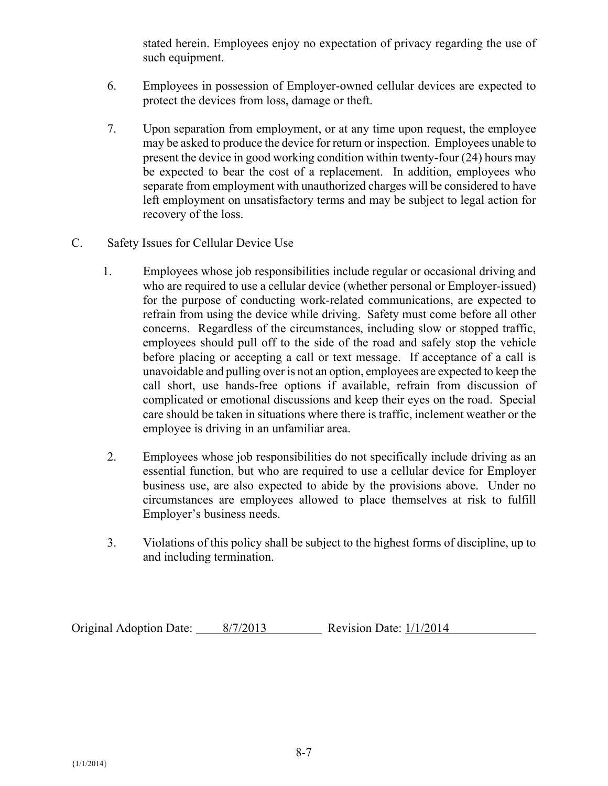stated herein. Employees enjoy no expectation of privacy regarding the use of such equipment.

- 6. Employees in possession of Employer-owned cellular devices are expected to protect the devices from loss, damage or theft.
- 7. Upon separation from employment, or at any time upon request, the employee may be asked to produce the device for return or inspection. Employees unable to present the device in good working condition within twenty-four (24) hours may be expected to bear the cost of a replacement. In addition, employees who separate from employment with unauthorized charges will be considered to have left employment on unsatisfactory terms and may be subject to legal action for recovery of the loss.
- C. Safety Issues for Cellular Device Use
	- 1. Employees whose job responsibilities include regular or occasional driving and who are required to use a cellular device (whether personal or Employer-issued) for the purpose of conducting work-related communications, are expected to refrain from using the device while driving. Safety must come before all other concerns. Regardless of the circumstances, including slow or stopped traffic, employees should pull off to the side of the road and safely stop the vehicle before placing or accepting a call or text message. If acceptance of a call is unavoidable and pulling over is not an option, employees are expected to keep the call short, use hands-free options if available, refrain from discussion of complicated or emotional discussions and keep their eyes on the road. Special care should be taken in situations where there is traffic, inclement weather or the employee is driving in an unfamiliar area.
	- 2. Employees whose job responsibilities do not specifically include driving as an essential function, but who are required to use a cellular device for Employer business use, are also expected to abide by the provisions above. Under no circumstances are employees allowed to place themselves at risk to fulfill Employer's business needs.
	- 3. Violations of this policy shall be subject to the highest forms of discipline, up to and including termination.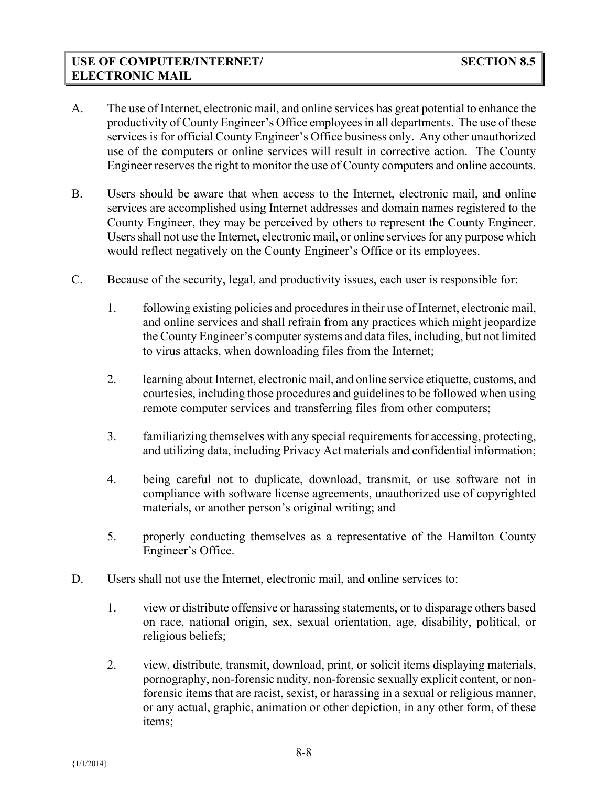- A. The use of Internet, electronic mail, and online services has great potential to enhance the productivity of County Engineer's Office employees in all departments. The use of these services is for official County Engineer's Office business only. Any other unauthorized use of the computers or online services will result in corrective action. The County Engineer reserves the right to monitor the use of County computers and online accounts.
- B. Users should be aware that when access to the Internet, electronic mail, and online services are accomplished using Internet addresses and domain names registered to the County Engineer, they may be perceived by others to represent the County Engineer. Users shall not use the Internet, electronic mail, or online services for any purpose which would reflect negatively on the County Engineer's Office or its employees.
- C. Because of the security, legal, and productivity issues, each user is responsible for:
	- 1. following existing policies and procedures in their use of Internet, electronic mail, and online services and shall refrain from any practices which might jeopardize the County Engineer's computer systems and data files, including, but not limited to virus attacks, when downloading files from the Internet;
	- 2. learning about Internet, electronic mail, and online service etiquette, customs, and courtesies, including those procedures and guidelines to be followed when using remote computer services and transferring files from other computers;
	- 3. familiarizing themselves with any special requirements for accessing, protecting, and utilizing data, including Privacy Act materials and confidential information;
	- 4. being careful not to duplicate, download, transmit, or use software not in compliance with software license agreements, unauthorized use of copyrighted materials, or another person's original writing; and
	- 5. properly conducting themselves as a representative of the Hamilton County Engineer's Office.
- D. Users shall not use the Internet, electronic mail, and online services to:
	- 1. view or distribute offensive or harassing statements, or to disparage others based on race, national origin, sex, sexual orientation, age, disability, political, or religious beliefs;
	- 2. view, distribute, transmit, download, print, or solicit items displaying materials, pornography, non-forensic nudity, non-forensic sexually explicit content, or nonforensic items that are racist, sexist, or harassing in a sexual or religious manner, or any actual, graphic, animation or other depiction, in any other form, of these items;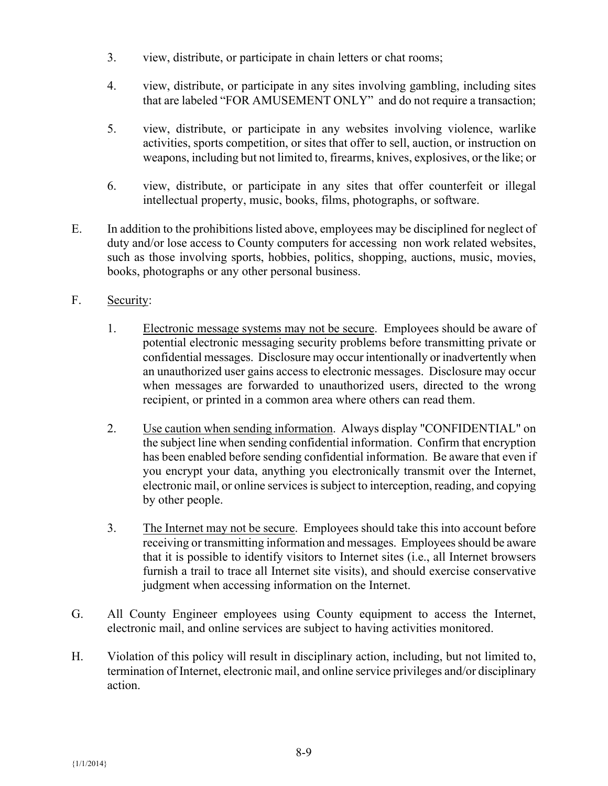- 3. view, distribute, or participate in chain letters or chat rooms;
- 4. view, distribute, or participate in any sites involving gambling, including sites that are labeled "FOR AMUSEMENT ONLY" and do not require a transaction;
- 5. view, distribute, or participate in any websites involving violence, warlike activities, sports competition, or sites that offer to sell, auction, or instruction on weapons, including but not limited to, firearms, knives, explosives, or the like; or
- 6. view, distribute, or participate in any sites that offer counterfeit or illegal intellectual property, music, books, films, photographs, or software.
- E. In addition to the prohibitions listed above, employees may be disciplined for neglect of duty and/or lose access to County computers for accessing non work related websites, such as those involving sports, hobbies, politics, shopping, auctions, music, movies, books, photographs or any other personal business.
- F. Security:
	- 1. Electronic message systems may not be secure. Employees should be aware of potential electronic messaging security problems before transmitting private or confidential messages. Disclosure may occur intentionally or inadvertently when an unauthorized user gains access to electronic messages. Disclosure may occur when messages are forwarded to unauthorized users, directed to the wrong recipient, or printed in a common area where others can read them.
	- 2. Use caution when sending information. Always display "CONFIDENTIAL" on the subject line when sending confidential information. Confirm that encryption has been enabled before sending confidential information. Be aware that even if you encrypt your data, anything you electronically transmit over the Internet, electronic mail, or online services is subject to interception, reading, and copying by other people.
	- 3. The Internet may not be secure. Employees should take this into account before receiving or transmitting information and messages. Employees should be aware that it is possible to identify visitors to Internet sites (i.e., all Internet browsers furnish a trail to trace all Internet site visits), and should exercise conservative judgment when accessing information on the Internet.
- G. All County Engineer employees using County equipment to access the Internet, electronic mail, and online services are subject to having activities monitored.
- H. Violation of this policy will result in disciplinary action, including, but not limited to, termination of Internet, electronic mail, and online service privileges and/or disciplinary action.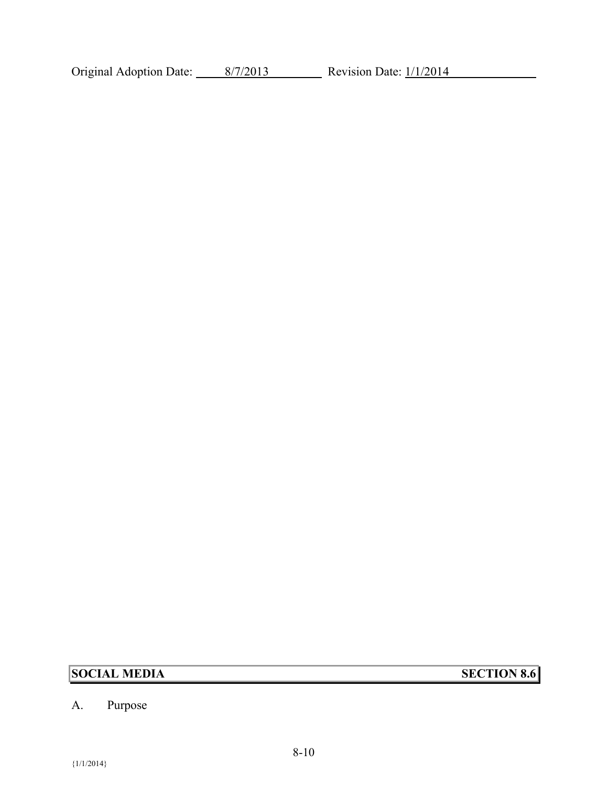Original Adoption Date: 8/7/2013 Revision Date: 1/1/2014

# **SOCIAL MEDIA SECTION 8.6**

# A. Purpose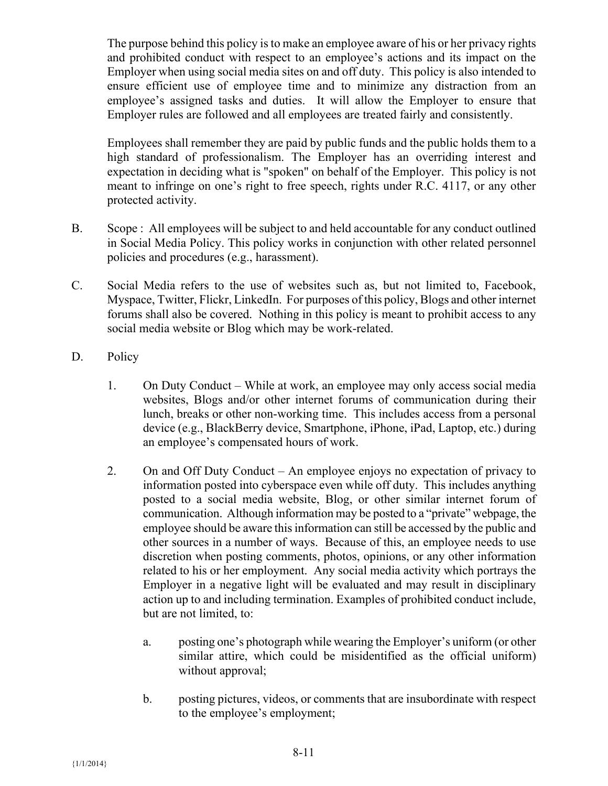The purpose behind this policy is to make an employee aware of his or her privacy rights and prohibited conduct with respect to an employee's actions and its impact on the Employer when using social media sites on and off duty. This policy is also intended to ensure efficient use of employee time and to minimize any distraction from an employee's assigned tasks and duties. It will allow the Employer to ensure that Employer rules are followed and all employees are treated fairly and consistently.

Employees shall remember they are paid by public funds and the public holds them to a high standard of professionalism. The Employer has an overriding interest and expectation in deciding what is "spoken" on behalf of the Employer. This policy is not meant to infringe on one's right to free speech, rights under R.C. 4117, or any other protected activity.

- B. Scope : All employees will be subject to and held accountable for any conduct outlined in Social Media Policy. This policy works in conjunction with other related personnel policies and procedures (e.g., harassment).
- C. Social Media refers to the use of websites such as, but not limited to, Facebook, Myspace, Twitter, Flickr, LinkedIn. For purposes of this policy, Blogs and other internet forums shall also be covered. Nothing in this policy is meant to prohibit access to any social media website or Blog which may be work-related.
- D. Policy
	- 1. On Duty Conduct While at work, an employee may only access social media websites, Blogs and/or other internet forums of communication during their lunch, breaks or other non-working time. This includes access from a personal device (e.g., BlackBerry device, Smartphone, iPhone, iPad, Laptop, etc.) during an employee's compensated hours of work.
	- 2. On and Off Duty Conduct An employee enjoys no expectation of privacy to information posted into cyberspace even while off duty. This includes anything posted to a social media website, Blog, or other similar internet forum of communication. Although information may be posted to a "private" webpage, the employee should be aware this information can still be accessed by the public and other sources in a number of ways. Because of this, an employee needs to use discretion when posting comments, photos, opinions, or any other information related to his or her employment. Any social media activity which portrays the Employer in a negative light will be evaluated and may result in disciplinary action up to and including termination. Examples of prohibited conduct include, but are not limited, to:
		- a. posting one's photograph while wearing the Employer's uniform (or other similar attire, which could be misidentified as the official uniform) without approval;
		- b. posting pictures, videos, or comments that are insubordinate with respect to the employee's employment;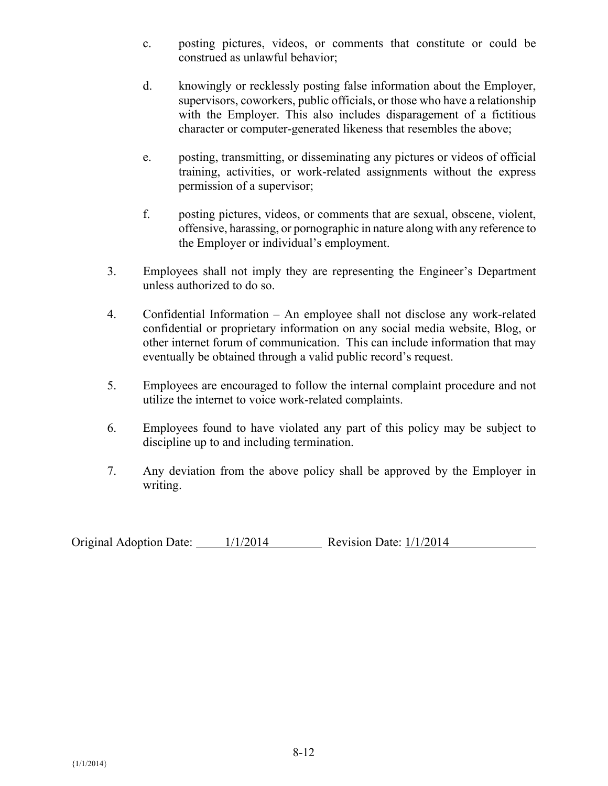- c. posting pictures, videos, or comments that constitute or could be construed as unlawful behavior;
- d. knowingly or recklessly posting false information about the Employer, supervisors, coworkers, public officials, or those who have a relationship with the Employer. This also includes disparagement of a fictitious character or computer-generated likeness that resembles the above;
- e. posting, transmitting, or disseminating any pictures or videos of official training, activities, or work-related assignments without the express permission of a supervisor;
- f. posting pictures, videos, or comments that are sexual, obscene, violent, offensive, harassing, or pornographic in nature along with any reference to the Employer or individual's employment.
- 3. Employees shall not imply they are representing the Engineer's Department unless authorized to do so.
- 4. Confidential Information An employee shall not disclose any work-related confidential or proprietary information on any social media website, Blog, or other internet forum of communication. This can include information that may eventually be obtained through a valid public record's request.
- 5. Employees are encouraged to follow the internal complaint procedure and not utilize the internet to voice work-related complaints.
- 6. Employees found to have violated any part of this policy may be subject to discipline up to and including termination.
- 7. Any deviation from the above policy shall be approved by the Employer in writing.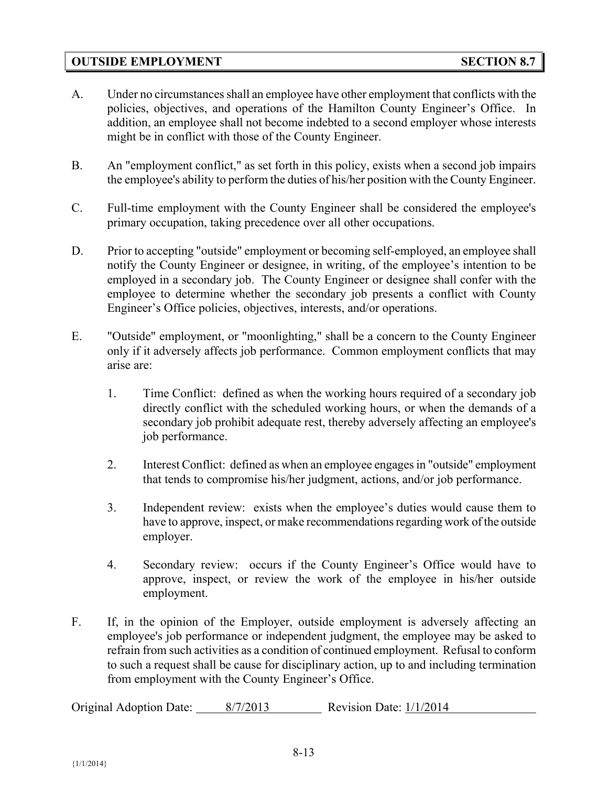#### **OUTSIDE EMPLOYMENT SECTION 8.7**

- A. Under no circumstances shall an employee have other employment that conflicts with the policies, objectives, and operations of the Hamilton County Engineer's Office. In addition, an employee shall not become indebted to a second employer whose interests might be in conflict with those of the County Engineer.
- B. An "employment conflict," as set forth in this policy, exists when a second job impairs the employee's ability to perform the duties of his/her position with the County Engineer.
- C. Full-time employment with the County Engineer shall be considered the employee's primary occupation, taking precedence over all other occupations.
- D. Prior to accepting "outside" employment or becoming self-employed, an employee shall notify the County Engineer or designee, in writing, of the employee's intention to be employed in a secondary job. The County Engineer or designee shall confer with the employee to determine whether the secondary job presents a conflict with County Engineer's Office policies, objectives, interests, and/or operations.
- E. "Outside" employment, or "moonlighting," shall be a concern to the County Engineer only if it adversely affects job performance. Common employment conflicts that may arise are:
	- 1. Time Conflict: defined as when the working hours required of a secondary job directly conflict with the scheduled working hours, or when the demands of a secondary job prohibit adequate rest, thereby adversely affecting an employee's job performance.
	- 2. Interest Conflict: defined as when an employee engages in "outside" employment that tends to compromise his/her judgment, actions, and/or job performance.
	- 3. Independent review: exists when the employee's duties would cause them to have to approve, inspect, or make recommendations regarding work of the outside employer.
	- 4. Secondary review: occurs if the County Engineer's Office would have to approve, inspect, or review the work of the employee in his/her outside employment.
- F. If, in the opinion of the Employer, outside employment is adversely affecting an employee's job performance or independent judgment, the employee may be asked to refrain from such activities as a condition of continued employment. Refusal to conform to such a request shall be cause for disciplinary action, up to and including termination from employment with the County Engineer's Office.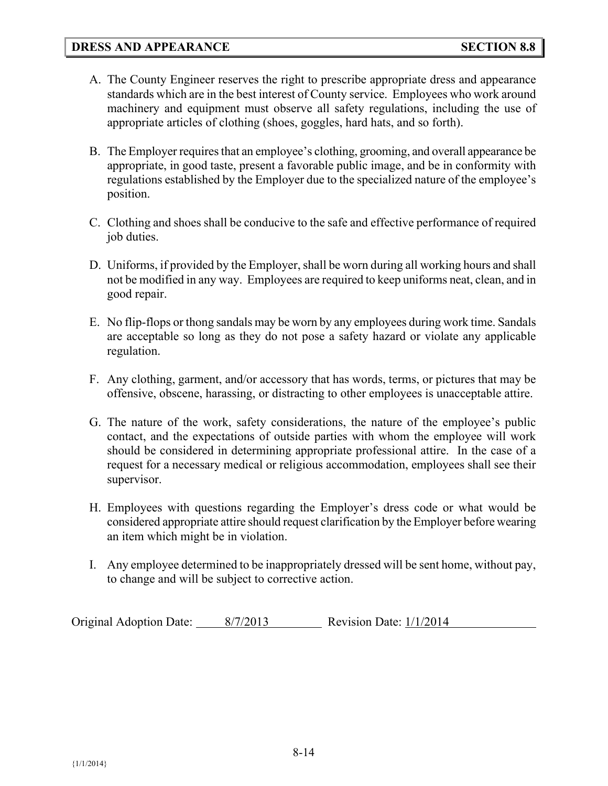- A. The County Engineer reserves the right to prescribe appropriate dress and appearance standards which are in the best interest of County service. Employees who work around machinery and equipment must observe all safety regulations, including the use of appropriate articles of clothing (shoes, goggles, hard hats, and so forth).
- B. The Employer requires that an employee's clothing, grooming, and overall appearance be appropriate, in good taste, present a favorable public image, and be in conformity with regulations established by the Employer due to the specialized nature of the employee's position.
- C. Clothing and shoes shall be conducive to the safe and effective performance of required job duties.
- D. Uniforms, if provided by the Employer, shall be worn during all working hours and shall not be modified in any way. Employees are required to keep uniforms neat, clean, and in good repair.
- E. No flip-flops or thong sandals may be worn by any employees during work time. Sandals are acceptable so long as they do not pose a safety hazard or violate any applicable regulation.
- F. Any clothing, garment, and/or accessory that has words, terms, or pictures that may be offensive, obscene, harassing, or distracting to other employees is unacceptable attire.
- G. The nature of the work, safety considerations, the nature of the employee's public contact, and the expectations of outside parties with whom the employee will work should be considered in determining appropriate professional attire. In the case of a request for a necessary medical or religious accommodation, employees shall see their supervisor.
- H. Employees with questions regarding the Employer's dress code or what would be considered appropriate attire should request clarification by the Employer before wearing an item which might be in violation.
- I. Any employee determined to be inappropriately dressed will be sent home, without pay, to change and will be subject to corrective action.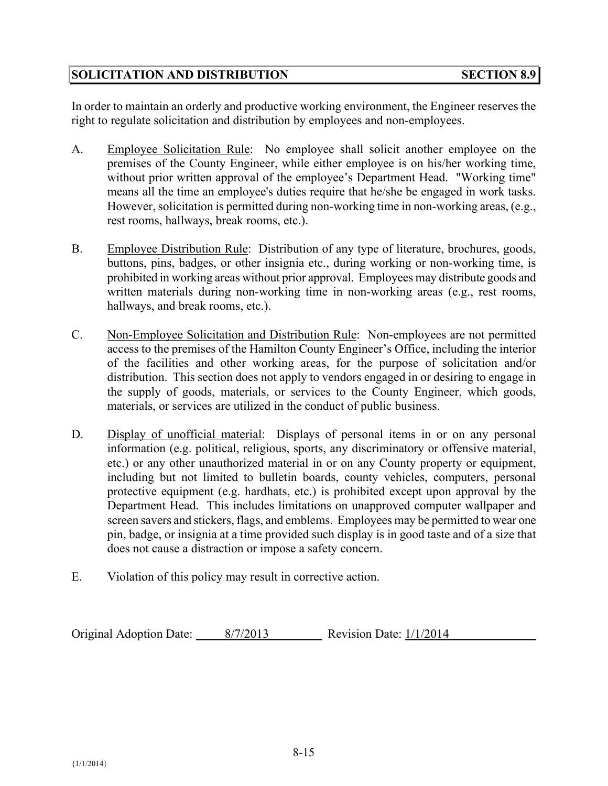# **SOLICITATION AND DISTRIBUTION SECTION 8.9**

In order to maintain an orderly and productive working environment, the Engineer reserves the right to regulate solicitation and distribution by employees and non-employees.

- A. Employee Solicitation Rule: No employee shall solicit another employee on the premises of the County Engineer, while either employee is on his/her working time, without prior written approval of the employee's Department Head. "Working time" means all the time an employee's duties require that he/she be engaged in work tasks. However, solicitation is permitted during non-working time in non-working areas, (e.g., rest rooms, hallways, break rooms, etc.).
- B. Employee Distribution Rule: Distribution of any type of literature, brochures, goods, buttons, pins, badges, or other insignia etc., during working or non-working time, is prohibited in working areas without prior approval. Employees may distribute goods and written materials during non-working time in non-working areas (e.g., rest rooms, hallways, and break rooms, etc.).
- C. Non-Employee Solicitation and Distribution Rule: Non-employees are not permitted access to the premises of the Hamilton County Engineer's Office, including the interior of the facilities and other working areas, for the purpose of solicitation and/or distribution. This section does not apply to vendors engaged in or desiring to engage in the supply of goods, materials, or services to the County Engineer, which goods, materials, or services are utilized in the conduct of public business.
- D. Display of unofficial material: Displays of personal items in or on any personal information (e.g. political, religious, sports, any discriminatory or offensive material, etc.) or any other unauthorized material in or on any County property or equipment, including but not limited to bulletin boards, county vehicles, computers, personal protective equipment (e.g. hardhats, etc.) is prohibited except upon approval by the Department Head. This includes limitations on unapproved computer wallpaper and screen savers and stickers, flags, and emblems. Employees may be permitted to wear one pin, badge, or insignia at a time provided such display is in good taste and of a size that does not cause a distraction or impose a safety concern.
- E. Violation of this policy may result in corrective action.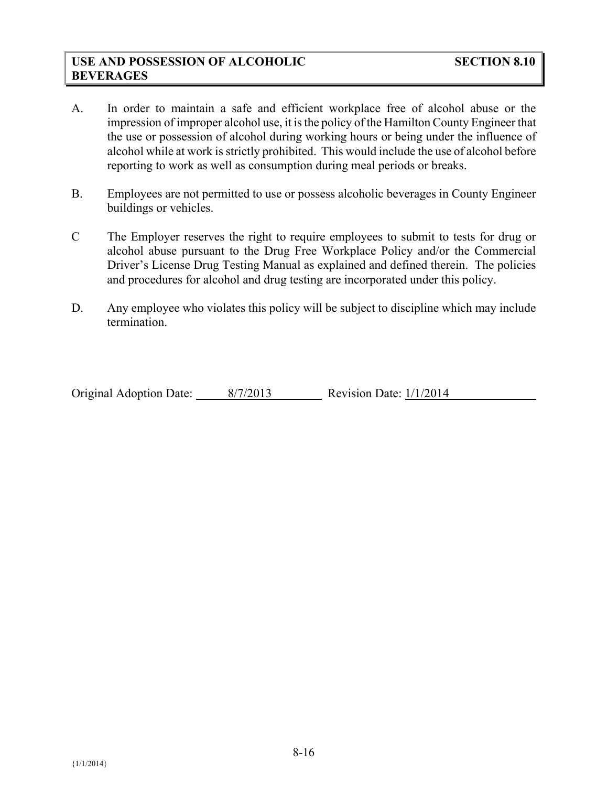## **USE AND POSSESSION OF ALCOHOLIC SECTION 8.10 BEVERAGES**

- A. In order to maintain a safe and efficient workplace free of alcohol abuse or the impression of improper alcohol use, it is the policy of the Hamilton County Engineer that the use or possession of alcohol during working hours or being under the influence of alcohol while at work is strictly prohibited. This would include the use of alcohol before reporting to work as well as consumption during meal periods or breaks.
- B. Employees are not permitted to use or possess alcoholic beverages in County Engineer buildings or vehicles.
- C The Employer reserves the right to require employees to submit to tests for drug or alcohol abuse pursuant to the Drug Free Workplace Policy and/or the Commercial Driver's License Drug Testing Manual as explained and defined therein. The policies and procedures for alcohol and drug testing are incorporated under this policy.
- D. Any employee who violates this policy will be subject to discipline which may include termination.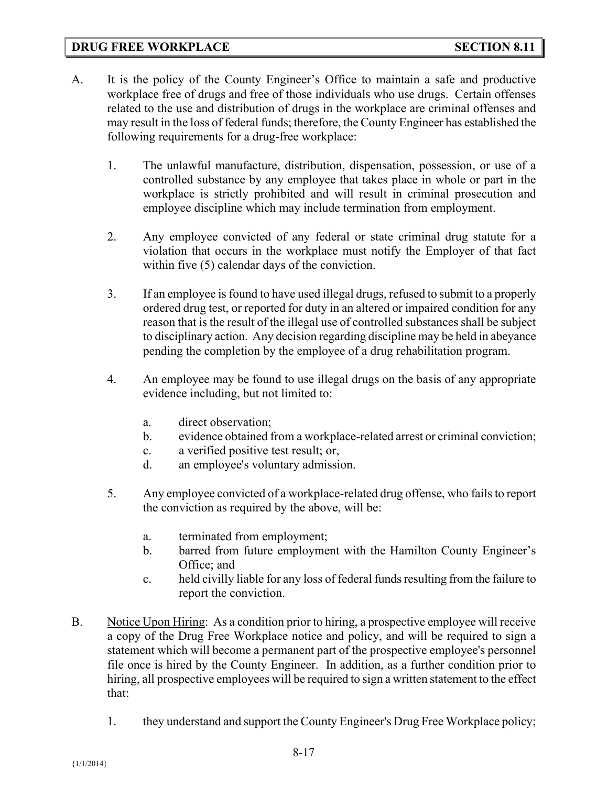#### **DRUG FREE WORKPLACE SECTION 8.11**

- A. It is the policy of the County Engineer's Office to maintain a safe and productive workplace free of drugs and free of those individuals who use drugs. Certain offenses related to the use and distribution of drugs in the workplace are criminal offenses and may result in the loss of federal funds; therefore, the County Engineer has established the following requirements for a drug-free workplace:
	- 1. The unlawful manufacture, distribution, dispensation, possession, or use of a controlled substance by any employee that takes place in whole or part in the workplace is strictly prohibited and will result in criminal prosecution and employee discipline which may include termination from employment.
	- 2. Any employee convicted of any federal or state criminal drug statute for a violation that occurs in the workplace must notify the Employer of that fact within five (5) calendar days of the conviction.
	- 3. If an employee is found to have used illegal drugs, refused to submit to a properly ordered drug test, or reported for duty in an altered or impaired condition for any reason that is the result of the illegal use of controlled substances shall be subject to disciplinary action. Any decision regarding discipline may be held in abeyance pending the completion by the employee of a drug rehabilitation program.
	- 4. An employee may be found to use illegal drugs on the basis of any appropriate evidence including, but not limited to:
		- a. direct observation;
		- b. evidence obtained from a workplace-related arrest or criminal conviction;
		- c. a verified positive test result; or,
		- d. an employee's voluntary admission.
	- 5. Any employee convicted of a workplace-related drug offense, who fails to report the conviction as required by the above, will be:
		- a. terminated from employment;
		- b. barred from future employment with the Hamilton County Engineer's Office; and
		- c. held civilly liable for any loss of federal funds resulting from the failure to report the conviction.
- B. Notice Upon Hiring: As a condition prior to hiring, a prospective employee will receive a copy of the Drug Free Workplace notice and policy, and will be required to sign a statement which will become a permanent part of the prospective employee's personnel file once is hired by the County Engineer. In addition, as a further condition prior to hiring, all prospective employees will be required to sign a written statement to the effect that:
	- 1. they understand and support the County Engineer's Drug Free Workplace policy;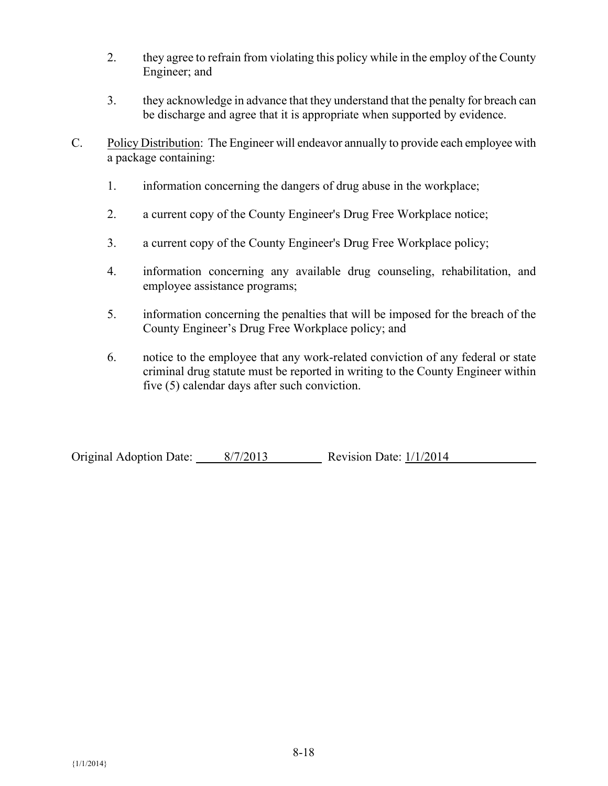- 2. they agree to refrain from violating this policy while in the employ of the County Engineer; and
- 3. they acknowledge in advance that they understand that the penalty for breach can be discharge and agree that it is appropriate when supported by evidence.
- C. Policy Distribution: The Engineer will endeavor annually to provide each employee with a package containing:
	- 1. information concerning the dangers of drug abuse in the workplace;
	- 2. a current copy of the County Engineer's Drug Free Workplace notice;
	- 3. a current copy of the County Engineer's Drug Free Workplace policy;
	- 4. information concerning any available drug counseling, rehabilitation, and employee assistance programs;
	- 5. information concerning the penalties that will be imposed for the breach of the County Engineer's Drug Free Workplace policy; and
	- 6. notice to the employee that any work-related conviction of any federal or state criminal drug statute must be reported in writing to the County Engineer within five (5) calendar days after such conviction.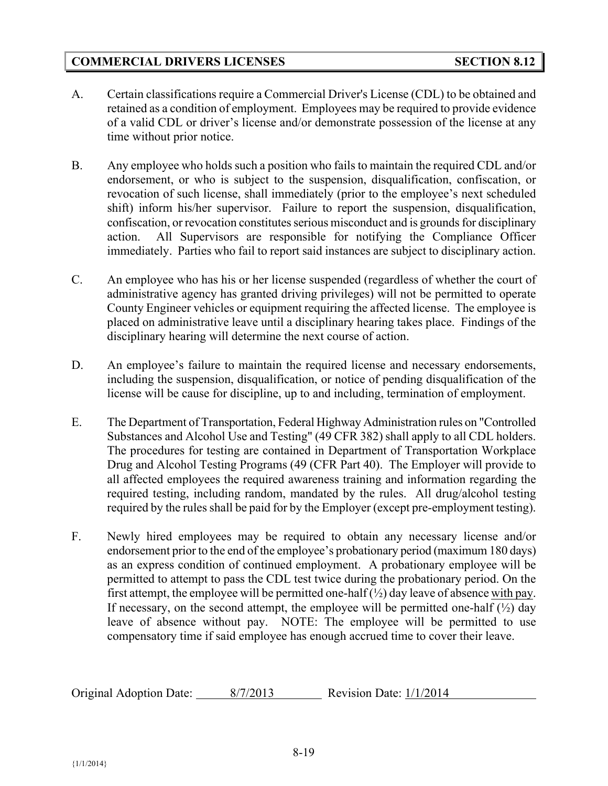# **COMMERCIAL DRIVERS LICENSES SECTION 8.12**

- A. Certain classifications require a Commercial Driver's License (CDL) to be obtained and retained as a condition of employment. Employees may be required to provide evidence of a valid CDL or driver's license and/or demonstrate possession of the license at any time without prior notice.
- B. Any employee who holds such a position who fails to maintain the required CDL and/or endorsement, or who is subject to the suspension, disqualification, confiscation, or revocation of such license, shall immediately (prior to the employee's next scheduled shift) inform his/her supervisor. Failure to report the suspension, disqualification, confiscation, or revocation constitutes serious misconduct and is grounds for disciplinary action. All Supervisors are responsible for notifying the Compliance Officer immediately. Parties who fail to report said instances are subject to disciplinary action.
- C. An employee who has his or her license suspended (regardless of whether the court of administrative agency has granted driving privileges) will not be permitted to operate County Engineer vehicles or equipment requiring the affected license. The employee is placed on administrative leave until a disciplinary hearing takes place. Findings of the disciplinary hearing will determine the next course of action.
- D. An employee's failure to maintain the required license and necessary endorsements, including the suspension, disqualification, or notice of pending disqualification of the license will be cause for discipline, up to and including, termination of employment.
- E. The Department of Transportation, Federal Highway Administration rules on "Controlled Substances and Alcohol Use and Testing" (49 CFR 382) shall apply to all CDL holders. The procedures for testing are contained in Department of Transportation Workplace Drug and Alcohol Testing Programs (49 (CFR Part 40). The Employer will provide to all affected employees the required awareness training and information regarding the required testing, including random, mandated by the rules. All drug/alcohol testing required by the rules shall be paid for by the Employer (except pre-employment testing).
- F. Newly hired employees may be required to obtain any necessary license and/or endorsement prior to the end of the employee's probationary period (maximum 180 days) as an express condition of continued employment. A probationary employee will be permitted to attempt to pass the CDL test twice during the probationary period. On the first attempt, the employee will be permitted one-half  $(\frac{1}{2})$  day leave of absence with pay. If necessary, on the second attempt, the employee will be permitted one-half  $(\frac{1}{2})$  day leave of absence without pay. NOTE: The employee will be permitted to use compensatory time if said employee has enough accrued time to cover their leave.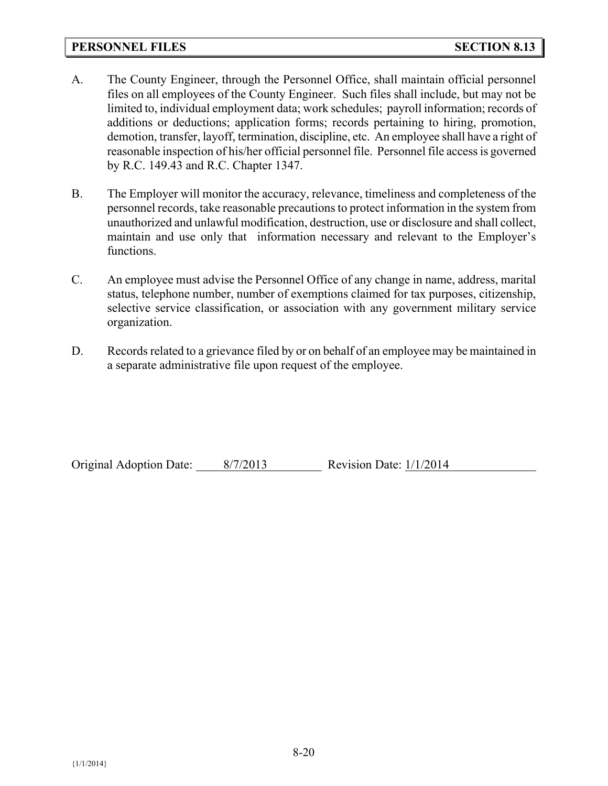#### **PERSONNEL FILES SECTION 8.13**

- A. The County Engineer, through the Personnel Office, shall maintain official personnel files on all employees of the County Engineer. Such files shall include, but may not be limited to, individual employment data; work schedules; payroll information; records of additions or deductions; application forms; records pertaining to hiring, promotion, demotion, transfer, layoff, termination, discipline, etc. An employee shall have a right of reasonable inspection of his/her official personnel file. Personnel file access is governed by R.C. 149.43 and R.C. Chapter 1347.
- B. The Employer will monitor the accuracy, relevance, timeliness and completeness of the personnel records, take reasonable precautions to protect information in the system from unauthorized and unlawful modification, destruction, use or disclosure and shall collect, maintain and use only that information necessary and relevant to the Employer's functions.
- C. An employee must advise the Personnel Office of any change in name, address, marital status, telephone number, number of exemptions claimed for tax purposes, citizenship, selective service classification, or association with any government military service organization.
- D. Records related to a grievance filed by or on behalf of an employee may be maintained in a separate administrative file upon request of the employee.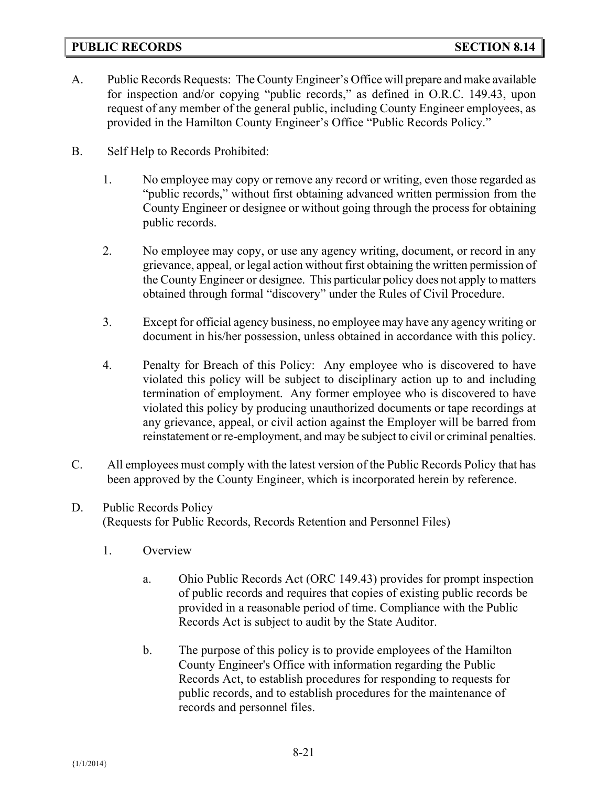## **PUBLIC RECORDS SECTION 8.14**

- A. Public Records Requests: The County Engineer's Office will prepare and make available for inspection and/or copying "public records," as defined in O.R.C. 149.43, upon request of any member of the general public, including County Engineer employees, as provided in the Hamilton County Engineer's Office "Public Records Policy."
- B. Self Help to Records Prohibited:
	- 1. No employee may copy or remove any record or writing, even those regarded as "public records," without first obtaining advanced written permission from the County Engineer or designee or without going through the process for obtaining public records.
	- 2. No employee may copy, or use any agency writing, document, or record in any grievance, appeal, or legal action without first obtaining the written permission of the County Engineer or designee. This particular policy does not apply to matters obtained through formal "discovery" under the Rules of Civil Procedure.
	- 3. Except for official agency business, no employee may have any agency writing or document in his/her possession, unless obtained in accordance with this policy.
	- 4. Penalty for Breach of this Policy: Any employee who is discovered to have violated this policy will be subject to disciplinary action up to and including termination of employment. Any former employee who is discovered to have violated this policy by producing unauthorized documents or tape recordings at any grievance, appeal, or civil action against the Employer will be barred from reinstatement or re-employment, and may be subject to civil or criminal penalties.
- C. All employees must comply with the latest version of the Public Records Policy that has been approved by the County Engineer, which is incorporated herein by reference.
- D. Public Records Policy (Requests for Public Records, Records Retention and Personnel Files)
	- 1. Overview
		- a. Ohio Public Records Act (ORC 149.43) provides for prompt inspection of public records and requires that copies of existing public records be provided in a reasonable period of time. Compliance with the Public Records Act is subject to audit by the State Auditor.
		- b. The purpose of this policy is to provide employees of the Hamilton County Engineer's Office with information regarding the Public Records Act, to establish procedures for responding to requests for public records, and to establish procedures for the maintenance of records and personnel files.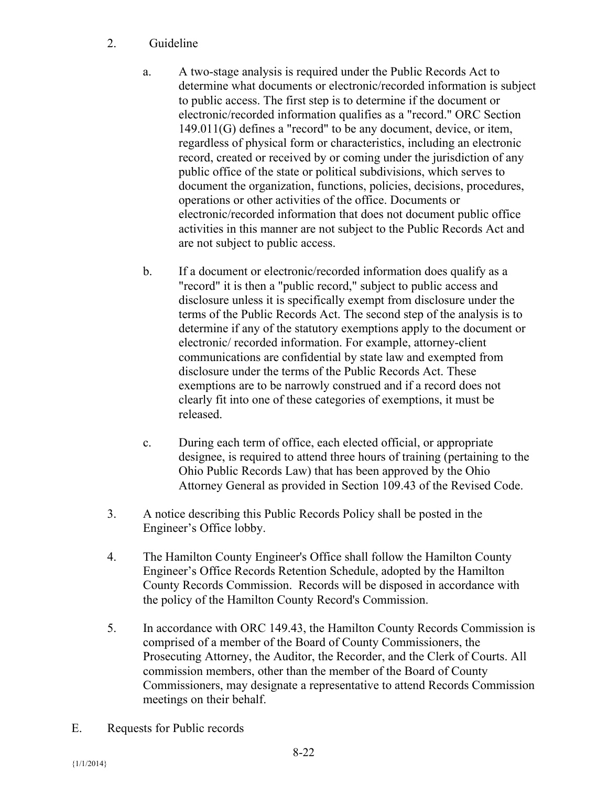# 2. Guideline

- a. A two-stage analysis is required under the Public Records Act to determine what documents or electronic/recorded information is subject to public access. The first step is to determine if the document or electronic/recorded information qualifies as a "record." ORC Section 149.011(G) defines a "record" to be any document, device, or item, regardless of physical form or characteristics, including an electronic record, created or received by or coming under the jurisdiction of any public office of the state or political subdivisions, which serves to document the organization, functions, policies, decisions, procedures, operations or other activities of the office. Documents or electronic/recorded information that does not document public office activities in this manner are not subject to the Public Records Act and are not subject to public access.
- b. If a document or electronic/recorded information does qualify as a "record" it is then a "public record," subject to public access and disclosure unless it is specifically exempt from disclosure under the terms of the Public Records Act. The second step of the analysis is to determine if any of the statutory exemptions apply to the document or electronic/ recorded information. For example, attorney-client communications are confidential by state law and exempted from disclosure under the terms of the Public Records Act. These exemptions are to be narrowly construed and if a record does not clearly fit into one of these categories of exemptions, it must be released.
- c. During each term of office, each elected official, or appropriate designee, is required to attend three hours of training (pertaining to the Ohio Public Records Law) that has been approved by the Ohio Attorney General as provided in Section 109.43 of the Revised Code.
- 3. A notice describing this Public Records Policy shall be posted in the Engineer's Office lobby.
- 4. The Hamilton County Engineer's Office shall follow the Hamilton County Engineer's Office Records Retention Schedule, adopted by the Hamilton County Records Commission. Records will be disposed in accordance with the policy of the Hamilton County Record's Commission.
- 5. In accordance with ORC 149.43, the Hamilton County Records Commission is comprised of a member of the Board of County Commissioners, the Prosecuting Attorney, the Auditor, the Recorder, and the Clerk of Courts. All commission members, other than the member of the Board of County Commissioners, may designate a representative to attend Records Commission meetings on their behalf.
- E. Requests for Public records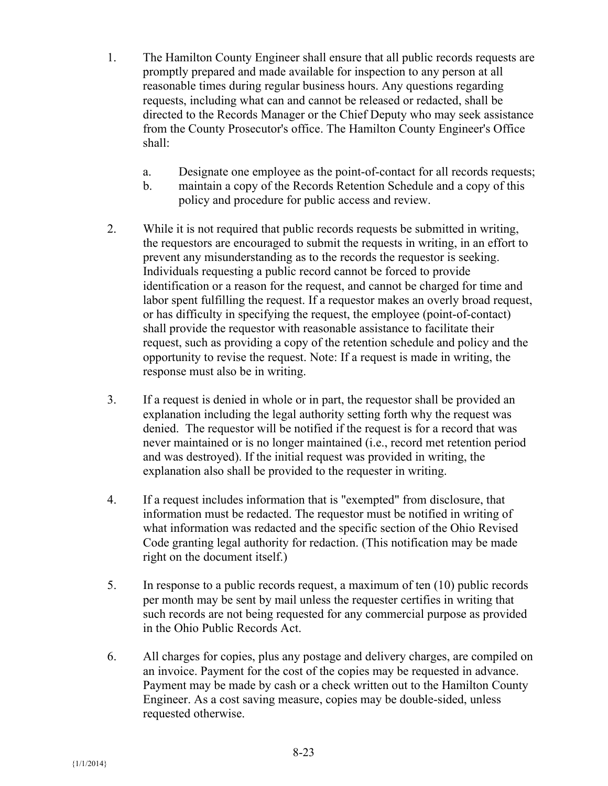- 1. The Hamilton County Engineer shall ensure that all public records requests are promptly prepared and made available for inspection to any person at all reasonable times during regular business hours. Any questions regarding requests, including what can and cannot be released or redacted, shall be directed to the Records Manager or the Chief Deputy who may seek assistance from the County Prosecutor's office. The Hamilton County Engineer's Office shall:
	- a. Designate one employee as the point-of-contact for all records requests;
	- b. maintain a copy of the Records Retention Schedule and a copy of this policy and procedure for public access and review.
- 2. While it is not required that public records requests be submitted in writing, the requestors are encouraged to submit the requests in writing, in an effort to prevent any misunderstanding as to the records the requestor is seeking. Individuals requesting a public record cannot be forced to provide identification or a reason for the request, and cannot be charged for time and labor spent fulfilling the request. If a requestor makes an overly broad request, or has difficulty in specifying the request, the employee (point-of-contact) shall provide the requestor with reasonable assistance to facilitate their request, such as providing a copy of the retention schedule and policy and the opportunity to revise the request. Note: If a request is made in writing, the response must also be in writing.
- 3. If a request is denied in whole or in part, the requestor shall be provided an explanation including the legal authority setting forth why the request was denied. The requestor will be notified if the request is for a record that was never maintained or is no longer maintained (i.e., record met retention period and was destroyed). If the initial request was provided in writing, the explanation also shall be provided to the requester in writing.
- 4. If a request includes information that is "exempted" from disclosure, that information must be redacted. The requestor must be notified in writing of what information was redacted and the specific section of the Ohio Revised Code granting legal authority for redaction. (This notification may be made right on the document itself.)
- 5. In response to a public records request, a maximum of ten (10) public records per month may be sent by mail unless the requester certifies in writing that such records are not being requested for any commercial purpose as provided in the Ohio Public Records Act.
- 6. All charges for copies, plus any postage and delivery charges, are compiled on an invoice. Payment for the cost of the copies may be requested in advance. Payment may be made by cash or a check written out to the Hamilton County Engineer. As a cost saving measure, copies may be double-sided, unless requested otherwise.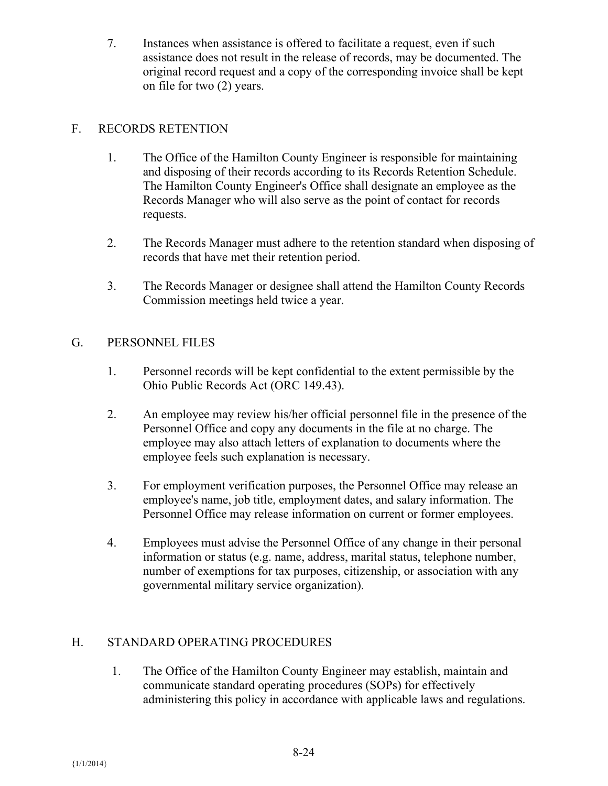7. Instances when assistance is offered to facilitate a request, even if such assistance does not result in the release of records, may be documented. The original record request and a copy of the corresponding invoice shall be kept on file for two (2) years.

# F. RECORDS RETENTION

- 1. The Office of the Hamilton County Engineer is responsible for maintaining and disposing of their records according to its Records Retention Schedule. The Hamilton County Engineer's Office shall designate an employee as the Records Manager who will also serve as the point of contact for records requests.
- 2. The Records Manager must adhere to the retention standard when disposing of records that have met their retention period.
- 3. The Records Manager or designee shall attend the Hamilton County Records Commission meetings held twice a year.

# G. PERSONNEL FILES

- 1. Personnel records will be kept confidential to the extent permissible by the Ohio Public Records Act (ORC 149.43).
- 2. An employee may review his/her official personnel file in the presence of the Personnel Office and copy any documents in the file at no charge. The employee may also attach letters of explanation to documents where the employee feels such explanation is necessary.
- 3. For employment verification purposes, the Personnel Office may release an employee's name, job title, employment dates, and salary information. The Personnel Office may release information on current or former employees.
- 4. Employees must advise the Personnel Office of any change in their personal information or status (e.g. name, address, marital status, telephone number, number of exemptions for tax purposes, citizenship, or association with any governmental military service organization).

# H. STANDARD OPERATING PROCEDURES

1. The Office of the Hamilton County Engineer may establish, maintain and communicate standard operating procedures (SOPs) for effectively administering this policy in accordance with applicable laws and regulations.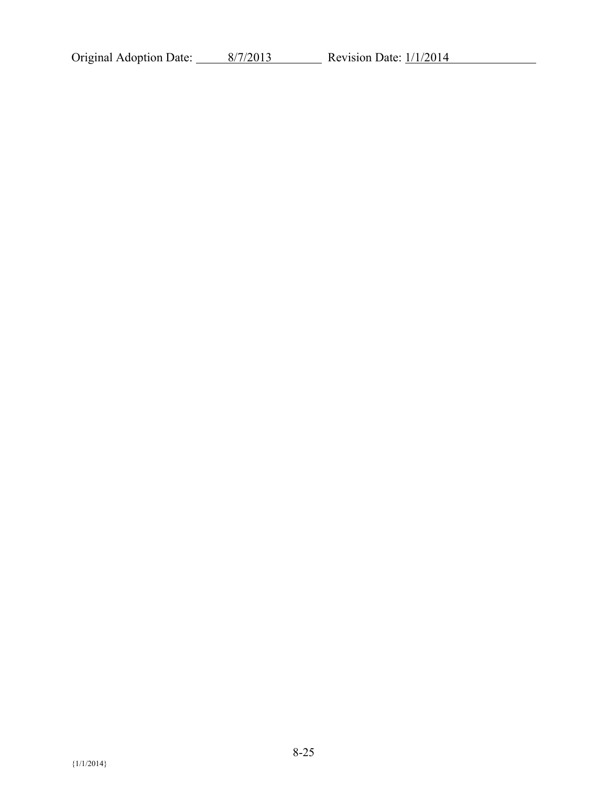Original Adoption Date:  $\frac{8}{7/2013}$  Revision Date:  $\frac{1}{1/2014}$ 

 ${1/1/2014}$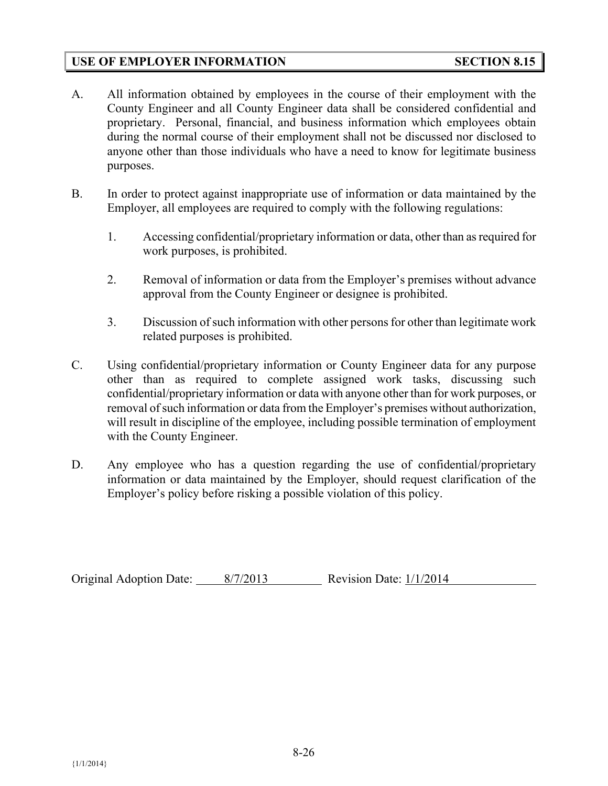## **USE OF EMPLOYER INFORMATION SECTION 8.15**

- A. All information obtained by employees in the course of their employment with the County Engineer and all County Engineer data shall be considered confidential and proprietary. Personal, financial, and business information which employees obtain during the normal course of their employment shall not be discussed nor disclosed to anyone other than those individuals who have a need to know for legitimate business purposes.
- B. In order to protect against inappropriate use of information or data maintained by the Employer, all employees are required to comply with the following regulations:
	- 1. Accessing confidential/proprietary information or data, other than as required for work purposes, is prohibited.
	- 2. Removal of information or data from the Employer's premises without advance approval from the County Engineer or designee is prohibited.
	- 3. Discussion of such information with other persons for other than legitimate work related purposes is prohibited.
- C. Using confidential/proprietary information or County Engineer data for any purpose other than as required to complete assigned work tasks, discussing such confidential/proprietary information or data with anyone other than for work purposes, or removal of such information or data from the Employer's premises without authorization, will result in discipline of the employee, including possible termination of employment with the County Engineer.
- D. Any employee who has a question regarding the use of confidential/proprietary information or data maintained by the Employer, should request clarification of the Employer's policy before risking a possible violation of this policy.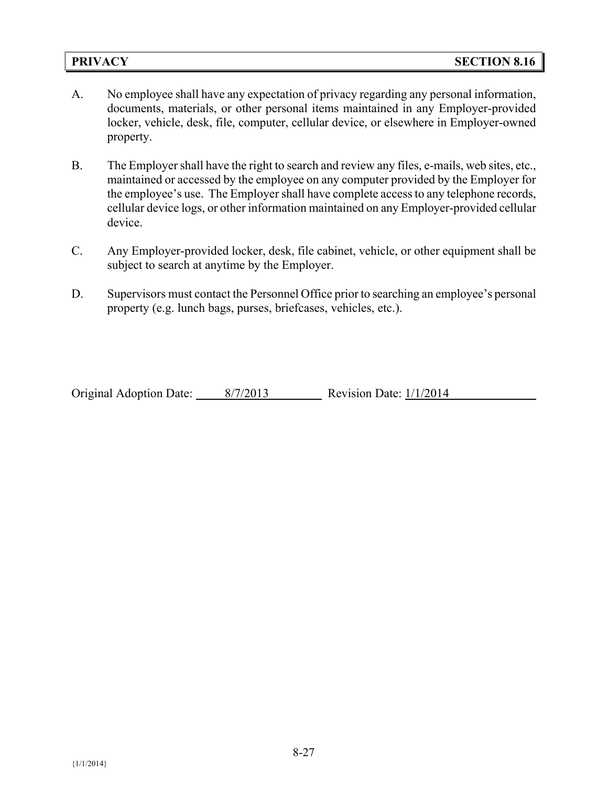- A. No employee shall have any expectation of privacy regarding any personal information, documents, materials, or other personal items maintained in any Employer-provided locker, vehicle, desk, file, computer, cellular device, or elsewhere in Employer-owned property.
- B. The Employer shall have the right to search and review any files, e-mails, web sites, etc., maintained or accessed by the employee on any computer provided by the Employer for the employee's use. The Employer shall have complete access to any telephone records, cellular device logs, or other information maintained on any Employer-provided cellular device.
- C. Any Employer-provided locker, desk, file cabinet, vehicle, or other equipment shall be subject to search at anytime by the Employer.
- D. Supervisors must contact the Personnel Office prior to searching an employee's personal property (e.g. lunch bags, purses, briefcases, vehicles, etc.).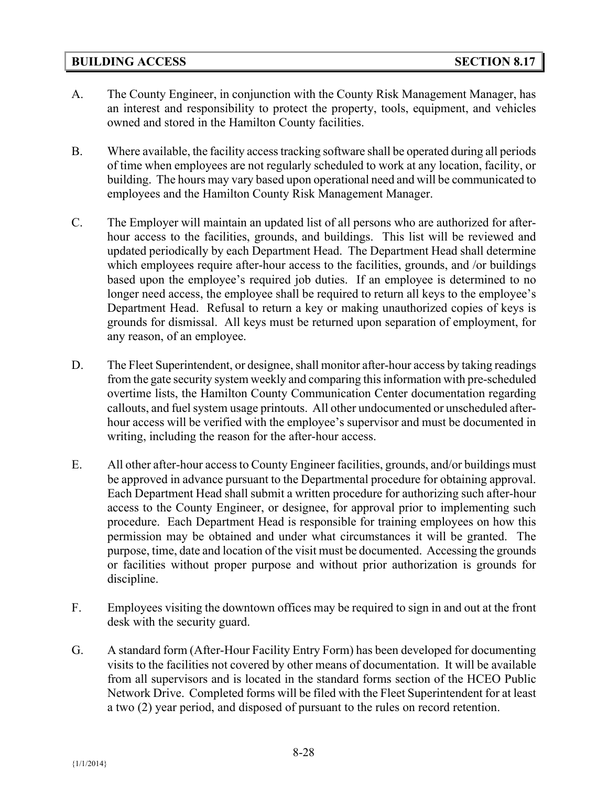## **BUILDING ACCESS SECTION 8.17**

- A. The County Engineer, in conjunction with the County Risk Management Manager, has an interest and responsibility to protect the property, tools, equipment, and vehicles owned and stored in the Hamilton County facilities.
- B. Where available, the facility access tracking software shall be operated during all periods of time when employees are not regularly scheduled to work at any location, facility, or building. The hours may vary based upon operational need and will be communicated to employees and the Hamilton County Risk Management Manager.
- C. The Employer will maintain an updated list of all persons who are authorized for afterhour access to the facilities, grounds, and buildings. This list will be reviewed and updated periodically by each Department Head. The Department Head shall determine which employees require after-hour access to the facilities, grounds, and /or buildings based upon the employee's required job duties. If an employee is determined to no longer need access, the employee shall be required to return all keys to the employee's Department Head. Refusal to return a key or making unauthorized copies of keys is grounds for dismissal. All keys must be returned upon separation of employment, for any reason, of an employee.
- D. The Fleet Superintendent, or designee, shall monitor after-hour access by taking readings from the gate security system weekly and comparing thisinformation with pre-scheduled overtime lists, the Hamilton County Communication Center documentation regarding callouts, and fuel system usage printouts. All other undocumented or unscheduled afterhour access will be verified with the employee's supervisor and must be documented in writing, including the reason for the after-hour access.
- E. All other after-hour access to County Engineer facilities, grounds, and/or buildings must be approved in advance pursuant to the Departmental procedure for obtaining approval. Each Department Head shall submit a written procedure for authorizing such after-hour access to the County Engineer, or designee, for approval prior to implementing such procedure. Each Department Head is responsible for training employees on how this permission may be obtained and under what circumstances it will be granted. The purpose, time, date and location of the visit must be documented. Accessing the grounds or facilities without proper purpose and without prior authorization is grounds for discipline.
- F. Employees visiting the downtown offices may be required to sign in and out at the front desk with the security guard.
- G. A standard form (After-Hour Facility Entry Form) has been developed for documenting visits to the facilities not covered by other means of documentation. It will be available from all supervisors and is located in the standard forms section of the HCEO Public Network Drive. Completed forms will be filed with the Fleet Superintendent for at least a two (2) year period, and disposed of pursuant to the rules on record retention.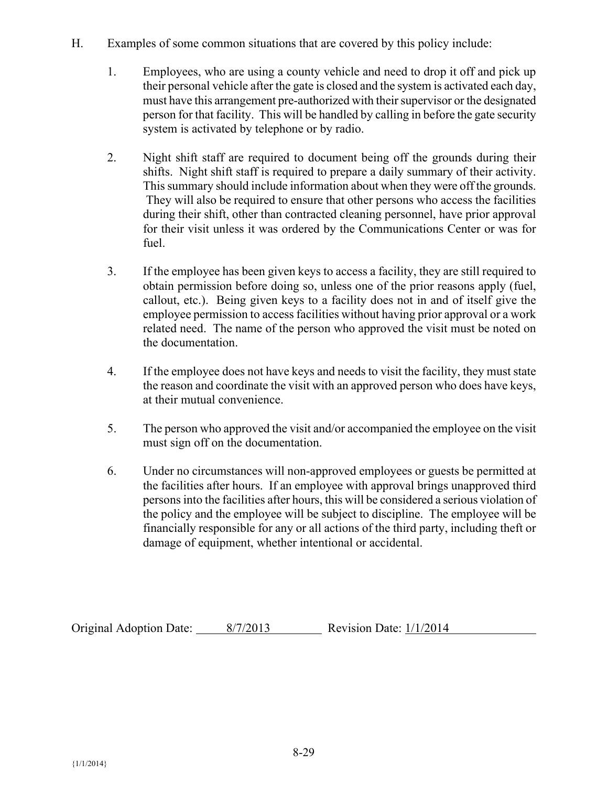- H. Examples of some common situations that are covered by this policy include:
	- 1. Employees, who are using a county vehicle and need to drop it off and pick up their personal vehicle after the gate is closed and the system is activated each day, must have this arrangement pre-authorized with their supervisor or the designated person for that facility. This will be handled by calling in before the gate security system is activated by telephone or by radio.
	- 2. Night shift staff are required to document being off the grounds during their shifts. Night shift staff is required to prepare a daily summary of their activity. This summary should include information about when they were off the grounds. They will also be required to ensure that other persons who access the facilities during their shift, other than contracted cleaning personnel, have prior approval for their visit unless it was ordered by the Communications Center or was for fuel.
	- 3. If the employee has been given keys to access a facility, they are still required to obtain permission before doing so, unless one of the prior reasons apply (fuel, callout, etc.). Being given keys to a facility does not in and of itself give the employee permission to access facilities without having prior approval or a work related need. The name of the person who approved the visit must be noted on the documentation.
	- 4. If the employee does not have keys and needs to visit the facility, they must state the reason and coordinate the visit with an approved person who does have keys, at their mutual convenience.
	- 5. The person who approved the visit and/or accompanied the employee on the visit must sign off on the documentation.
	- 6. Under no circumstances will non-approved employees or guests be permitted at the facilities after hours. If an employee with approval brings unapproved third persons into the facilities after hours, this will be considered a serious violation of the policy and the employee will be subject to discipline. The employee will be financially responsible for any or all actions of the third party, including theft or damage of equipment, whether intentional or accidental.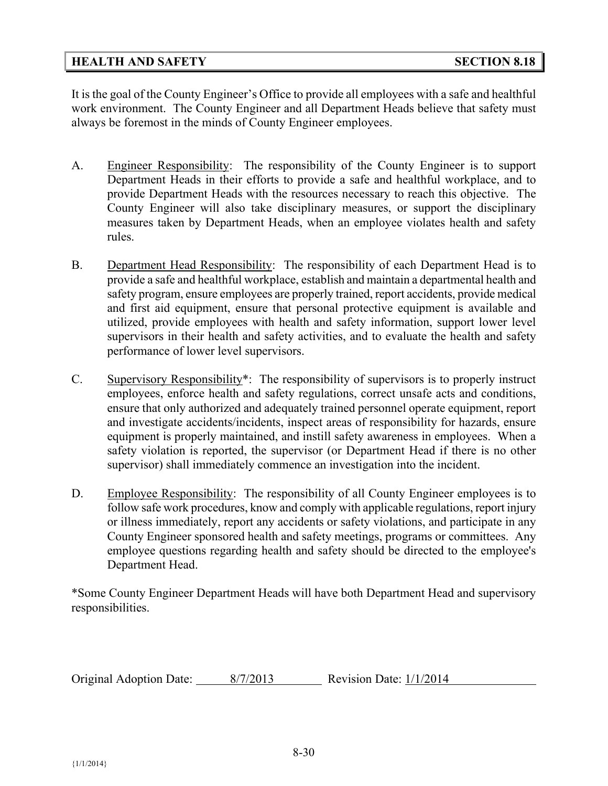## **HEALTH AND SAFETY SECTION 8.18**

It is the goal of the County Engineer's Office to provide all employees with a safe and healthful work environment. The County Engineer and all Department Heads believe that safety must always be foremost in the minds of County Engineer employees.

- A. Engineer Responsibility: The responsibility of the County Engineer is to support Department Heads in their efforts to provide a safe and healthful workplace, and to provide Department Heads with the resources necessary to reach this objective. The County Engineer will also take disciplinary measures, or support the disciplinary measures taken by Department Heads, when an employee violates health and safety rules.
- B. Department Head Responsibility: The responsibility of each Department Head is to provide a safe and healthful workplace, establish and maintain a departmental health and safety program, ensure employees are properly trained, report accidents, provide medical and first aid equipment, ensure that personal protective equipment is available and utilized, provide employees with health and safety information, support lower level supervisors in their health and safety activities, and to evaluate the health and safety performance of lower level supervisors.
- C. Supervisory Responsibility\*: The responsibility of supervisors is to properly instruct employees, enforce health and safety regulations, correct unsafe acts and conditions, ensure that only authorized and adequately trained personnel operate equipment, report and investigate accidents/incidents, inspect areas of responsibility for hazards, ensure equipment is properly maintained, and instill safety awareness in employees. When a safety violation is reported, the supervisor (or Department Head if there is no other supervisor) shall immediately commence an investigation into the incident.
- D. Employee Responsibility: The responsibility of all County Engineer employees is to follow safe work procedures, know and comply with applicable regulations, report injury or illness immediately, report any accidents or safety violations, and participate in any County Engineer sponsored health and safety meetings, programs or committees. Any employee questions regarding health and safety should be directed to the employee's Department Head.

\*Some County Engineer Department Heads will have both Department Head and supervisory responsibilities.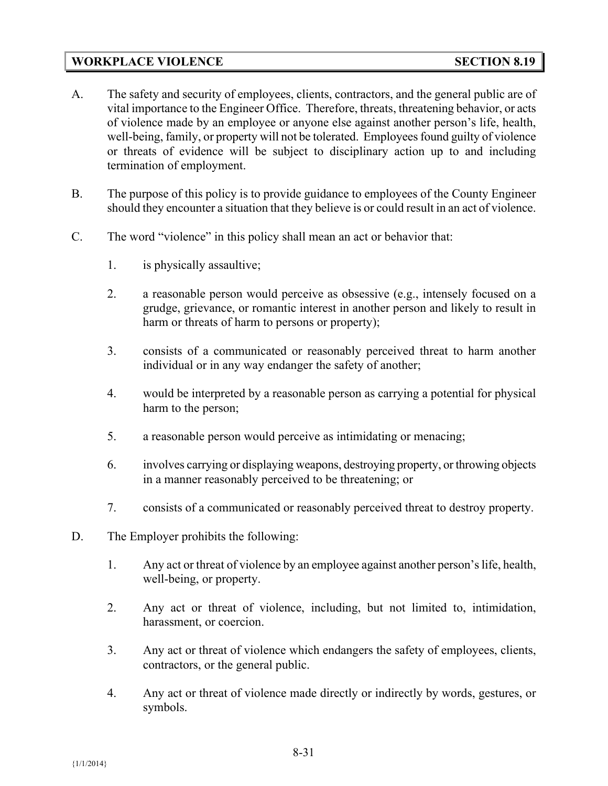## **WORKPLACE VIOLENCE SECTION 8.19**

- A. The safety and security of employees, clients, contractors, and the general public are of vital importance to the Engineer Office. Therefore, threats, threatening behavior, or acts of violence made by an employee or anyone else against another person's life, health, well-being, family, or property will not be tolerated. Employees found guilty of violence or threats of evidence will be subject to disciplinary action up to and including termination of employment.
- B. The purpose of this policy is to provide guidance to employees of the County Engineer should they encounter a situation that they believe is or could result in an act of violence.
- C. The word "violence" in this policy shall mean an act or behavior that:
	- 1. is physically assaultive;
	- 2. a reasonable person would perceive as obsessive (e.g., intensely focused on a grudge, grievance, or romantic interest in another person and likely to result in harm or threats of harm to persons or property);
	- 3. consists of a communicated or reasonably perceived threat to harm another individual or in any way endanger the safety of another;
	- 4. would be interpreted by a reasonable person as carrying a potential for physical harm to the person;
	- 5. a reasonable person would perceive as intimidating or menacing;
	- 6. involves carrying or displaying weapons, destroying property, or throwing objects in a manner reasonably perceived to be threatening; or
	- 7. consists of a communicated or reasonably perceived threat to destroy property.
- D. The Employer prohibits the following:
	- 1. Any act or threat of violence by an employee against another person's life, health, well-being, or property.
	- 2. Any act or threat of violence, including, but not limited to, intimidation, harassment, or coercion.
	- 3. Any act or threat of violence which endangers the safety of employees, clients, contractors, or the general public.
	- 4. Any act or threat of violence made directly or indirectly by words, gestures, or symbols.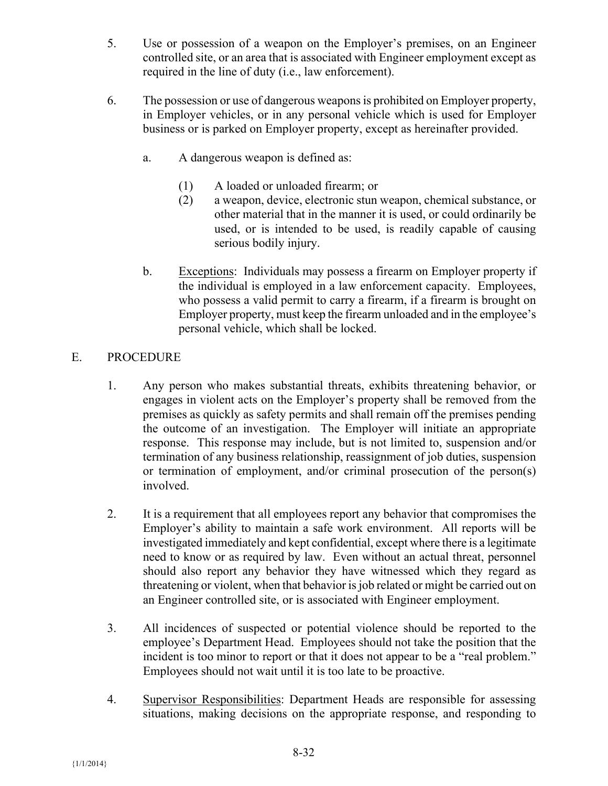- 5. Use or possession of a weapon on the Employer's premises, on an Engineer controlled site, or an area that is associated with Engineer employment except as required in the line of duty (i.e., law enforcement).
- 6. The possession or use of dangerous weapons is prohibited on Employer property, in Employer vehicles, or in any personal vehicle which is used for Employer business or is parked on Employer property, except as hereinafter provided.
	- a. A dangerous weapon is defined as:
		- (1) A loaded or unloaded firearm; or
		- (2) a weapon, device, electronic stun weapon, chemical substance, or other material that in the manner it is used, or could ordinarily be used, or is intended to be used, is readily capable of causing serious bodily injury.
	- b. Exceptions: Individuals may possess a firearm on Employer property if the individual is employed in a law enforcement capacity. Employees, who possess a valid permit to carry a firearm, if a firearm is brought on Employer property, must keep the firearm unloaded and in the employee's personal vehicle, which shall be locked.

# E. PROCEDURE

- 1. Any person who makes substantial threats, exhibits threatening behavior, or engages in violent acts on the Employer's property shall be removed from the premises as quickly as safety permits and shall remain off the premises pending the outcome of an investigation. The Employer will initiate an appropriate response. This response may include, but is not limited to, suspension and/or termination of any business relationship, reassignment of job duties, suspension or termination of employment, and/or criminal prosecution of the person(s) involved.
- 2. It is a requirement that all employees report any behavior that compromises the Employer's ability to maintain a safe work environment. All reports will be investigated immediately and kept confidential, except where there is a legitimate need to know or as required by law. Even without an actual threat, personnel should also report any behavior they have witnessed which they regard as threatening or violent, when that behavior is job related or might be carried out on an Engineer controlled site, or is associated with Engineer employment.
- 3. All incidences of suspected or potential violence should be reported to the employee's Department Head. Employees should not take the position that the incident is too minor to report or that it does not appear to be a "real problem." Employees should not wait until it is too late to be proactive.
- 4. Supervisor Responsibilities: Department Heads are responsible for assessing situations, making decisions on the appropriate response, and responding to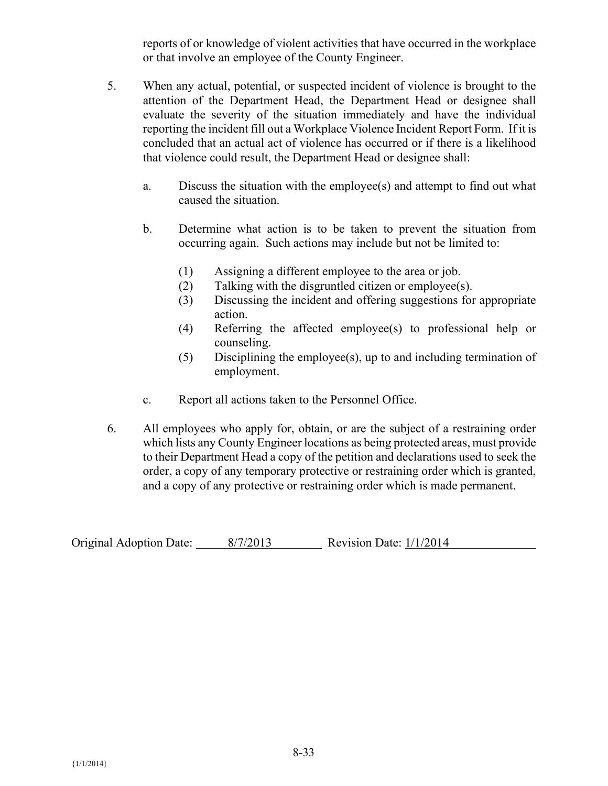reports of or knowledge of violent activities that have occurred in the workplace or that involve an employee of the County Engineer.

- 5. When any actual, potential, or suspected incident of violence is brought to the attention of the Department Head, the Department Head or designee shall evaluate the severity of the situation immediately and have the individual reporting the incident fill out a Workplace Violence Incident Report Form. If it is concluded that an actual act of violence has occurred or if there is a likelihood that violence could result, the Department Head or designee shall:
	- a. Discuss the situation with the employee(s) and attempt to find out what caused the situation.
	- b. Determine what action is to be taken to prevent the situation from occurring again. Such actions may include but not be limited to:
		- (1) Assigning a different employee to the area or job.
		- (2) Talking with the disgruntled citizen or employee(s).
		- (3) Discussing the incident and offering suggestions for appropriate action.
		- (4) Referring the affected employee(s) to professional help or counseling.
		- (5) Disciplining the employee(s), up to and including termination of employment.
	- c. Report all actions taken to the Personnel Office.
- 6. All employees who apply for, obtain, or are the subject of a restraining order which lists any County Engineer locations as being protected areas, must provide to their Department Head a copy of the petition and declarations used to seek the order, a copy of any temporary protective or restraining order which is granted, and a copy of any protective or restraining order which is made permanent.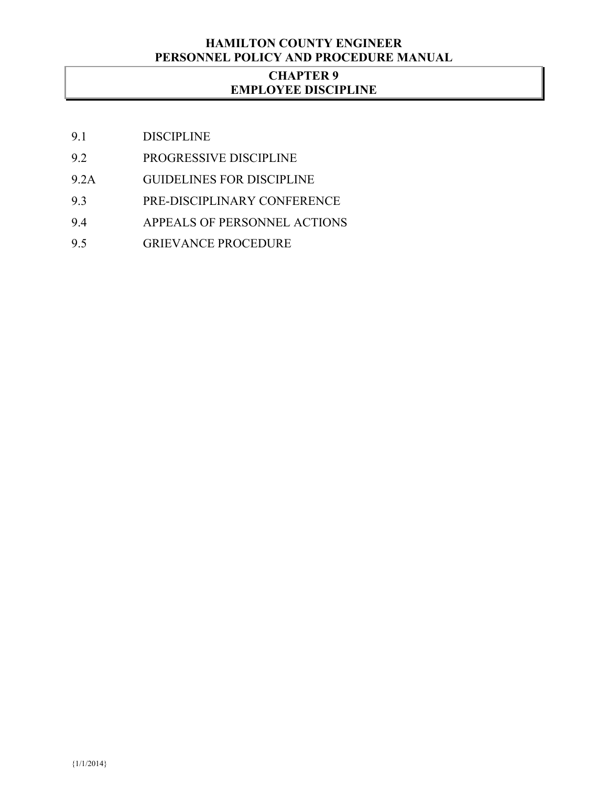### **HAMILTON COUNTY ENGINEER PERSONNEL POLICY AND PROCEDURE MANUAL**

## **CHAPTER 9 EMPLOYEE DISCIPLINE**

- 9.1 DISCIPLINE
- 9.2 PROGRESSIVE DISCIPLINE
- 9.2A GUIDELINES FOR DISCIPLINE
- 9.3 PRE-DISCIPLINARY CONFERENCE
- 9.4 APPEALS OF PERSONNEL ACTIONS
- 9.5 GRIEVANCE PROCEDURE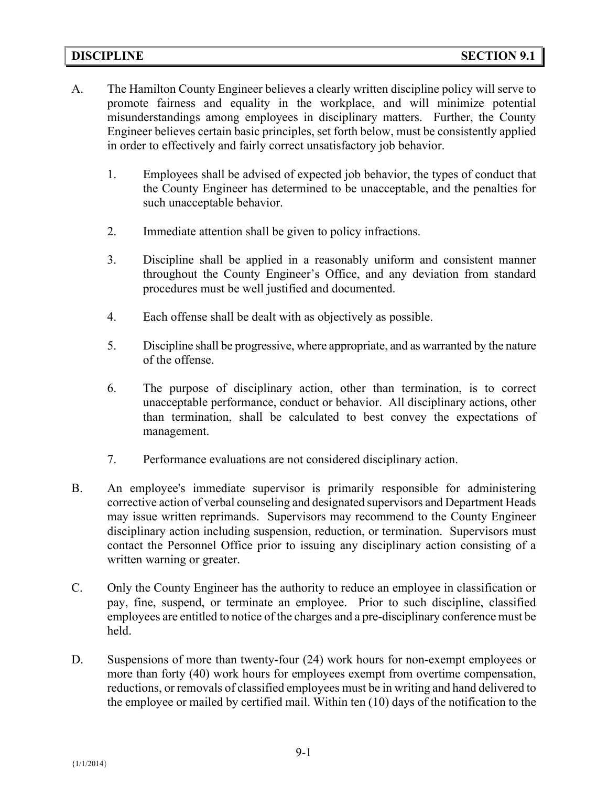- A. The Hamilton County Engineer believes a clearly written discipline policy will serve to promote fairness and equality in the workplace, and will minimize potential misunderstandings among employees in disciplinary matters. Further, the County Engineer believes certain basic principles, set forth below, must be consistently applied in order to effectively and fairly correct unsatisfactory job behavior.
	- 1. Employees shall be advised of expected job behavior, the types of conduct that the County Engineer has determined to be unacceptable, and the penalties for such unacceptable behavior.
	- 2. Immediate attention shall be given to policy infractions.
	- 3. Discipline shall be applied in a reasonably uniform and consistent manner throughout the County Engineer's Office, and any deviation from standard procedures must be well justified and documented.
	- 4. Each offense shall be dealt with as objectively as possible.
	- 5. Discipline shall be progressive, where appropriate, and as warranted by the nature of the offense.
	- 6. The purpose of disciplinary action, other than termination, is to correct unacceptable performance, conduct or behavior. All disciplinary actions, other than termination, shall be calculated to best convey the expectations of management.
	- 7. Performance evaluations are not considered disciplinary action.
- B. An employee's immediate supervisor is primarily responsible for administering corrective action of verbal counseling and designated supervisors and Department Heads may issue written reprimands. Supervisors may recommend to the County Engineer disciplinary action including suspension, reduction, or termination. Supervisors must contact the Personnel Office prior to issuing any disciplinary action consisting of a written warning or greater.
- C. Only the County Engineer has the authority to reduce an employee in classification or pay, fine, suspend, or terminate an employee. Prior to such discipline, classified employees are entitled to notice of the charges and a pre-disciplinary conference must be held.
- D. Suspensions of more than twenty-four (24) work hours for non-exempt employees or more than forty (40) work hours for employees exempt from overtime compensation, reductions, or removals of classified employees must be in writing and hand delivered to the employee or mailed by certified mail. Within ten (10) days of the notification to the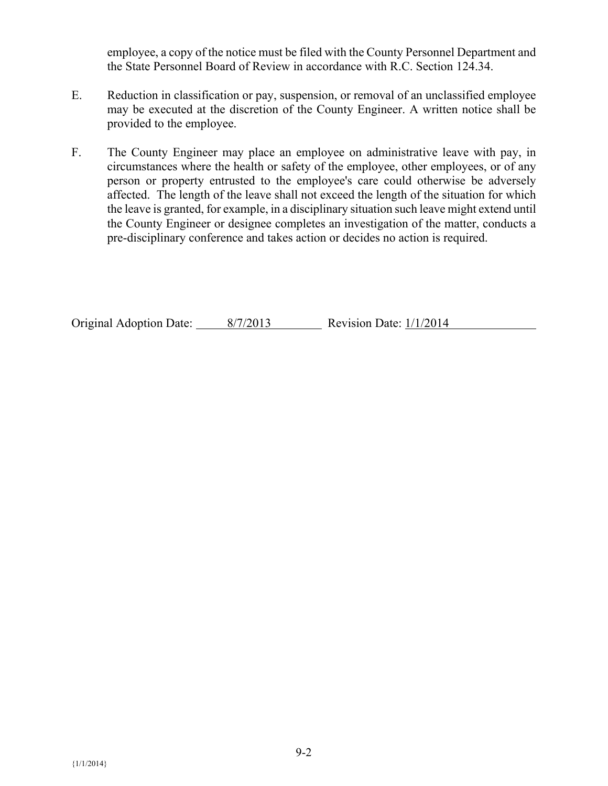employee, a copy of the notice must be filed with the County Personnel Department and the State Personnel Board of Review in accordance with R.C. Section 124.34.

- E. Reduction in classification or pay, suspension, or removal of an unclassified employee may be executed at the discretion of the County Engineer. A written notice shall be provided to the employee.
- F. The County Engineer may place an employee on administrative leave with pay, in circumstances where the health or safety of the employee, other employees, or of any person or property entrusted to the employee's care could otherwise be adversely affected.The length of the leave shall not exceed the length of the situation for which the leave is granted, for example, in a disciplinary situation such leave might extend until the County Engineer or designee completes an investigation of the matter, conducts a pre-disciplinary conference and takes action or decides no action is required.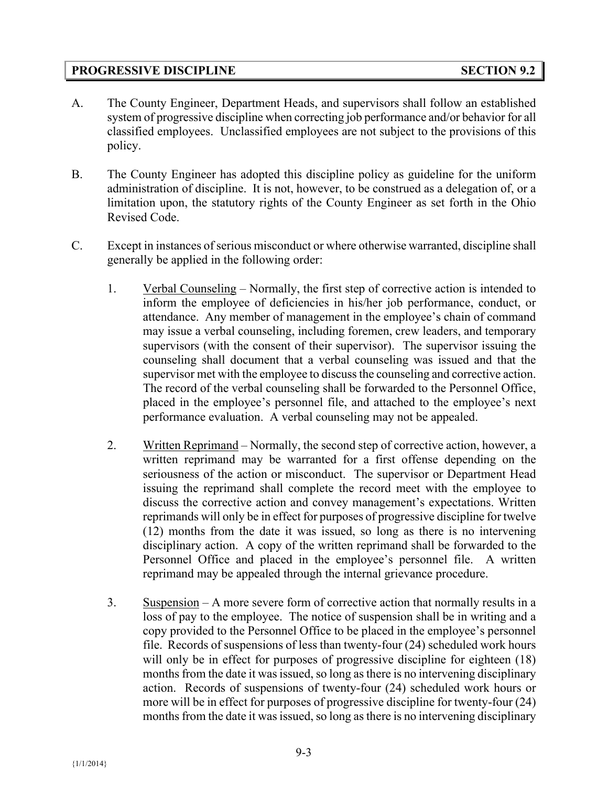## **PROGRESSIVE DISCIPLINE SECTION 9.2**

- A. The County Engineer, Department Heads, and supervisors shall follow an established system of progressive discipline when correcting job performance and/or behavior for all classified employees. Unclassified employees are not subject to the provisions of this policy.
- B. The County Engineer has adopted this discipline policy as guideline for the uniform administration of discipline. It is not, however, to be construed as a delegation of, or a limitation upon, the statutory rights of the County Engineer as set forth in the Ohio Revised Code.
- C. Except in instances of serious misconduct or where otherwise warranted, discipline shall generally be applied in the following order:
	- 1. Verbal Counseling Normally, the first step of corrective action is intended to inform the employee of deficiencies in his/her job performance, conduct, or attendance. Any member of management in the employee's chain of command may issue a verbal counseling, including foremen, crew leaders, and temporary supervisors (with the consent of their supervisor). The supervisor issuing the counseling shall document that a verbal counseling was issued and that the supervisor met with the employee to discuss the counseling and corrective action. The record of the verbal counseling shall be forwarded to the Personnel Office, placed in the employee's personnel file, and attached to the employee's next performance evaluation. A verbal counseling may not be appealed.
	- 2. Written Reprimand Normally, the second step of corrective action, however, a written reprimand may be warranted for a first offense depending on the seriousness of the action or misconduct. The supervisor or Department Head issuing the reprimand shall complete the record meet with the employee to discuss the corrective action and convey management's expectations. Written reprimands will only be in effect for purposes of progressive discipline for twelve (12) months from the date it was issued, so long as there is no intervening disciplinary action. A copy of the written reprimand shall be forwarded to the Personnel Office and placed in the employee's personnel file. A written reprimand may be appealed through the internal grievance procedure.
	- 3. Suspension A more severe form of corrective action that normally results in a loss of pay to the employee. The notice of suspension shall be in writing and a copy provided to the Personnel Office to be placed in the employee's personnel file. Records of suspensions of less than twenty-four (24) scheduled work hours will only be in effect for purposes of progressive discipline for eighteen (18) months from the date it was issued, so long as there is no intervening disciplinary action. Records of suspensions of twenty-four (24) scheduled work hours or more will be in effect for purposes of progressive discipline for twenty-four (24) months from the date it was issued, so long as there is no intervening disciplinary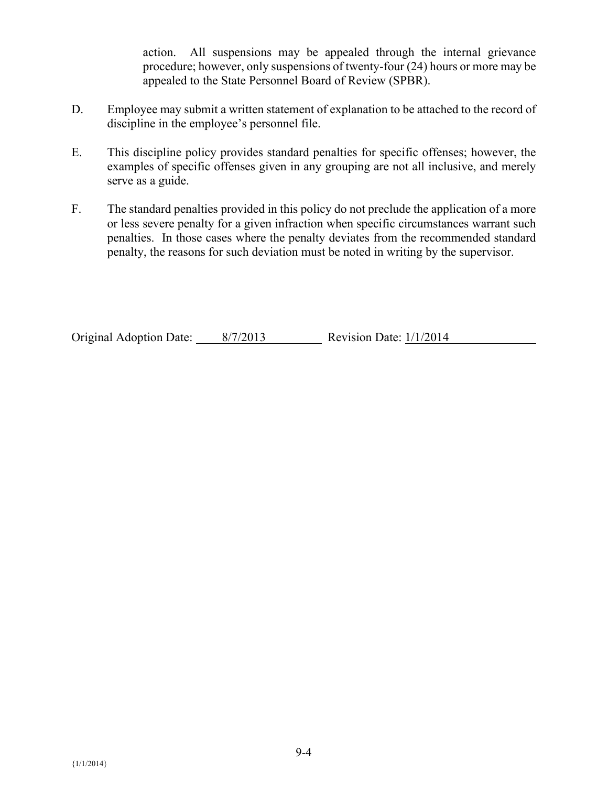action. All suspensions may be appealed through the internal grievance procedure; however, only suspensions of twenty-four (24) hours or more may be appealed to the State Personnel Board of Review (SPBR).

- D. Employee may submit a written statement of explanation to be attached to the record of discipline in the employee's personnel file.
- E. This discipline policy provides standard penalties for specific offenses; however, the examples of specific offenses given in any grouping are not all inclusive, and merely serve as a guide.
- F. The standard penalties provided in this policy do not preclude the application of a more or less severe penalty for a given infraction when specific circumstances warrant such penalties. In those cases where the penalty deviates from the recommended standard penalty, the reasons for such deviation must be noted in writing by the supervisor.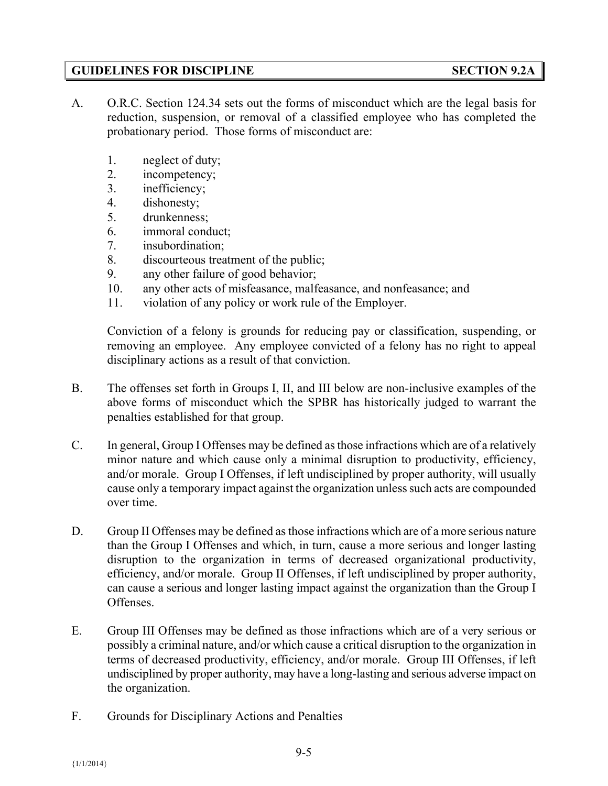## **GUIDELINES FOR DISCIPLINE SECTION 9.2A**

- A. O.R.C. Section 124.34 sets out the forms of misconduct which are the legal basis for reduction, suspension, or removal of a classified employee who has completed the probationary period. Those forms of misconduct are:
	- 1. neglect of duty;
	- 2. incompetency;
	- 3. inefficiency;
	- 4. dishonesty;
	- 5. drunkenness;
	- 6. immoral conduct;
	- 7. insubordination;
	- 8. discourteous treatment of the public;
	- 9. any other failure of good behavior;
	- 10. any other acts of misfeasance, malfeasance, and nonfeasance; and
	- 11. violation of any policy or work rule of the Employer.

Conviction of a felony is grounds for reducing pay or classification, suspending, or removing an employee. Any employee convicted of a felony has no right to appeal disciplinary actions as a result of that conviction.

- B. The offenses set forth in Groups I, II, and III below are non-inclusive examples of the above forms of misconduct which the SPBR has historically judged to warrant the penalties established for that group.
- C. In general, Group I Offenses may be defined as those infractions which are of a relatively minor nature and which cause only a minimal disruption to productivity, efficiency, and/or morale. Group I Offenses, if left undisciplined by proper authority, will usually cause only a temporary impact against the organization unless such acts are compounded over time.
- D. Group II Offenses may be defined as those infractions which are of a more serious nature than the Group I Offenses and which, in turn, cause a more serious and longer lasting disruption to the organization in terms of decreased organizational productivity, efficiency, and/or morale. Group II Offenses, if left undisciplined by proper authority, can cause a serious and longer lasting impact against the organization than the Group I Offenses.
- E. Group III Offenses may be defined as those infractions which are of a very serious or possibly a criminal nature, and/or which cause a critical disruption to the organization in terms of decreased productivity, efficiency, and/or morale. Group III Offenses, if left undisciplined by proper authority, may have a long-lasting and serious adverse impact on the organization.
- F. Grounds for Disciplinary Actions and Penalties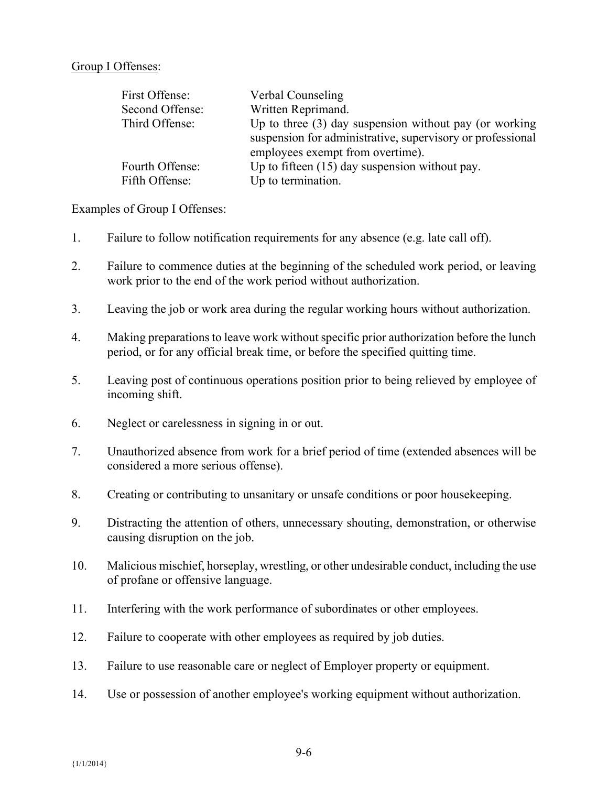#### Group I Offenses:

| First Offense:  | Verbal Counseling                                          |
|-----------------|------------------------------------------------------------|
| Second Offense: | Written Reprimand.                                         |
| Third Offense:  | Up to three $(3)$ day suspension without pay (or working   |
|                 | suspension for administrative, supervisory or professional |
|                 | employees exempt from overtime).                           |
| Fourth Offense: | Up to fifteen $(15)$ day suspension without pay.           |
| Fifth Offense:  | Up to termination.                                         |

Examples of Group I Offenses:

- 1. Failure to follow notification requirements for any absence (e.g. late call off).
- 2. Failure to commence duties at the beginning of the scheduled work period, or leaving work prior to the end of the work period without authorization.
- 3. Leaving the job or work area during the regular working hours without authorization.
- 4. Making preparations to leave work without specific prior authorization before the lunch period, or for any official break time, or before the specified quitting time.
- 5. Leaving post of continuous operations position prior to being relieved by employee of incoming shift.
- 6. Neglect or carelessness in signing in or out.
- 7. Unauthorized absence from work for a brief period of time (extended absences will be considered a more serious offense).
- 8. Creating or contributing to unsanitary or unsafe conditions or poor housekeeping.
- 9. Distracting the attention of others, unnecessary shouting, demonstration, or otherwise causing disruption on the job.
- 10. Malicious mischief, horseplay, wrestling, or other undesirable conduct, including the use of profane or offensive language.
- 11. Interfering with the work performance of subordinates or other employees.
- 12. Failure to cooperate with other employees as required by job duties.
- 13. Failure to use reasonable care or neglect of Employer property or equipment.
- 14. Use or possession of another employee's working equipment without authorization.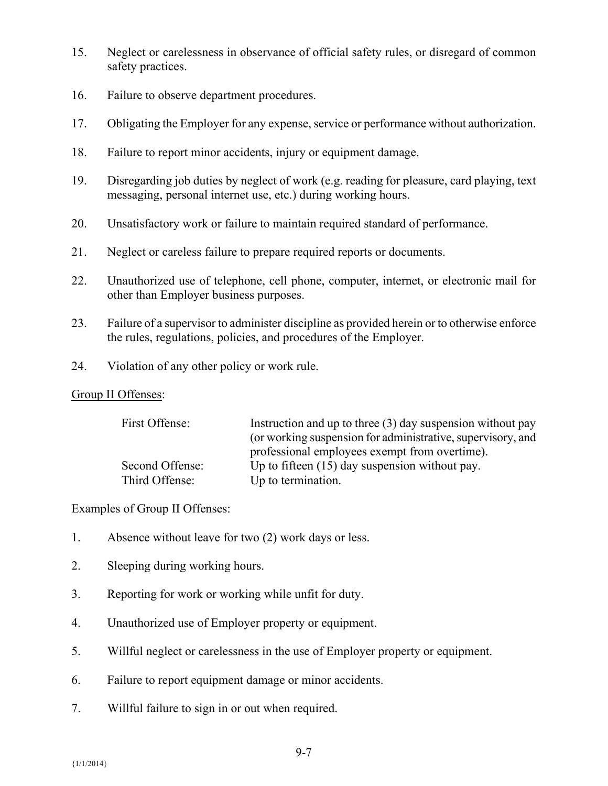- 15. Neglect or carelessness in observance of official safety rules, or disregard of common safety practices.
- 16. Failure to observe department procedures.
- 17. Obligating the Employer for any expense, service or performance without authorization.
- 18. Failure to report minor accidents, injury or equipment damage.
- 19. Disregarding job duties by neglect of work (e.g. reading for pleasure, card playing, text messaging, personal internet use, etc.) during working hours.
- 20. Unsatisfactory work or failure to maintain required standard of performance.
- 21. Neglect or careless failure to prepare required reports or documents.
- 22. Unauthorized use of telephone, cell phone, computer, internet, or electronic mail for other than Employer business purposes.
- 23. Failure of a supervisor to administer discipline as provided herein or to otherwise enforce the rules, regulations, policies, and procedures of the Employer.
- 24. Violation of any other policy or work rule.

#### Group II Offenses:

| First Offense:  | Instruction and up to three $(3)$ day suspension without pay<br>(or working suspension for administrative, supervisory, and |
|-----------------|-----------------------------------------------------------------------------------------------------------------------------|
|                 | professional employees exempt from overtime).                                                                               |
| Second Offense: | Up to fifteen $(15)$ day suspension without pay.                                                                            |
| Third Offense:  | Up to termination.                                                                                                          |

### Examples of Group II Offenses:

- 1. Absence without leave for two (2) work days or less.
- 2. Sleeping during working hours.
- 3. Reporting for work or working while unfit for duty.
- 4. Unauthorized use of Employer property or equipment.
- 5. Willful neglect or carelessness in the use of Employer property or equipment.
- 6. Failure to report equipment damage or minor accidents.
- 7. Willful failure to sign in or out when required.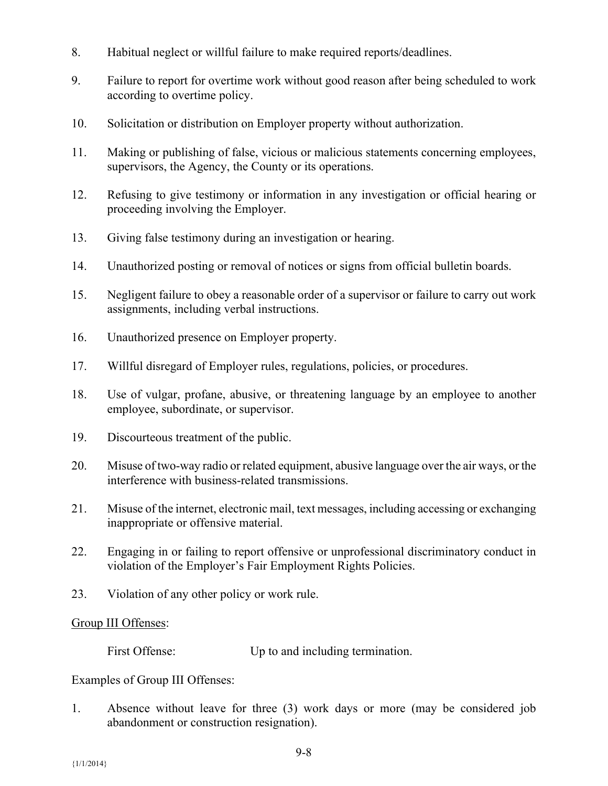- 8. Habitual neglect or willful failure to make required reports/deadlines.
- 9. Failure to report for overtime work without good reason after being scheduled to work according to overtime policy.
- 10. Solicitation or distribution on Employer property without authorization.
- 11. Making or publishing of false, vicious or malicious statements concerning employees, supervisors, the Agency, the County or its operations.
- 12. Refusing to give testimony or information in any investigation or official hearing or proceeding involving the Employer.
- 13. Giving false testimony during an investigation or hearing.
- 14. Unauthorized posting or removal of notices or signs from official bulletin boards.
- 15. Negligent failure to obey a reasonable order of a supervisor or failure to carry out work assignments, including verbal instructions.
- 16. Unauthorized presence on Employer property.
- 17. Willful disregard of Employer rules, regulations, policies, or procedures.
- 18. Use of vulgar, profane, abusive, or threatening language by an employee to another employee, subordinate, or supervisor.
- 19. Discourteous treatment of the public.
- 20. Misuse of two-way radio or related equipment, abusive language over the air ways, or the interference with business-related transmissions.
- 21. Misuse of the internet, electronic mail, text messages, including accessing or exchanging inappropriate or offensive material.
- 22. Engaging in or failing to report offensive or unprofessional discriminatory conduct in violation of the Employer's Fair Employment Rights Policies.
- 23. Violation of any other policy or work rule.

### Group III Offenses:

First Offense: Up to and including termination.

Examples of Group III Offenses:

1. Absence without leave for three (3) work days or more (may be considered job abandonment or construction resignation).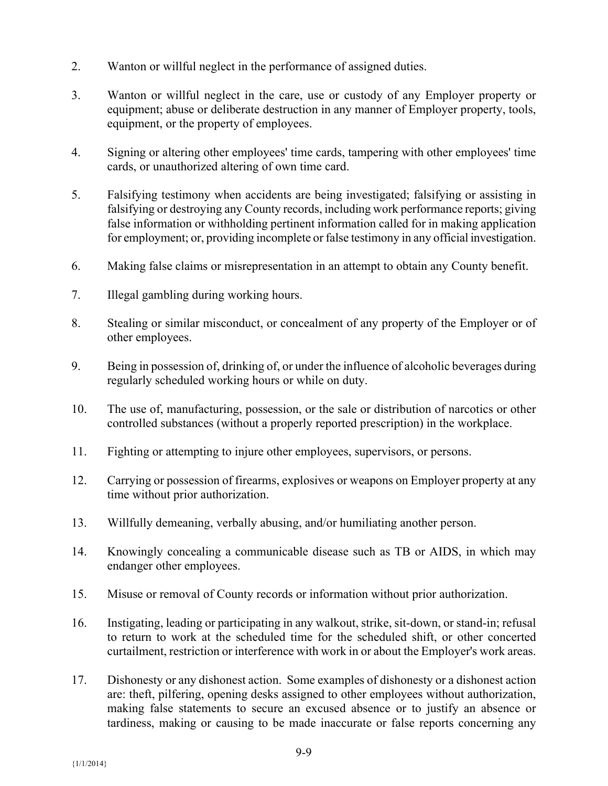- 2. Wanton or willful neglect in the performance of assigned duties.
- 3. Wanton or willful neglect in the care, use or custody of any Employer property or equipment; abuse or deliberate destruction in any manner of Employer property, tools, equipment, or the property of employees.
- 4. Signing or altering other employees' time cards, tampering with other employees' time cards, or unauthorized altering of own time card.
- 5. Falsifying testimony when accidents are being investigated; falsifying or assisting in falsifying or destroying any County records, including work performance reports; giving false information or withholding pertinent information called for in making application for employment; or, providing incomplete or false testimony in any official investigation.
- 6. Making false claims or misrepresentation in an attempt to obtain any County benefit.
- 7. Illegal gambling during working hours.
- 8. Stealing or similar misconduct, or concealment of any property of the Employer or of other employees.
- 9. Being in possession of, drinking of, or under the influence of alcoholic beverages during regularly scheduled working hours or while on duty.
- 10. The use of, manufacturing, possession, or the sale or distribution of narcotics or other controlled substances (without a properly reported prescription) in the workplace.
- 11. Fighting or attempting to injure other employees, supervisors, or persons.
- 12. Carrying or possession of firearms, explosives or weapons on Employer property at any time without prior authorization.
- 13. Willfully demeaning, verbally abusing, and/or humiliating another person.
- 14. Knowingly concealing a communicable disease such as TB or AIDS, in which may endanger other employees.
- 15. Misuse or removal of County records or information without prior authorization.
- 16. Instigating, leading or participating in any walkout, strike, sit-down, or stand-in; refusal to return to work at the scheduled time for the scheduled shift, or other concerted curtailment, restriction or interference with work in or about the Employer's work areas.
- 17. Dishonesty or any dishonest action. Some examples of dishonesty or a dishonest action are: theft, pilfering, opening desks assigned to other employees without authorization, making false statements to secure an excused absence or to justify an absence or tardiness, making or causing to be made inaccurate or false reports concerning any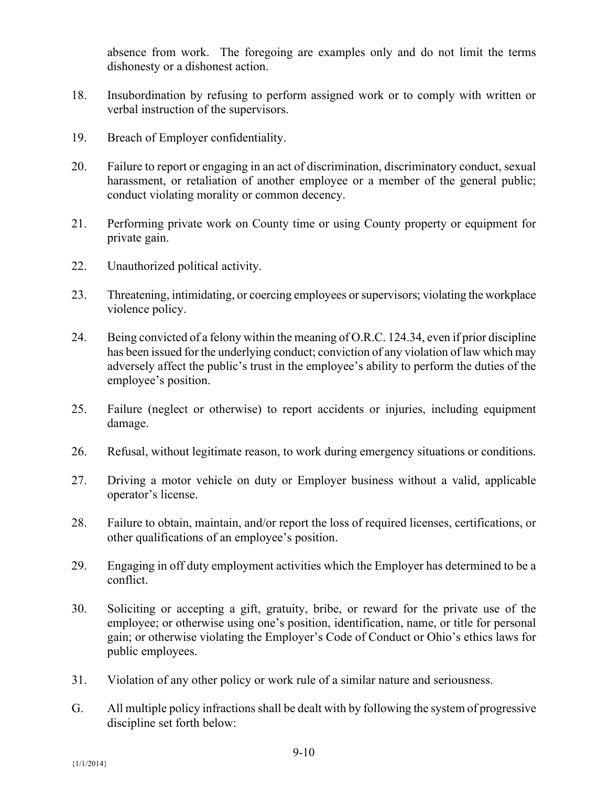absence from work. The foregoing are examples only and do not limit the terms dishonesty or a dishonest action.

- 18. Insubordination by refusing to perform assigned work or to comply with written or verbal instruction of the supervisors.
- 19. Breach of Employer confidentiality.
- 20. Failure to report or engaging in an act of discrimination, discriminatory conduct, sexual harassment, or retaliation of another employee or a member of the general public; conduct violating morality or common decency.
- 21. Performing private work on County time or using County property or equipment for private gain.
- 22. Unauthorized political activity.
- 23. Threatening, intimidating, or coercing employees or supervisors; violating the workplace violence policy.
- 24. Being convicted of a felony within the meaning of O.R.C. 124.34, even if prior discipline has been issued for the underlying conduct; conviction of any violation of law which may adversely affect the public's trust in the employee's ability to perform the duties of the employee's position.
- 25. Failure (neglect or otherwise) to report accidents or injuries, including equipment damage.
- 26. Refusal, without legitimate reason, to work during emergency situations or conditions.
- 27. Driving a motor vehicle on duty or Employer business without a valid, applicable operator's license.
- 28. Failure to obtain, maintain, and/or report the loss of required licenses, certifications, or other qualifications of an employee's position.
- 29. Engaging in off duty employment activities which the Employer has determined to be a conflict.
- 30. Soliciting or accepting a gift, gratuity, bribe, or reward for the private use of the employee; or otherwise using one's position, identification, name, or title for personal gain; or otherwise violating the Employer's Code of Conduct or Ohio's ethics laws for public employees.
- 31. Violation of any other policy or work rule of a similar nature and seriousness.
- G. All multiple policy infractions shall be dealt with by following the system of progressive discipline set forth below: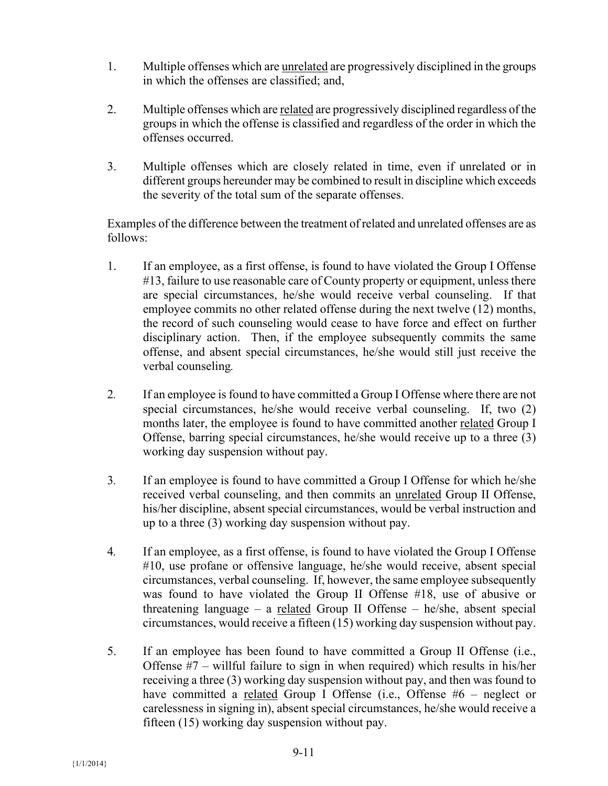- 1. Multiple offenses which are unrelated are progressively disciplined in the groups in which the offenses are classified; and,
- 2. Multiple offenses which are related are progressively disciplined regardless of the groups in which the offense is classified and regardless of the order in which the offenses occurred.
- 3. Multiple offenses which are closely related in time, even if unrelated or in different groups hereunder may be combined to result in discipline which exceeds the severity of the total sum of the separate offenses.

Examples of the difference between the treatment of related and unrelated offenses are as follows:

- 1. If an employee, as a first offense, is found to have violated the Group I Offense #13, failure to use reasonable care of County property or equipment, unless there are special circumstances, he/she would receive verbal counseling. If that employee commits no other related offense during the next twelve (12) months, the record of such counseling would cease to have force and effect on further disciplinary action. Then, if the employee subsequently commits the same offense, and absent special circumstances, he/she would still just receive the verbal counseling*.*
- 2*.* If an employee is found to have committed a Group I Offense where there are not special circumstances, he/she would receive verbal counseling. If, two (2) months later, the employee is found to have committed another related Group I Offense, barring special circumstances, he/she would receive up to a three (3) working day suspension without pay.
- 3*.* If an employee is found to have committed a Group I Offense for which he/she received verbal counseling, and then commits an unrelated Group II Offense, his/her discipline, absent special circumstances, would be verbal instruction and up to a three (3) working day suspension without pay.
- 4*.* If an employee, as a first offense, is found to have violated the Group I Offense #10, use profane or offensive language, he/she would receive, absent special circumstances, verbal counseling. If, however, the same employee subsequently was found to have violated the Group II Offense #18, use of abusive or threatening language – a related Group II Offense – he/she, absent special circumstances, would receive a fifteen (15) working day suspension without pay.
- 5. If an employee has been found to have committed a Group II Offense (i.e., Offense #7 – willful failure to sign in when required) which results in his/her receiving a three (3) working day suspension without pay, and then was found to have committed a related Group I Offense (i.e., Offense #6 – neglect or carelessness in signing in), absent special circumstances, he/she would receive a fifteen (15) working day suspension without pay.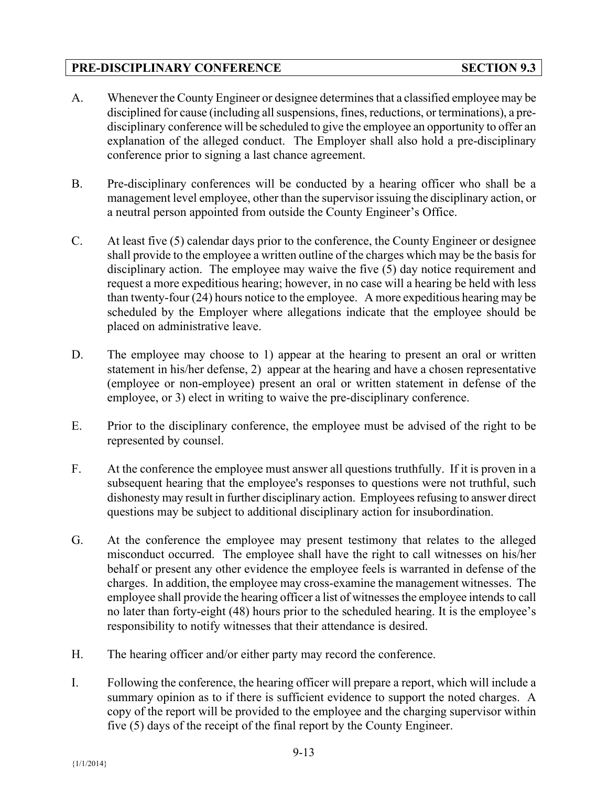# **PRE-DISCIPLINARY CONFERENCE SECTION 9.3**

- A. Whenever the County Engineer or designee determines that a classified employee may be disciplined for cause (including all suspensions, fines, reductions, or terminations), a predisciplinary conference will be scheduled to give the employee an opportunity to offer an explanation of the alleged conduct. The Employer shall also hold a pre-disciplinary conference prior to signing a last chance agreement.
- B. Pre-disciplinary conferences will be conducted by a hearing officer who shall be a management level employee, other than the supervisor issuing the disciplinary action, or a neutral person appointed from outside the County Engineer's Office.
- C. At least five (5) calendar days prior to the conference, the County Engineer or designee shall provide to the employee a written outline of the charges which may be the basis for disciplinary action. The employee may waive the five (5) day notice requirement and request a more expeditious hearing; however, in no case will a hearing be held with less than twenty-four (24) hours notice to the employee. A more expeditious hearing may be scheduled by the Employer where allegations indicate that the employee should be placed on administrative leave.
- D. The employee may choose to 1) appear at the hearing to present an oral or written statement in his/her defense, 2) appear at the hearing and have a chosen representative (employee or non-employee) present an oral or written statement in defense of the employee, or 3) elect in writing to waive the pre-disciplinary conference.
- E. Prior to the disciplinary conference, the employee must be advised of the right to be represented by counsel.
- F. At the conference the employee must answer all questions truthfully. If it is proven in a subsequent hearing that the employee's responses to questions were not truthful, such dishonesty may result in further disciplinary action. Employees refusing to answer direct questions may be subject to additional disciplinary action for insubordination.
- G. At the conference the employee may present testimony that relates to the alleged misconduct occurred. The employee shall have the right to call witnesses on his/her behalf or present any other evidence the employee feels is warranted in defense of the charges. In addition, the employee may cross-examine the management witnesses. The employee shall provide the hearing officer a list of witnesses the employee intends to call no later than forty-eight (48) hours prior to the scheduled hearing. It is the employee's responsibility to notify witnesses that their attendance is desired.
- H. The hearing officer and/or either party may record the conference.
- I. Following the conference, the hearing officer will prepare a report, which will include a summary opinion as to if there is sufficient evidence to support the noted charges. A copy of the report will be provided to the employee and the charging supervisor within five (5) days of the receipt of the final report by the County Engineer.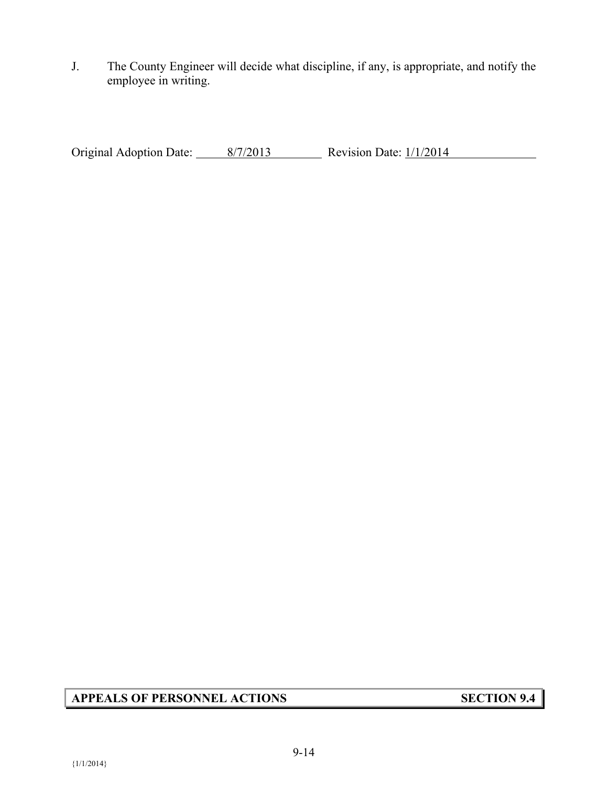J. The County Engineer will decide what discipline, if any, is appropriate, and notify the employee in writing.

Original Adoption Date:  $\frac{8/7/2013}{8/7/2013}$  Revision Date:  $\frac{1}{1/2014}$ 

# **APPEALS OF PERSONNEL ACTIONS SECTION 9.4**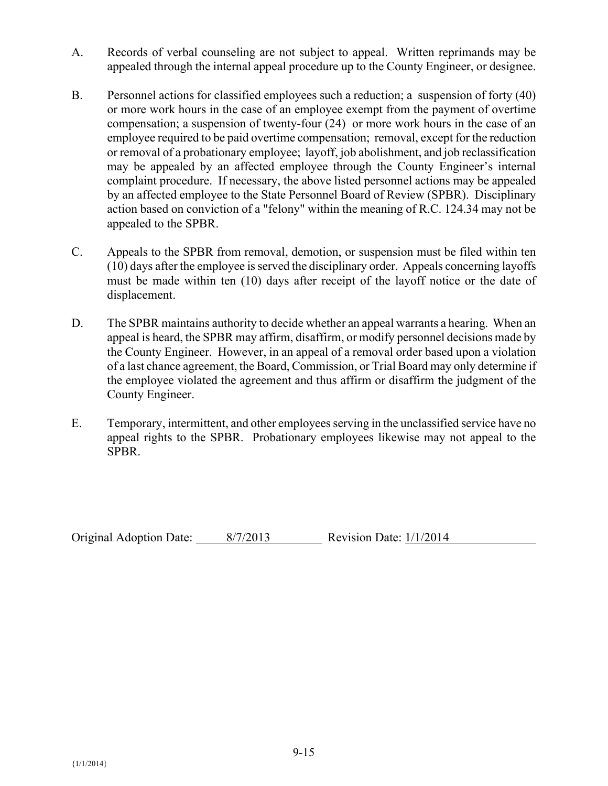- A. Records of verbal counseling are not subject to appeal. Written reprimands may be appealed through the internal appeal procedure up to the County Engineer, or designee.
- B. Personnel actions for classified employees such a reduction; a suspension of forty (40) or more work hours in the case of an employee exempt from the payment of overtime compensation; a suspension of twenty-four (24) or more work hours in the case of an employee required to be paid overtime compensation; removal, except for the reduction or removal of a probationary employee; layoff, job abolishment, and job reclassification may be appealed by an affected employee through the County Engineer's internal complaint procedure. If necessary, the above listed personnel actions may be appealed by an affected employee to the State Personnel Board of Review (SPBR). Disciplinary action based on conviction of a "felony" within the meaning of R.C. 124.34 may not be appealed to the SPBR.
- C. Appeals to the SPBR from removal, demotion, or suspension must be filed within ten (10) days after the employee is served the disciplinary order. Appeals concerning layoffs must be made within ten (10) days after receipt of the layoff notice or the date of displacement.
- D. The SPBR maintains authority to decide whether an appeal warrants a hearing. When an appeal is heard, the SPBR may affirm, disaffirm, or modify personnel decisions made by the County Engineer. However, in an appeal of a removal order based upon a violation of a last chance agreement, the Board, Commission, or Trial Board may only determine if the employee violated the agreement and thus affirm or disaffirm the judgment of the County Engineer.
- E. Temporary, intermittent, and other employees serving in the unclassified service have no appeal rights to the SPBR. Probationary employees likewise may not appeal to the SPBR.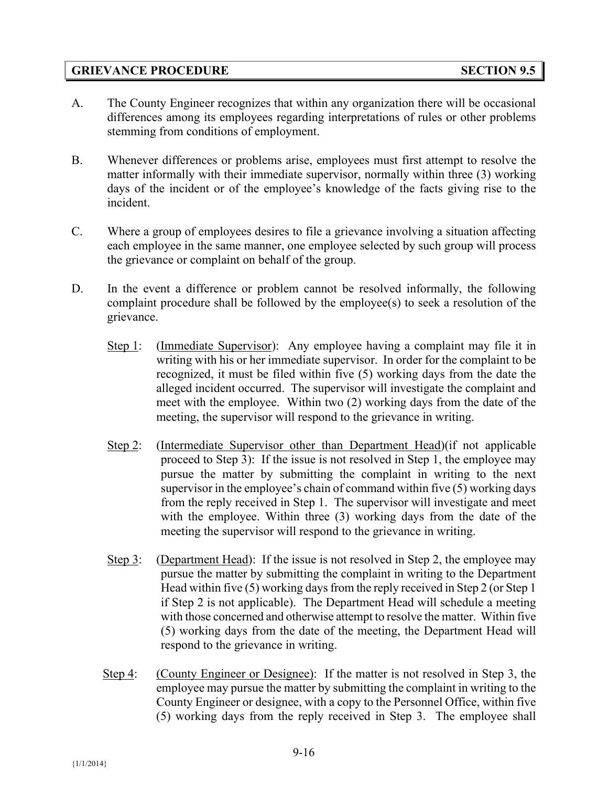## **GRIEVANCE PROCEDURE SECTION 9.5**

- A. The County Engineer recognizes that within any organization there will be occasional differences among its employees regarding interpretations of rules or other problems stemming from conditions of employment.
- B. Whenever differences or problems arise, employees must first attempt to resolve the matter informally with their immediate supervisor, normally within three (3) working days of the incident or of the employee's knowledge of the facts giving rise to the incident.
- C. Where a group of employees desires to file a grievance involving a situation affecting each employee in the same manner, one employee selected by such group will process the grievance or complaint on behalf of the group.
- D. In the event a difference or problem cannot be resolved informally, the following complaint procedure shall be followed by the employee(s) to seek a resolution of the grievance.
	- Step 1: (Immediate Supervisor): Any employee having a complaint may file it in writing with his or her immediate supervisor. In order for the complaint to be recognized, it must be filed within five (5) working days from the date the alleged incident occurred. The supervisor will investigate the complaint and meet with the employee. Within two (2) working days from the date of the meeting, the supervisor will respond to the grievance in writing.
	- Step 2: (Intermediate Supervisor other than Department Head) (if not applicable proceed to Step 3): If the issue is not resolved in Step 1, the employee may pursue the matter by submitting the complaint in writing to the next supervisor in the employee's chain of command within five (5) working days from the reply received in Step 1. The supervisor will investigate and meet with the employee. Within three (3) working days from the date of the meeting the supervisor will respond to the grievance in writing.
	- Step 3: (Department Head): If the issue is not resolved in Step 2, the employee may pursue the matter by submitting the complaint in writing to the Department Head within five (5) working days from the reply received in Step 2 (or Step 1 if Step 2 is not applicable). The Department Head will schedule a meeting with those concerned and otherwise attempt to resolve the matter. Within five (5) working days from the date of the meeting, the Department Head will respond to the grievance in writing.
	- Step 4: (County Engineer or Designee): If the matter is not resolved in Step 3, the employee may pursue the matter by submitting the complaint in writing to the County Engineer or designee, with a copy to the Personnel Office, within five (5) working days from the reply received in Step 3. The employee shall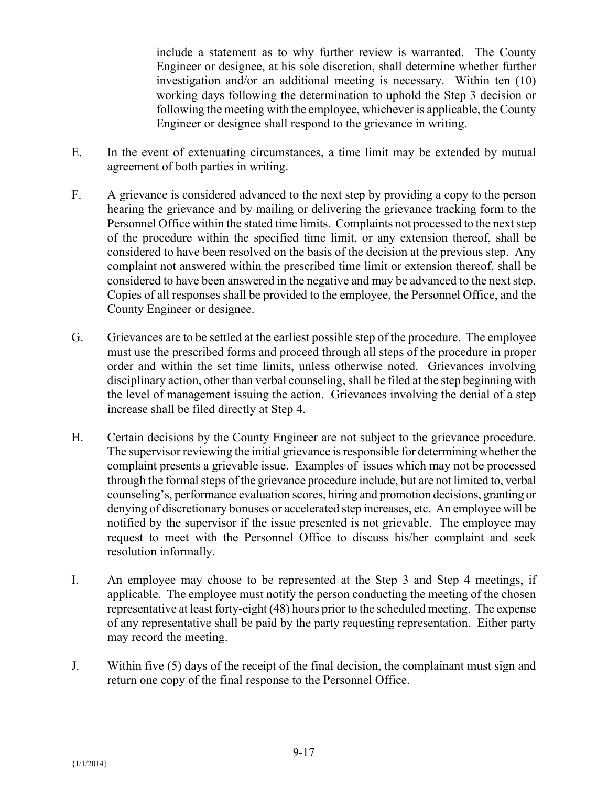include a statement as to why further review is warranted. The County Engineer or designee, at his sole discretion, shall determine whether further investigation and/or an additional meeting is necessary. Within ten (10) working days following the determination to uphold the Step 3 decision or following the meeting with the employee, whichever is applicable, the County Engineer or designee shall respond to the grievance in writing.

- E. In the event of extenuating circumstances, a time limit may be extended by mutual agreement of both parties in writing.
- F. A grievance is considered advanced to the next step by providing a copy to the person hearing the grievance and by mailing or delivering the grievance tracking form to the Personnel Office within the stated time limits. Complaints not processed to the next step of the procedure within the specified time limit, or any extension thereof, shall be considered to have been resolved on the basis of the decision at the previous step. Any complaint not answered within the prescribed time limit or extension thereof, shall be considered to have been answered in the negative and may be advanced to the next step. Copies of all responses shall be provided to the employee, the Personnel Office, and the County Engineer or designee.
- G. Grievances are to be settled at the earliest possible step of the procedure. The employee must use the prescribed forms and proceed through all steps of the procedure in proper order and within the set time limits, unless otherwise noted. Grievances involving disciplinary action, other than verbal counseling, shall be filed at the step beginning with the level of management issuing the action. Grievances involving the denial of a step increase shall be filed directly at Step 4.
- H. Certain decisions by the County Engineer are not subject to the grievance procedure. The supervisor reviewing the initial grievance is responsible for determining whether the complaint presents a grievable issue. Examples of issues which may not be processed through the formal steps of the grievance procedure include, but are not limited to, verbal counseling's, performance evaluation scores, hiring and promotion decisions, granting or denying of discretionary bonuses or accelerated step increases, etc. An employee will be notified by the supervisor if the issue presented is not grievable. The employee may request to meet with the Personnel Office to discuss his/her complaint and seek resolution informally.
- I. An employee may choose to be represented at the Step 3 and Step 4 meetings, if applicable. The employee must notify the person conducting the meeting of the chosen representative at least forty-eight (48) hours prior to the scheduled meeting. The expense of any representative shall be paid by the party requesting representation. Either party may record the meeting.
- J. Within five (5) days of the receipt of the final decision, the complainant must sign and return one copy of the final response to the Personnel Office.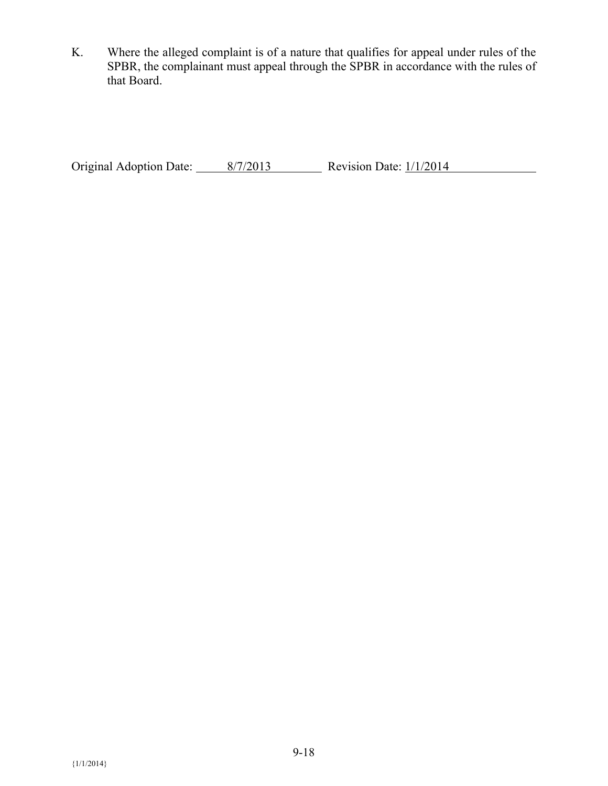K. Where the alleged complaint is of a nature that qualifies for appeal under rules of the SPBR, the complainant must appeal through the SPBR in accordance with the rules of that Board.

Original Adoption Date:  $\frac{8/7/2013}{8/7/2013}$  Revision Date:  $\frac{1}{1/2014}$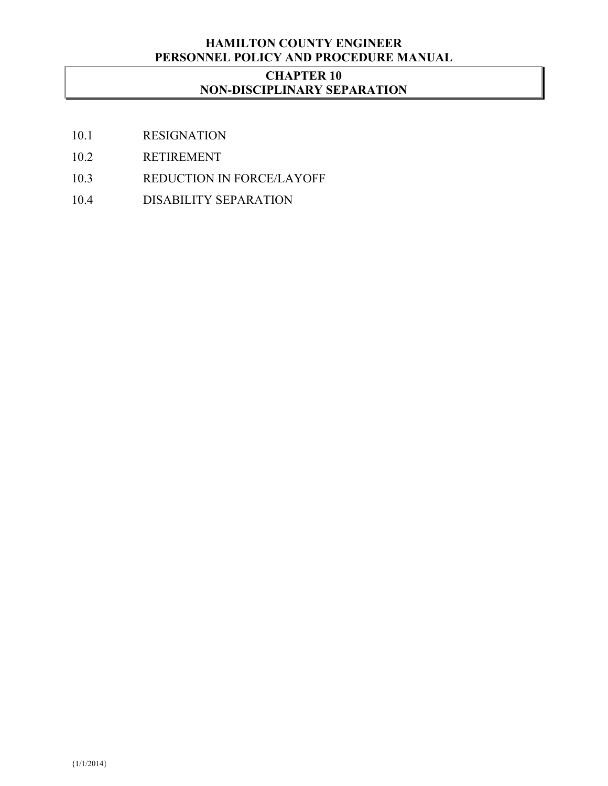## **HAMILTON COUNTY ENGINEER PERSONNEL POLICY AND PROCEDURE MANUAL**

## **CHAPTER 10 NON-DISCIPLINARY SEPARATION**

- 10.1 RESIGNATION
- 10.2 RETIREMENT
- 10.3 REDUCTION IN FORCE/LAYOFF
- 10.4 DISABILITY SEPARATION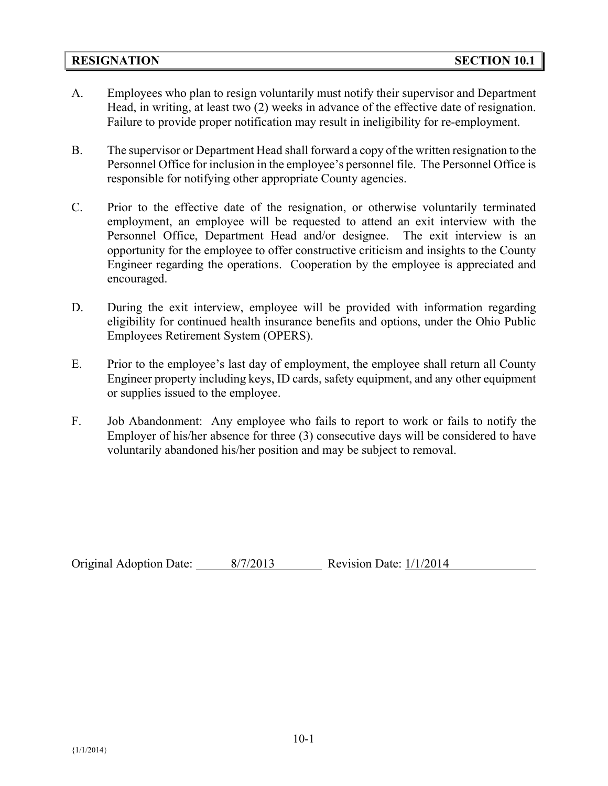#### **RESIGNATION SECTION 10.1**

- A. Employees who plan to resign voluntarily must notify their supervisor and Department Head, in writing, at least two (2) weeks in advance of the effective date of resignation. Failure to provide proper notification may result in ineligibility for re-employment.
- B. The supervisor or Department Head shall forward a copy of the written resignation to the Personnel Office for inclusion in the employee's personnel file. The Personnel Office is responsible for notifying other appropriate County agencies.
- C. Prior to the effective date of the resignation, or otherwise voluntarily terminated employment, an employee will be requested to attend an exit interview with the Personnel Office, Department Head and/or designee. The exit interview is an opportunity for the employee to offer constructive criticism and insights to the County Engineer regarding the operations. Cooperation by the employee is appreciated and encouraged.
- D. During the exit interview, employee will be provided with information regarding eligibility for continued health insurance benefits and options, under the Ohio Public Employees Retirement System (OPERS).
- E. Prior to the employee's last day of employment, the employee shall return all County Engineer property including keys, ID cards, safety equipment, and any other equipment or supplies issued to the employee.
- F. Job Abandonment: Any employee who fails to report to work or fails to notify the Employer of his/her absence for three (3) consecutive days will be considered to have voluntarily abandoned his/her position and may be subject to removal.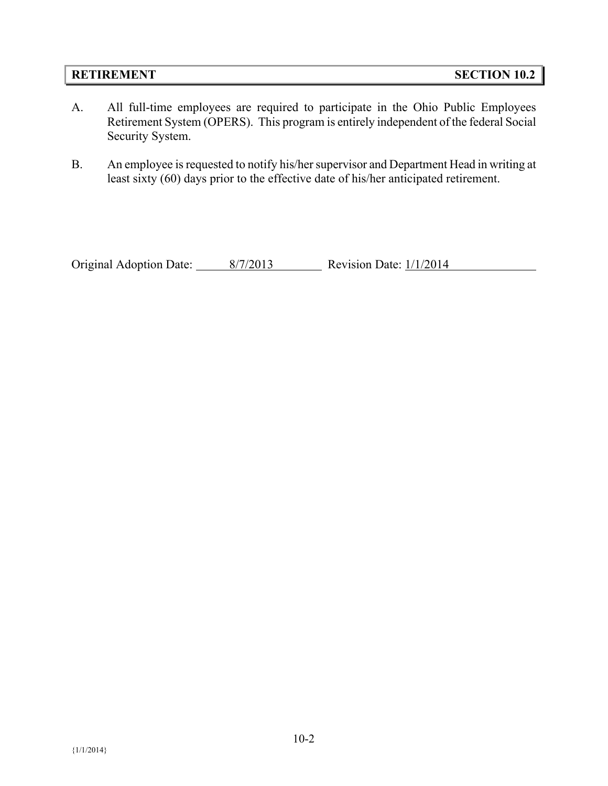#### **RETIREMENT SECTION 10.2**

- A. All full-time employees are required to participate in the Ohio Public Employees Retirement System (OPERS). This program is entirely independent of the federal Social Security System.
- B. An employee is requested to notify his/her supervisor and Department Head in writing at least sixty (60) days prior to the effective date of his/her anticipated retirement.

Original Adoption Date:  $\frac{8/7/2013}{\text{Revision Date: } 1/1/2014}$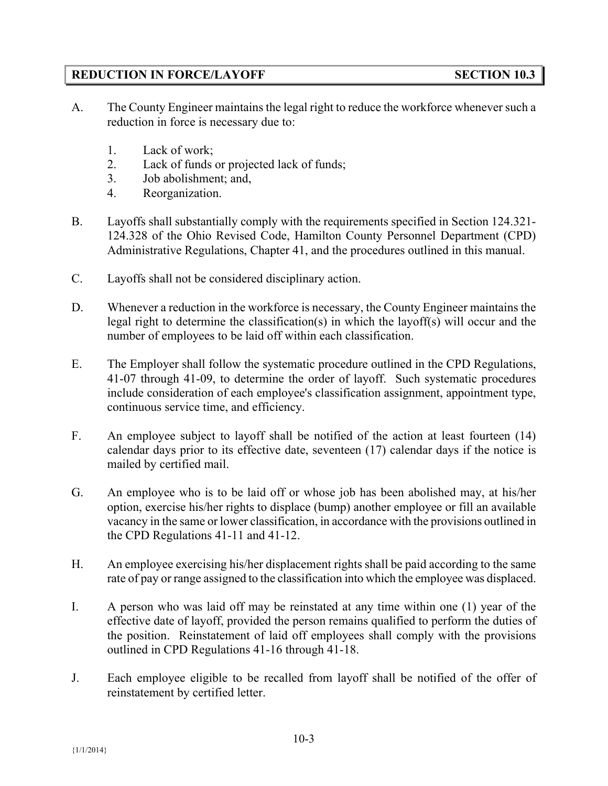## **REDUCTION IN FORCE/LAYOFF SECTION 10.3**

- A. The County Engineer maintains the legal right to reduce the workforce whenever such a reduction in force is necessary due to:
	- 1. Lack of work;
	- 2. Lack of funds or projected lack of funds;
	- 3. Job abolishment; and,
	- 4. Reorganization.
- B. Layoffs shall substantially comply with the requirements specified in Section 124.321- 124.328 of the Ohio Revised Code, Hamilton County Personnel Department (CPD) Administrative Regulations, Chapter 41, and the procedures outlined in this manual.
- C. Layoffs shall not be considered disciplinary action.
- D. Whenever a reduction in the workforce is necessary, the County Engineer maintains the legal right to determine the classification(s) in which the layoff(s) will occur and the number of employees to be laid off within each classification.
- E. The Employer shall follow the systematic procedure outlined in the CPD Regulations, 41-07 through 41-09, to determine the order of layoff. Such systematic procedures include consideration of each employee's classification assignment, appointment type, continuous service time, and efficiency.
- F. An employee subject to layoff shall be notified of the action at least fourteen (14) calendar days prior to its effective date, seventeen (17) calendar days if the notice is mailed by certified mail.
- G. An employee who is to be laid off or whose job has been abolished may, at his/her option, exercise his/her rights to displace (bump) another employee or fill an available vacancy in the same or lower classification, in accordance with the provisions outlined in the CPD Regulations 41-11 and 41-12.
- H. An employee exercising his/her displacement rights shall be paid according to the same rate of pay or range assigned to the classification into which the employee was displaced.
- I. A person who was laid off may be reinstated at any time within one (1) year of the effective date of layoff, provided the person remains qualified to perform the duties of the position. Reinstatement of laid off employees shall comply with the provisions outlined in CPD Regulations 41-16 through 41-18.
- J. Each employee eligible to be recalled from layoff shall be notified of the offer of reinstatement by certified letter.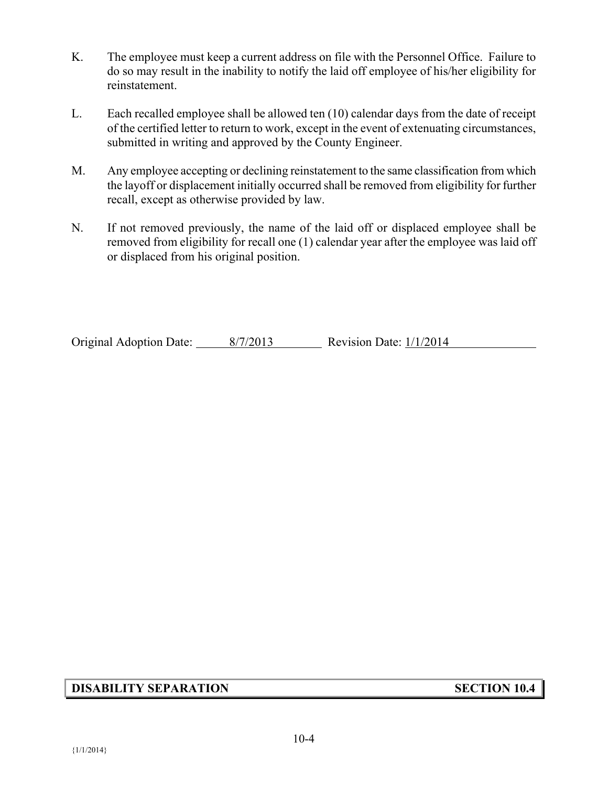- K. The employee must keep a current address on file with the Personnel Office. Failure to do so may result in the inability to notify the laid off employee of his/her eligibility for reinstatement.
- L. Each recalled employee shall be allowed ten (10) calendar days from the date of receipt of the certified letter to return to work, except in the event of extenuating circumstances, submitted in writing and approved by the County Engineer.
- M. Any employee accepting or declining reinstatement to the same classification from which the layoff or displacement initially occurred shall be removed from eligibility for further recall, except as otherwise provided by law.
- N. If not removed previously, the name of the laid off or displaced employee shall be removed from eligibility for recall one (1) calendar year after the employee was laid off or displaced from his original position.

Original Adoption Date: 8/7/2013 Revision Date:  $1/1/2014$ 

## **DISABILITY SEPARATION SECTION 10.4**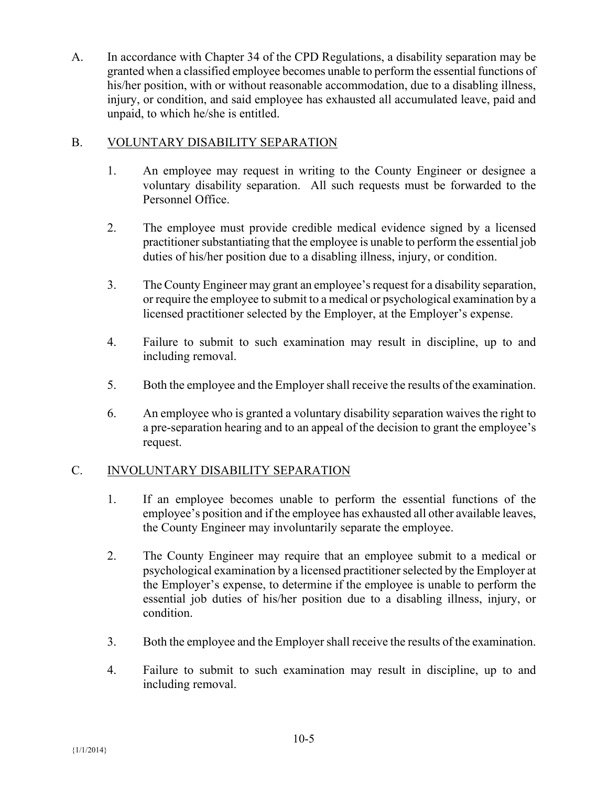A. In accordance with Chapter 34 of the CPD Regulations, a disability separation may be granted when a classified employee becomes unable to perform the essential functions of his/her position, with or without reasonable accommodation, due to a disabling illness, injury, or condition, and said employee has exhausted all accumulated leave, paid and unpaid, to which he/she is entitled.

## B. VOLUNTARY DISABILITY SEPARATION

- 1. An employee may request in writing to the County Engineer or designee a voluntary disability separation. All such requests must be forwarded to the Personnel Office.
- 2. The employee must provide credible medical evidence signed by a licensed practitioner substantiating that the employee is unable to perform the essential job duties of his/her position due to a disabling illness, injury, or condition.
- 3. The County Engineer may grant an employee's request for a disability separation, or require the employee to submit to a medical or psychological examination by a licensed practitioner selected by the Employer, at the Employer's expense.
- 4. Failure to submit to such examination may result in discipline, up to and including removal.
- 5. Both the employee and the Employer shall receive the results of the examination.
- 6. An employee who is granted a voluntary disability separation waives the right to a pre-separation hearing and to an appeal of the decision to grant the employee's request.

## C. INVOLUNTARY DISABILITY SEPARATION

- 1. If an employee becomes unable to perform the essential functions of the employee's position and if the employee has exhausted all other available leaves, the County Engineer may involuntarily separate the employee.
- 2. The County Engineer may require that an employee submit to a medical or psychological examination by a licensed practitioner selected by the Employer at the Employer's expense, to determine if the employee is unable to perform the essential job duties of his/her position due to a disabling illness, injury, or condition.
- 3. Both the employee and the Employer shall receive the results of the examination.
- 4. Failure to submit to such examination may result in discipline, up to and including removal.